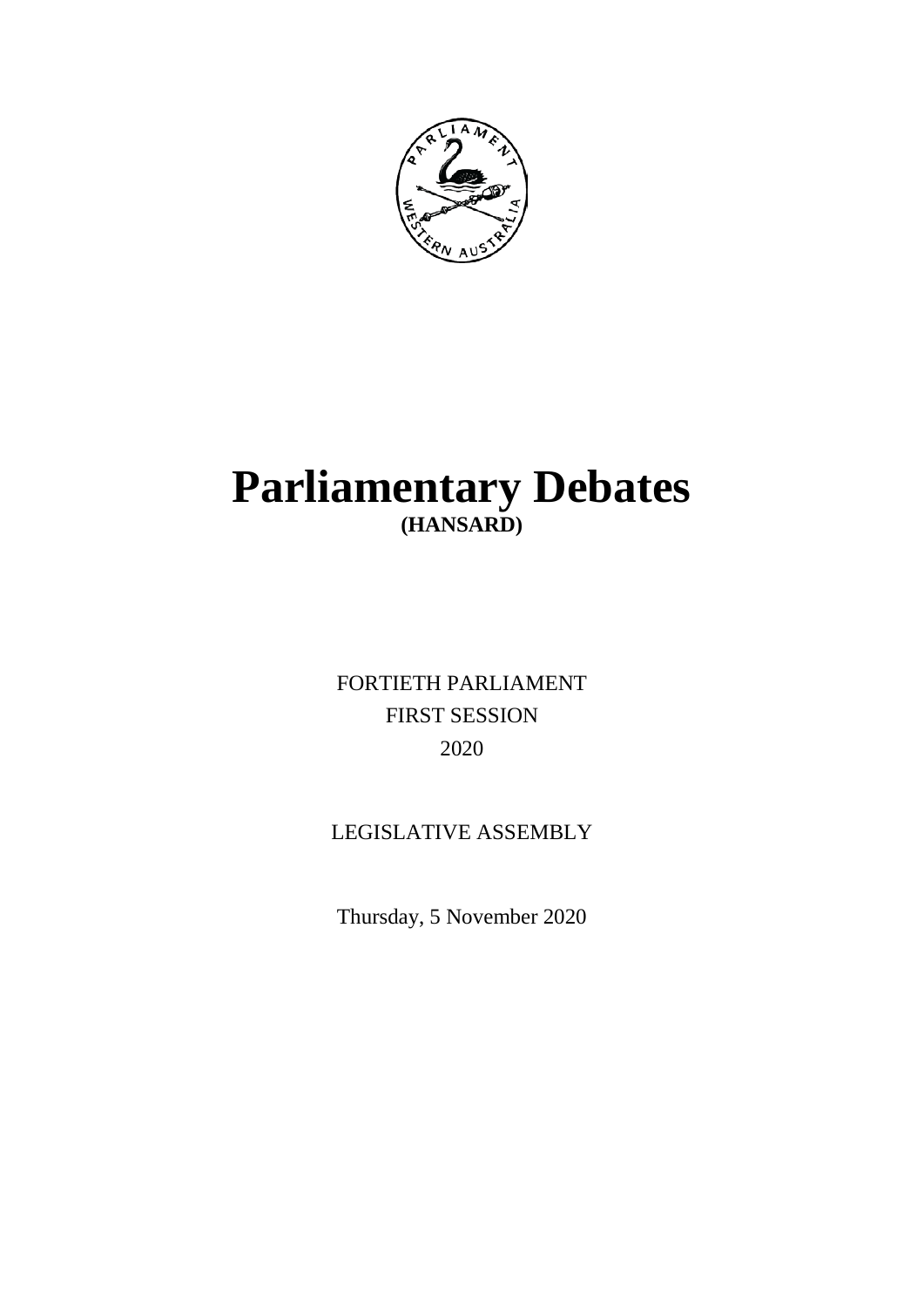

# **Parliamentary Debates (HANSARD)**

FORTIETH PARLIAMENT FIRST SESSION 2020

## LEGISLATIVE ASSEMBLY

Thursday, 5 November 2020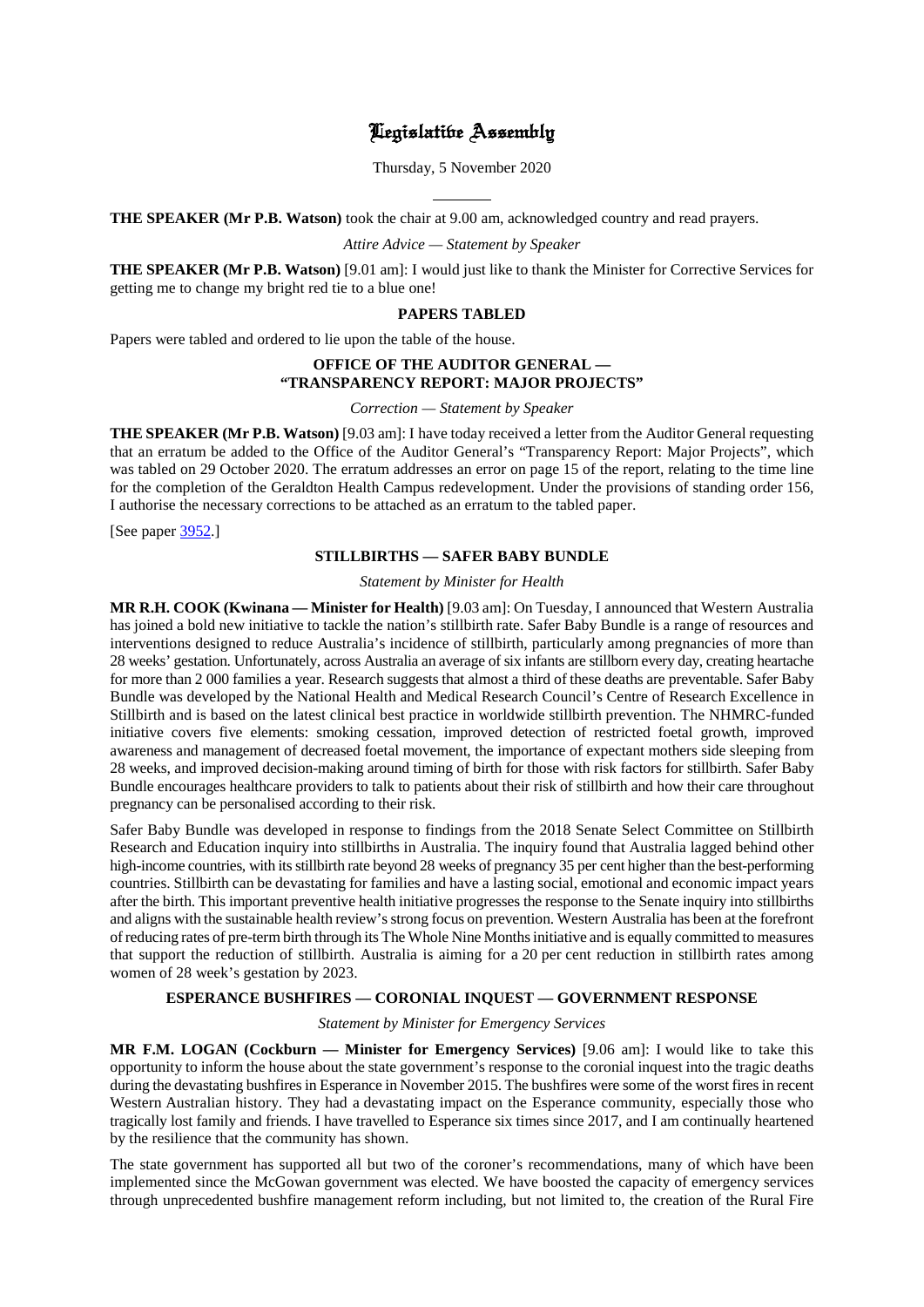### Legislative Assembly

Thursday, 5 November 2020

 $\overline{a}$ **THE SPEAKER (Mr P.B. Watson)** took the chair at 9.00 am, acknowledged country and read prayers.

*Attire Advice — Statement by Speaker*

**THE SPEAKER (Mr P.B. Watson)** [9.01 am]: I would just like to thank the Minister for Corrective Services for getting me to change my bright red tie to a blue one!

#### **PAPERS TABLED**

Papers were tabled and ordered to lie upon the table of the house.

#### **OFFICE OF THE AUDITOR GENERAL — "TRANSPARENCY REPORT: MAJOR PROJECTS"**

*Correction — Statement by Speaker*

**THE SPEAKER (Mr P.B. Watson)** [9.03 am]: I have today received a letter from the Auditor General requesting that an erratum be added to the Office of the Auditor General's "Transparency Report: Major Projects", which was tabled on 29 October 2020. The erratum addresses an error on page 15 of the report, relating to the time line for the completion of the Geraldton Health Campus redevelopment. Under the provisions of standing order 156, I authorise the necessary corrections to be attached as an erratum to the tabled paper.

[See paper [3952.](https://www.parliament.wa.gov.au/publications/tabledpapers.nsf/displaypaper/4013952a0c1a8f2bf8e9286b4825861800165b70/$file/3952.pdf)]

#### **STILLBIRTHS — SAFER BABY BUNDLE**

*Statement by Minister for Health*

**MR R.H. COOK (Kwinana — Minister for Health)** [9.03 am]: On Tuesday, I announced that Western Australia has joined a bold new initiative to tackle the nation's stillbirth rate. Safer Baby Bundle is a range of resources and interventions designed to reduce Australia's incidence of stillbirth, particularly among pregnancies of more than 28 weeks' gestation. Unfortunately, across Australia an average of six infants are stillborn every day, creating heartache for more than 2 000 families a year. Research suggests that almost a third of these deaths are preventable. Safer Baby Bundle was developed by the National Health and Medical Research Council's Centre of Research Excellence in Stillbirth and is based on the latest clinical best practice in worldwide stillbirth prevention. The NHMRC-funded initiative covers five elements: smoking cessation, improved detection of restricted foetal growth, improved awareness and management of decreased foetal movement, the importance of expectant mothers side sleeping from 28 weeks, and improved decision-making around timing of birth for those with risk factors for stillbirth. Safer Baby Bundle encourages healthcare providers to talk to patients about their risk of stillbirth and how their care throughout pregnancy can be personalised according to their risk.

Safer Baby Bundle was developed in response to findings from the 2018 Senate Select Committee on Stillbirth Research and Education inquiry into stillbirths in Australia. The inquiry found that Australia lagged behind other high-income countries, with its stillbirth rate beyond 28 weeks of pregnancy 35 per cent higher than the best-performing countries. Stillbirth can be devastating for families and have a lasting social, emotional and economic impact years after the birth. This important preventive health initiative progresses the response to the Senate inquiry into stillbirths and aligns with the sustainable health review's strong focus on prevention. Western Australia has been at the forefront of reducing rates of pre-term birth through its The Whole Nine Months initiative and is equally committed to measures that support the reduction of stillbirth. Australia is aiming for a 20 per cent reduction in stillbirth rates among women of 28 week's gestation by 2023.

#### **ESPERANCE BUSHFIRES — CORONIAL INQUEST — GOVERNMENT RESPONSE**

*Statement by Minister for Emergency Services*

**MR F.M. LOGAN (Cockburn — Minister for Emergency Services)** [9.06 am]: I would like to take this opportunity to inform the house about the state government's response to the coronial inquest into the tragic deaths during the devastating bushfires in Esperance in November 2015. The bushfires were some of the worst fires in recent Western Australian history. They had a devastating impact on the Esperance community, especially those who tragically lost family and friends. I have travelled to Esperance six times since 2017, and I am continually heartened by the resilience that the community has shown.

The state government has supported all but two of the coroner's recommendations, many of which have been implemented since the McGowan government was elected. We have boosted the capacity of emergency services through unprecedented bushfire management reform including, but not limited to, the creation of the Rural Fire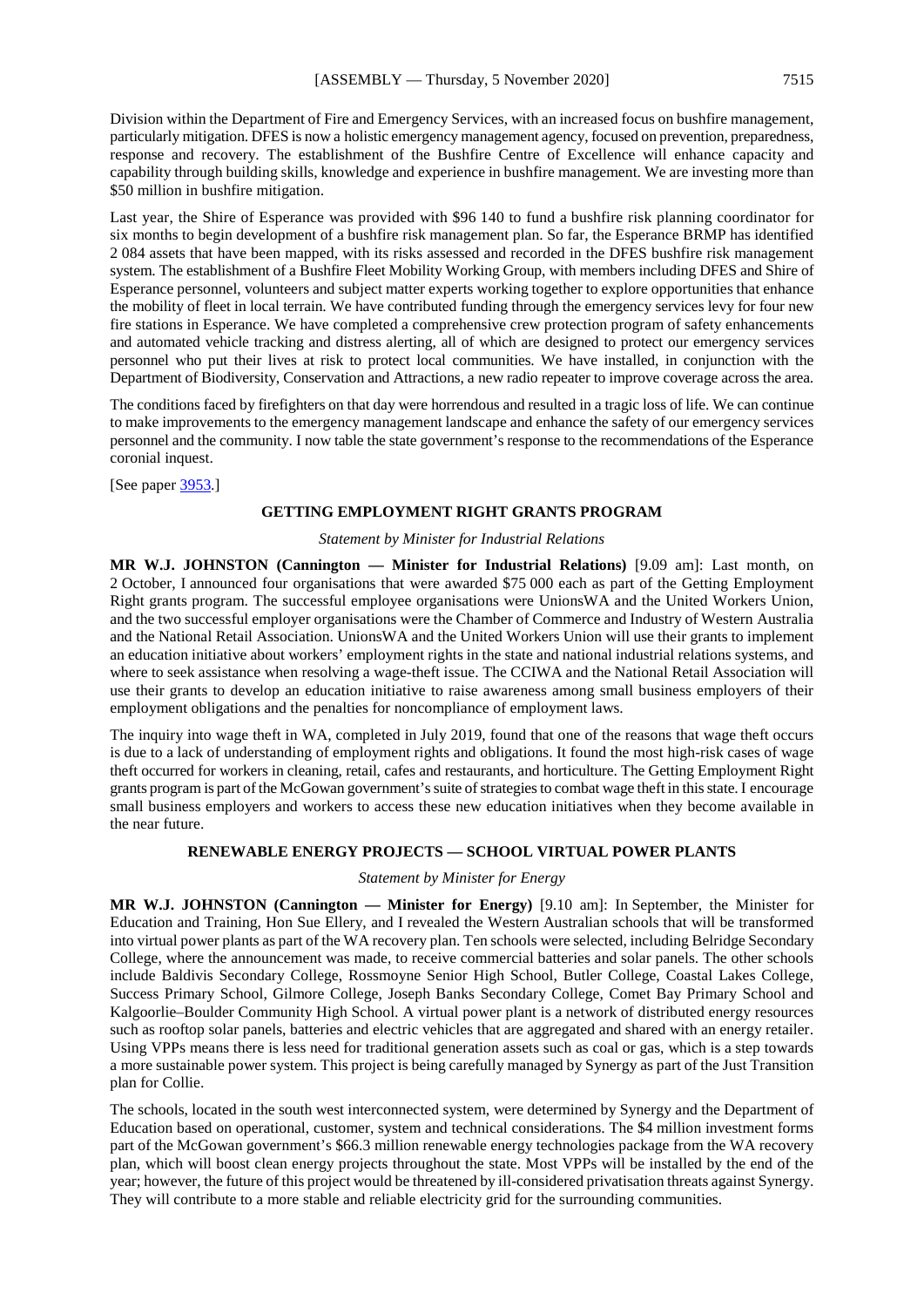Division within the Department of Fire and Emergency Services, with an increased focus on bushfire management, particularly mitigation. DFES is now a holistic emergency management agency, focused on prevention, preparedness, response and recovery. The establishment of the Bushfire Centre of Excellence will enhance capacity and capability through building skills, knowledge and experience in bushfire management. We are investing more than \$50 million in bushfire mitigation.

Last year, the Shire of Esperance was provided with \$96 140 to fund a bushfire risk planning coordinator for six months to begin development of a bushfire risk management plan. So far, the Esperance BRMP has identified 2 084 assets that have been mapped, with its risks assessed and recorded in the DFES bushfire risk management system. The establishment of a Bushfire Fleet Mobility Working Group, with members including DFES and Shire of Esperance personnel, volunteers and subject matter experts working together to explore opportunities that enhance the mobility of fleet in local terrain. We have contributed funding through the emergency services levy for four new fire stations in Esperance. We have completed a comprehensive crew protection program of safety enhancements and automated vehicle tracking and distress alerting, all of which are designed to protect our emergency services personnel who put their lives at risk to protect local communities. We have installed, in conjunction with the Department of Biodiversity, Conservation and Attractions, a new radio repeater to improve coverage across the area.

The conditions faced by firefighters on that day were horrendous and resulted in a tragic loss of life. We can continue to make improvements to the emergency management landscape and enhance the safety of our emergency services personnel and the community. I now table the state government's response to the recommendations of the Esperance coronial inquest.

[See paper [3953.](https://www.parliament.wa.gov.au/Test/Tables.nsf/screenLaunch)]

#### **GETTING EMPLOYMENT RIGHT GRANTS PROGRAM**

#### *Statement by Minister for Industrial Relations*

**MR W.J. JOHNSTON (Cannington — Minister for Industrial Relations)** [9.09 am]: Last month, on 2 October, I announced four organisations that were awarded \$75 000 each as part of the Getting Employment Right grants program. The successful employee organisations were UnionsWA and the United Workers Union, and the two successful employer organisations were the Chamber of Commerce and Industry of Western Australia and the National Retail Association. UnionsWA and the United Workers Union will use their grants to implement an education initiative about workers' employment rights in the state and national industrial relations systems, and where to seek assistance when resolving a wage-theft issue. The CCIWA and the National Retail Association will use their grants to develop an education initiative to raise awareness among small business employers of their employment obligations and the penalties for noncompliance of employment laws.

The inquiry into wage theft in WA, completed in July 2019, found that one of the reasons that wage theft occurs is due to a lack of understanding of employment rights and obligations. It found the most high-risk cases of wage theft occurred for workers in cleaning, retail, cafes and restaurants, and horticulture. The Getting Employment Right grants program is part of the McGowan government's suite of strategies to combat wage theft in this state. I encourage small business employers and workers to access these new education initiatives when they become available in the near future.

#### **RENEWABLE ENERGY PROJECTS — SCHOOL VIRTUAL POWER PLANTS**

#### *Statement by Minister for Energy*

**MR W.J. JOHNSTON (Cannington — Minister for Energy)** [9.10 am]: In September, the Minister for Education and Training, Hon Sue Ellery, and I revealed the Western Australian schools that will be transformed into virtual power plants as part of the WA recovery plan. Ten schools were selected, including Belridge Secondary College, where the announcement was made, to receive commercial batteries and solar panels. The other schools include Baldivis Secondary College, Rossmoyne Senior High School, Butler College, Coastal Lakes College, Success Primary School, Gilmore College, Joseph Banks Secondary College, Comet Bay Primary School and Kalgoorlie–Boulder Community High School. A virtual power plant is a network of distributed energy resources such as rooftop solar panels, batteries and electric vehicles that are aggregated and shared with an energy retailer. Using VPPs means there is less need for traditional generation assets such as coal or gas, which is a step towards a more sustainable power system. This project is being carefully managed by Synergy as part of the Just Transition plan for Collie.

The schools, located in the south west interconnected system, were determined by Synergy and the Department of Education based on operational, customer, system and technical considerations. The \$4 million investment forms part of the McGowan government's \$66.3 million renewable energy technologies package from the WA recovery plan, which will boost clean energy projects throughout the state. Most VPPs will be installed by the end of the year; however, the future of this project would be threatened by ill-considered privatisation threats against Synergy. They will contribute to a more stable and reliable electricity grid for the surrounding communities.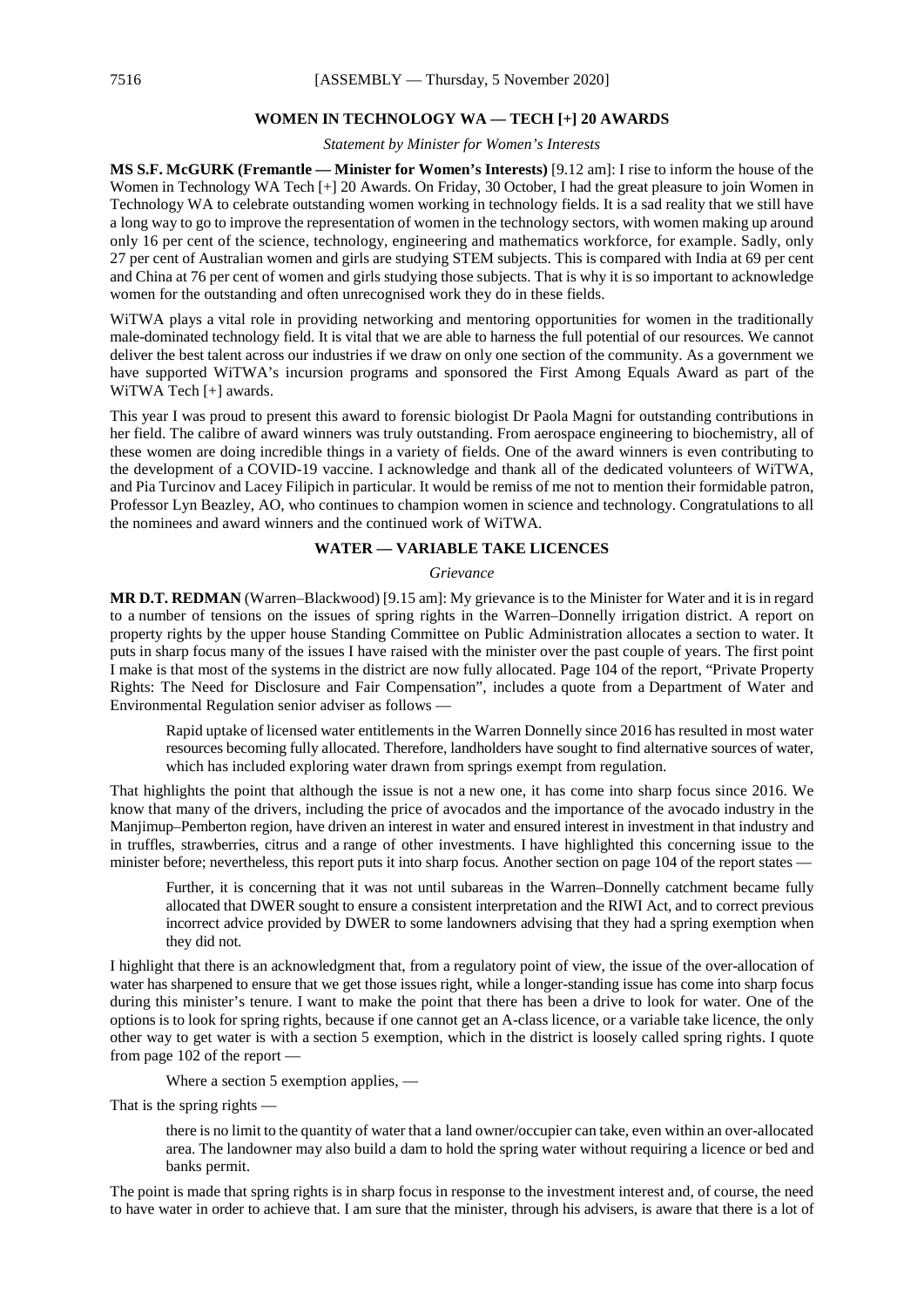#### **WOMEN IN TECHNOLOGY WA — TECH [+] 20 AWARDS**

*Statement by Minister for Women's Interests*

**MS S.F. McGURK (Fremantle — Minister for Women's Interests)** [9.12 am]: I rise to inform the house of the Women in Technology WA Tech [+] 20 Awards. On Friday, 30 October, I had the great pleasure to join Women in Technology WA to celebrate outstanding women working in technology fields. It is a sad reality that we still have a long way to go to improve the representation of women in the technology sectors, with women making up around only 16 per cent of the science, technology, engineering and mathematics workforce, for example. Sadly, only 27 per cent of Australian women and girls are studying STEM subjects. This is compared with India at 69 per cent and China at 76 per cent of women and girls studying those subjects. That is why it is so important to acknowledge women for the outstanding and often unrecognised work they do in these fields.

WiTWA plays a vital role in providing networking and mentoring opportunities for women in the traditionally male-dominated technology field. It is vital that we are able to harness the full potential of our resources. We cannot deliver the best talent across our industries if we draw on only one section of the community. As a government we have supported WiTWA's incursion programs and sponsored the First Among Equals Award as part of the WiTWA Tech [+] awards.

This year I was proud to present this award to forensic biologist Dr Paola Magni for outstanding contributions in her field. The calibre of award winners was truly outstanding. From aerospace engineering to biochemistry, all of these women are doing incredible things in a variety of fields. One of the award winners is even contributing to the development of a COVID-19 vaccine. I acknowledge and thank all of the dedicated volunteers of WiTWA, and Pia Turcinov and Lacey Filipich in particular. It would be remiss of me not to mention their formidable patron, Professor Lyn Beazley, AO, who continues to champion women in science and technology. Congratulations to all the nominees and award winners and the continued work of WiTWA.

#### **WATER — VARIABLE TAKE LICENCES**

#### *Grievance*

**MR D.T. REDMAN** (Warren–Blackwood) [9.15 am]: My grievance is to the Minister for Water and it is in regard to a number of tensions on the issues of spring rights in the Warren–Donnelly irrigation district. A report on property rights by the upper house Standing Committee on Public Administration allocates a section to water. It puts in sharp focus many of the issues I have raised with the minister over the past couple of years. The first point I make is that most of the systems in the district are now fully allocated. Page 104 of the report, "Private Property Rights: The Need for Disclosure and Fair Compensation", includes a quote from a Department of Water and Environmental Regulation senior adviser as follows —

Rapid uptake of licensed water entitlements in the Warren Donnelly since 2016 has resulted in most water resources becoming fully allocated. Therefore, landholders have sought to find alternative sources of water, which has included exploring water drawn from springs exempt from regulation.

That highlights the point that although the issue is not a new one, it has come into sharp focus since 2016. We know that many of the drivers, including the price of avocados and the importance of the avocado industry in the Manjimup–Pemberton region, have driven an interest in water and ensured interest in investment in that industry and in truffles, strawberries, citrus and a range of other investments. I have highlighted this concerning issue to the minister before; nevertheless, this report puts it into sharp focus. Another section on page 104 of the report states —

Further, it is concerning that it was not until subareas in the Warren–Donnelly catchment became fully allocated that DWER sought to ensure a consistent interpretation and the RIWI Act, and to correct previous incorrect advice provided by DWER to some landowners advising that they had a spring exemption when they did not.

I highlight that there is an acknowledgment that, from a regulatory point of view, the issue of the over-allocation of water has sharpened to ensure that we get those issues right, while a longer-standing issue has come into sharp focus during this minister's tenure. I want to make the point that there has been a drive to look for water. One of the options is to look for spring rights, because if one cannot get an A-class licence, or a variable take licence, the only other way to get water is with a section 5 exemption, which in the district is loosely called spring rights. I quote from page 102 of the report —

Where a section 5 exemption applies, —

That is the spring rights —

there is no limit to the quantity of water that a land owner/occupier can take, even within an over-allocated area. The landowner may also build a dam to hold the spring water without requiring a licence or bed and banks permit.

The point is made that spring rights is in sharp focus in response to the investment interest and, of course, the need to have water in order to achieve that. I am sure that the minister, through his advisers, is aware that there is a lot of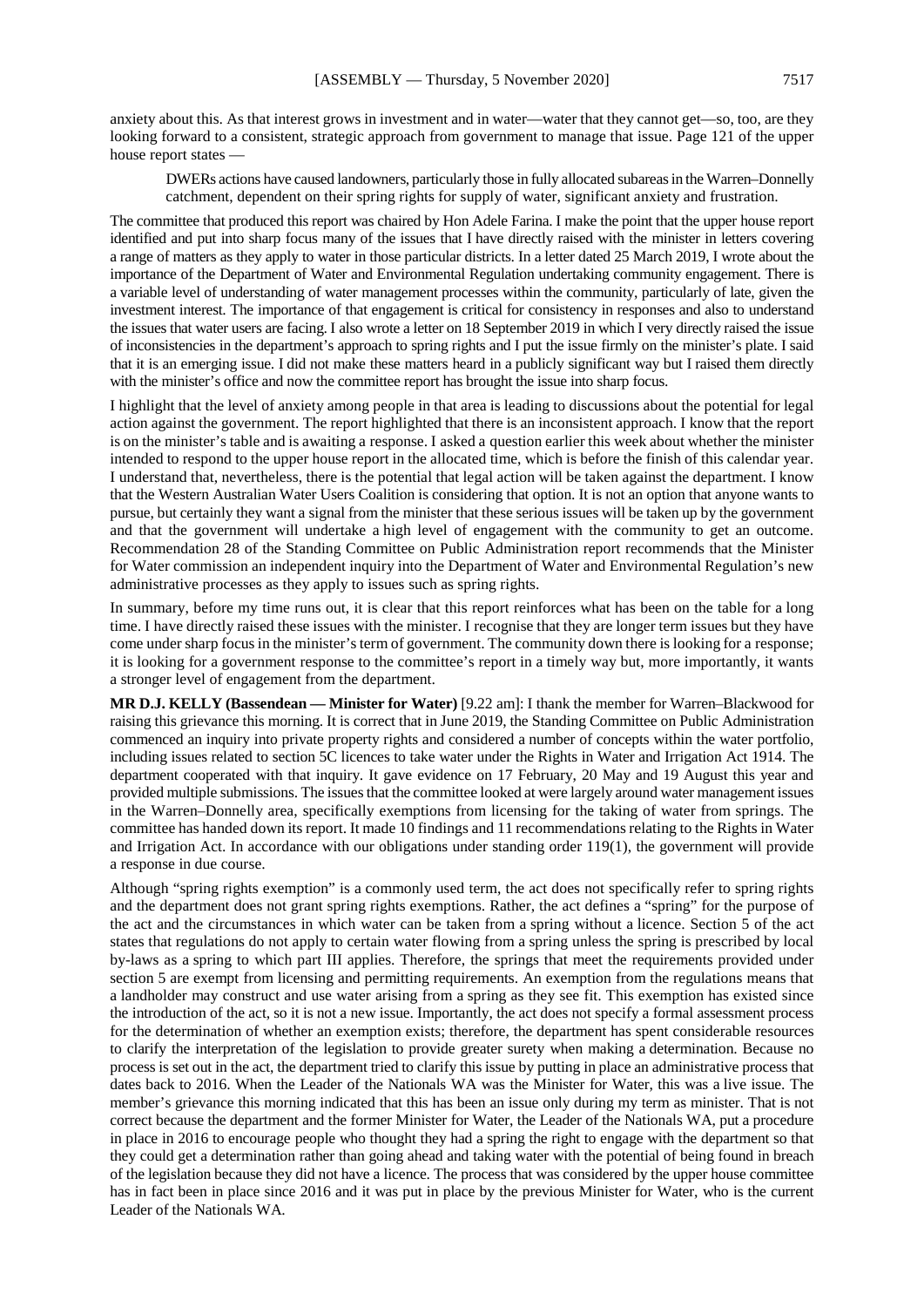anxiety about this. As that interest grows in investment and in water—water that they cannot get—so, too, are they looking forward to a consistent, strategic approach from government to manage that issue. Page 121 of the upper house report states —

DWERs actions have caused landowners, particularly those in fully allocated subareas in the Warren–Donnelly catchment, dependent on their spring rights for supply of water, significant anxiety and frustration.

The committee that produced this report was chaired by Hon Adele Farina. I make the point that the upper house report identified and put into sharp focus many of the issues that I have directly raised with the minister in letters covering a range of matters as they apply to water in those particular districts. In a letter dated 25 March 2019, I wrote about the importance of the Department of Water and Environmental Regulation undertaking community engagement. There is a variable level of understanding of water management processes within the community, particularly of late, given the investment interest. The importance of that engagement is critical for consistency in responses and also to understand the issues that water users are facing. I also wrote a letter on 18 September 2019 in which I very directly raised the issue of inconsistencies in the department's approach to spring rights and I put the issue firmly on the minister's plate. I said that it is an emerging issue. I did not make these matters heard in a publicly significant way but I raised them directly with the minister's office and now the committee report has brought the issue into sharp focus.

I highlight that the level of anxiety among people in that area is leading to discussions about the potential for legal action against the government. The report highlighted that there is an inconsistent approach. I know that the report is on the minister's table and is awaiting a response. I asked a question earlier this week about whether the minister intended to respond to the upper house report in the allocated time, which is before the finish of this calendar year. I understand that, nevertheless, there is the potential that legal action will be taken against the department. I know that the Western Australian Water Users Coalition is considering that option. It is not an option that anyone wants to pursue, but certainly they want a signal from the minister that these serious issues will be taken up by the government and that the government will undertake a high level of engagement with the community to get an outcome. Recommendation 28 of the Standing Committee on Public Administration report recommends that the Minister for Water commission an independent inquiry into the Department of Water and Environmental Regulation's new administrative processes as they apply to issues such as spring rights.

In summary, before my time runs out, it is clear that this report reinforces what has been on the table for a long time. I have directly raised these issues with the minister. I recognise that they are longer term issues but they have come under sharp focus in the minister's term of government. The community down there is looking for a response; it is looking for a government response to the committee's report in a timely way but, more importantly, it wants a stronger level of engagement from the department.

**MR D.J. KELLY (Bassendean — Minister for Water)** [9.22 am]: I thank the member for Warren–Blackwood for raising this grievance this morning. It is correct that in June 2019, the Standing Committee on Public Administration commenced an inquiry into private property rights and considered a number of concepts within the water portfolio, including issues related to section 5C licences to take water under the Rights in Water and Irrigation Act 1914. The department cooperated with that inquiry. It gave evidence on 17 February, 20 May and 19 August this year and provided multiple submissions. The issues that the committee looked at were largely around water management issues in the Warren–Donnelly area, specifically exemptions from licensing for the taking of water from springs. The committee has handed down its report. It made 10 findings and 11 recommendations relating to the Rights in Water and Irrigation Act. In accordance with our obligations under standing order 119(1), the government will provide a response in due course.

Although "spring rights exemption" is a commonly used term, the act does not specifically refer to spring rights and the department does not grant spring rights exemptions. Rather, the act defines a "spring" for the purpose of the act and the circumstances in which water can be taken from a spring without a licence. Section 5 of the act states that regulations do not apply to certain water flowing from a spring unless the spring is prescribed by local by-laws as a spring to which part III applies. Therefore, the springs that meet the requirements provided under section 5 are exempt from licensing and permitting requirements. An exemption from the regulations means that a landholder may construct and use water arising from a spring as they see fit. This exemption has existed since the introduction of the act, so it is not a new issue. Importantly, the act does not specify a formal assessment process for the determination of whether an exemption exists; therefore, the department has spent considerable resources to clarify the interpretation of the legislation to provide greater surety when making a determination. Because no process is set out in the act, the department tried to clarify this issue by putting in place an administrative process that dates back to 2016. When the Leader of the Nationals WA was the Minister for Water, this was a live issue. The member's grievance this morning indicated that this has been an issue only during my term as minister. That is not correct because the department and the former Minister for Water, the Leader of the Nationals WA, put a procedure in place in 2016 to encourage people who thought they had a spring the right to engage with the department so that they could get a determination rather than going ahead and taking water with the potential of being found in breach of the legislation because they did not have a licence. The process that was considered by the upper house committee has in fact been in place since 2016 and it was put in place by the previous Minister for Water, who is the current Leader of the Nationals WA.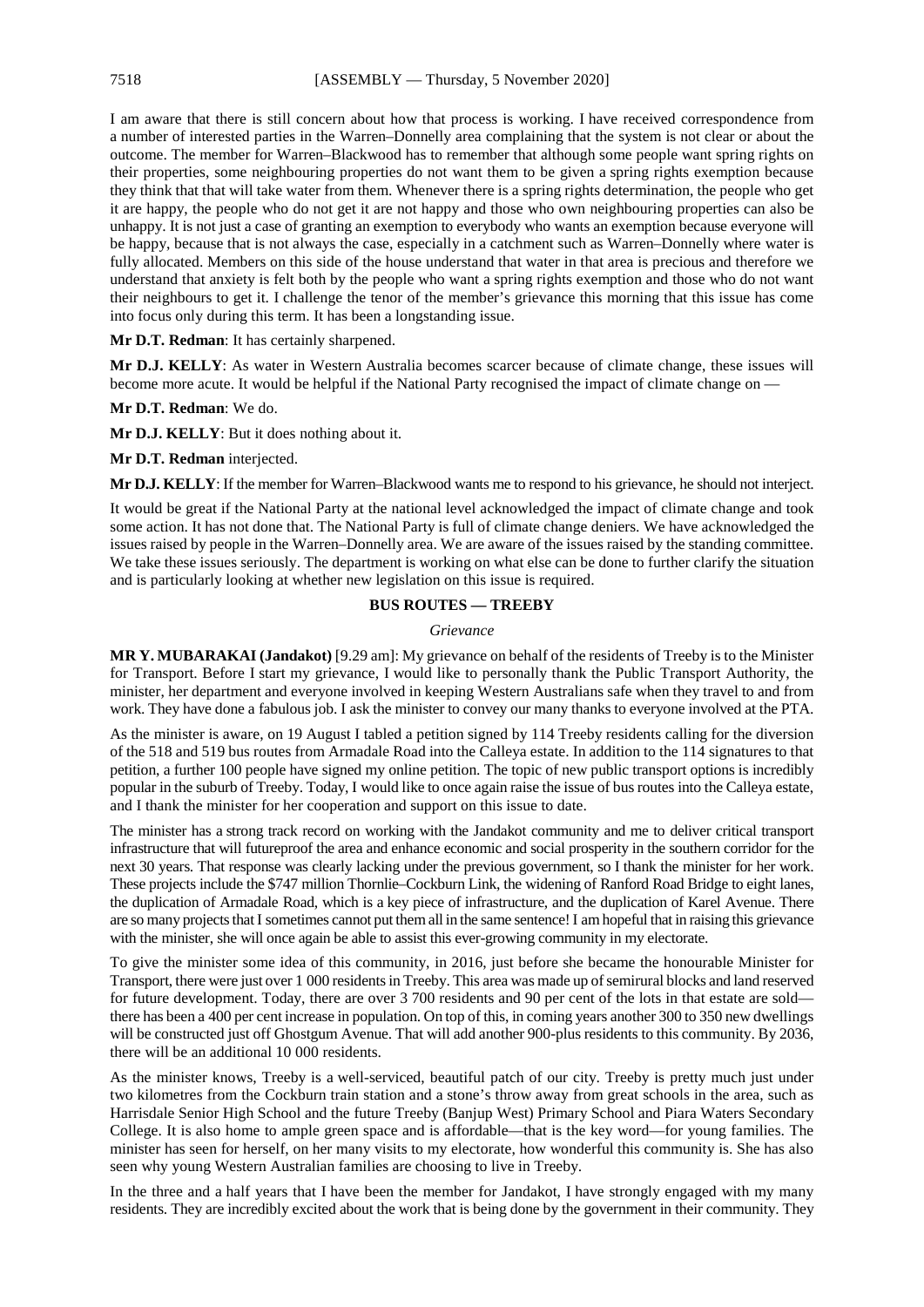I am aware that there is still concern about how that process is working. I have received correspondence from a number of interested parties in the Warren–Donnelly area complaining that the system is not clear or about the outcome. The member for Warren–Blackwood has to remember that although some people want spring rights on their properties, some neighbouring properties do not want them to be given a spring rights exemption because they think that that will take water from them. Whenever there is a spring rights determination, the people who get it are happy, the people who do not get it are not happy and those who own neighbouring properties can also be unhappy. It is not just a case of granting an exemption to everybody who wants an exemption because everyone will be happy, because that is not always the case, especially in a catchment such as Warren–Donnelly where water is fully allocated. Members on this side of the house understand that water in that area is precious and therefore we understand that anxiety is felt both by the people who want a spring rights exemption and those who do not want their neighbours to get it. I challenge the tenor of the member's grievance this morning that this issue has come into focus only during this term. It has been a longstanding issue.

#### **Mr D.T. Redman**: It has certainly sharpened.

**Mr D.J. KELLY**: As water in Western Australia becomes scarcer because of climate change, these issues will become more acute. It would be helpful if the National Party recognised the impact of climate change on —

**Mr D.T. Redman**: We do.

**Mr D.J. KELLY**: But it does nothing about it.

**Mr D.T. Redman** interjected.

**Mr D.J. KELLY**: If the member for Warren–Blackwood wants me to respond to his grievance, he should not interject.

It would be great if the National Party at the national level acknowledged the impact of climate change and took some action. It has not done that. The National Party is full of climate change deniers. We have acknowledged the issues raised by people in the Warren–Donnelly area. We are aware of the issues raised by the standing committee. We take these issues seriously. The department is working on what else can be done to further clarify the situation and is particularly looking at whether new legislation on this issue is required.

#### **BUS ROUTES — TREEBY**

#### *Grievance*

**MR Y. MUBARAKAI (Jandakot)** [9.29 am]: My grievance on behalf of the residents of Treeby is to the Minister for Transport. Before I start my grievance, I would like to personally thank the Public Transport Authority, the minister, her department and everyone involved in keeping Western Australians safe when they travel to and from work. They have done a fabulous job. I ask the minister to convey our many thanks to everyone involved at the PTA.

As the minister is aware, on 19 August I tabled a petition signed by 114 Treeby residents calling for the diversion of the 518 and 519 bus routes from Armadale Road into the Calleya estate. In addition to the 114 signatures to that petition, a further 100 people have signed my online petition. The topic of new public transport options is incredibly popular in the suburb of Treeby. Today, I would like to once again raise the issue of bus routes into the Calleya estate, and I thank the minister for her cooperation and support on this issue to date.

The minister has a strong track record on working with the Jandakot community and me to deliver critical transport infrastructure that will futureproof the area and enhance economic and social prosperity in the southern corridor for the next 30 years. That response was clearly lacking under the previous government, so I thank the minister for her work. These projects include the \$747 million Thornlie–Cockburn Link, the widening of Ranford Road Bridge to eight lanes, the duplication of Armadale Road, which is a key piece of infrastructure, and the duplication of Karel Avenue. There are so many projects that I sometimes cannot put them all in the same sentence! I am hopeful that in raising this grievance with the minister, she will once again be able to assist this ever-growing community in my electorate.

To give the minister some idea of this community, in 2016, just before she became the honourable Minister for Transport, there were just over 1 000 residents in Treeby. This area was made up of semirural blocks and land reserved for future development. Today, there are over 3 700 residents and 90 per cent of the lots in that estate are sold there has been a 400 per cent increase in population. On top of this, in coming years another 300 to 350 new dwellings will be constructed just off Ghostgum Avenue. That will add another 900-plus residents to this community. By 2036, there will be an additional 10 000 residents.

As the minister knows, Treeby is a well-serviced, beautiful patch of our city. Treeby is pretty much just under two kilometres from the Cockburn train station and a stone's throw away from great schools in the area, such as Harrisdale Senior High School and the future Treeby (Banjup West) Primary School and Piara Waters Secondary College. It is also home to ample green space and is affordable—that is the key word—for young families. The minister has seen for herself, on her many visits to my electorate, how wonderful this community is. She has also seen why young Western Australian families are choosing to live in Treeby.

In the three and a half years that I have been the member for Jandakot, I have strongly engaged with my many residents. They are incredibly excited about the work that is being done by the government in their community. They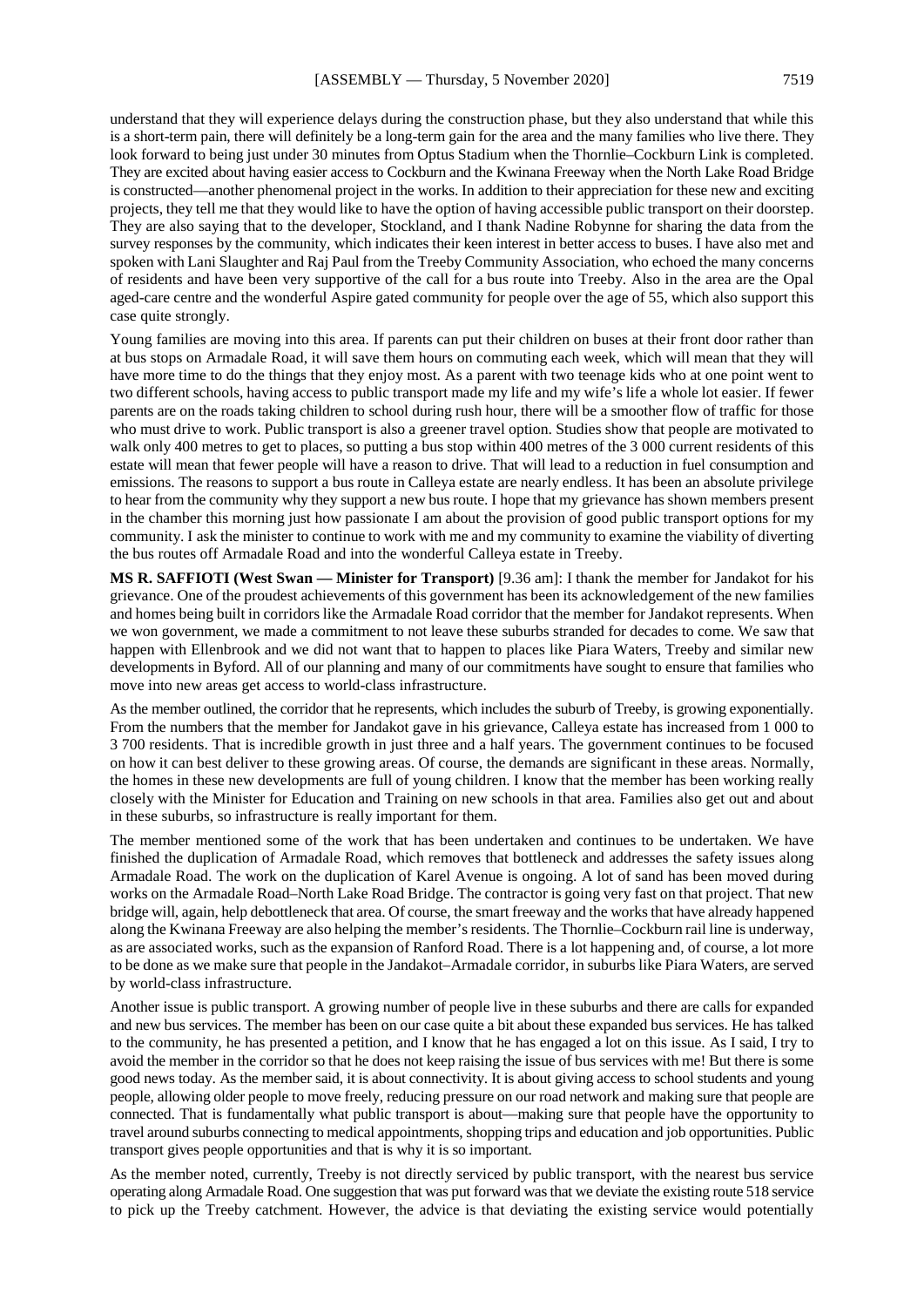understand that they will experience delays during the construction phase, but they also understand that while this is a short-term pain, there will definitely be a long-term gain for the area and the many families who live there. They look forward to being just under 30 minutes from Optus Stadium when the Thornlie–Cockburn Link is completed. They are excited about having easier access to Cockburn and the Kwinana Freeway when the North Lake Road Bridge is constructed—another phenomenal project in the works. In addition to their appreciation for these new and exciting projects, they tell me that they would like to have the option of having accessible public transport on their doorstep. They are also saying that to the developer, Stockland, and I thank Nadine Robynne for sharing the data from the survey responses by the community, which indicates their keen interest in better access to buses. I have also met and spoken with Lani Slaughter and Raj Paul from the Treeby Community Association, who echoed the many concerns of residents and have been very supportive of the call for a bus route into Treeby. Also in the area are the Opal aged-care centre and the wonderful Aspire gated community for people over the age of 55, which also support this case quite strongly.

Young families are moving into this area. If parents can put their children on buses at their front door rather than at bus stops on Armadale Road, it will save them hours on commuting each week, which will mean that they will have more time to do the things that they enjoy most. As a parent with two teenage kids who at one point went to two different schools, having access to public transport made my life and my wife's life a whole lot easier. If fewer parents are on the roads taking children to school during rush hour, there will be a smoother flow of traffic for those who must drive to work. Public transport is also a greener travel option. Studies show that people are motivated to walk only 400 metres to get to places, so putting a bus stop within 400 metres of the 3 000 current residents of this estate will mean that fewer people will have a reason to drive. That will lead to a reduction in fuel consumption and emissions. The reasons to support a bus route in Calleya estate are nearly endless. It has been an absolute privilege to hear from the community why they support a new bus route. I hope that my grievance has shown members present in the chamber this morning just how passionate I am about the provision of good public transport options for my community. I ask the minister to continue to work with me and my community to examine the viability of diverting the bus routes off Armadale Road and into the wonderful Calleya estate in Treeby.

**MS R. SAFFIOTI (West Swan — Minister for Transport)** [9.36 am]: I thank the member for Jandakot for his grievance. One of the proudest achievements of this government has been its acknowledgement of the new families and homes being built in corridors like the Armadale Road corridor that the member for Jandakot represents. When we won government, we made a commitment to not leave these suburbs stranded for decades to come. We saw that happen with Ellenbrook and we did not want that to happen to places like Piara Waters, Treeby and similar new developments in Byford. All of our planning and many of our commitments have sought to ensure that families who move into new areas get access to world-class infrastructure.

As the member outlined, the corridor that he represents, which includes the suburb of Treeby, is growing exponentially. From the numbers that the member for Jandakot gave in his grievance, Calleya estate has increased from 1 000 to 3 700 residents. That is incredible growth in just three and a half years. The government continues to be focused on how it can best deliver to these growing areas. Of course, the demands are significant in these areas. Normally, the homes in these new developments are full of young children. I know that the member has been working really closely with the Minister for Education and Training on new schools in that area. Families also get out and about in these suburbs, so infrastructure is really important for them.

The member mentioned some of the work that has been undertaken and continues to be undertaken. We have finished the duplication of Armadale Road, which removes that bottleneck and addresses the safety issues along Armadale Road. The work on the duplication of Karel Avenue is ongoing. A lot of sand has been moved during works on the Armadale Road–North Lake Road Bridge. The contractor is going very fast on that project. That new bridge will, again, help debottleneck that area. Of course, the smart freeway and the works that have already happened along the Kwinana Freeway are also helping the member's residents. The Thornlie–Cockburn rail line is underway, as are associated works, such as the expansion of Ranford Road. There is a lot happening and, of course, a lot more to be done as we make sure that people in the Jandakot–Armadale corridor, in suburbs like Piara Waters, are served by world-class infrastructure.

Another issue is public transport. A growing number of people live in these suburbs and there are calls for expanded and new bus services. The member has been on our case quite a bit about these expanded bus services. He has talked to the community, he has presented a petition, and I know that he has engaged a lot on this issue. As I said, I try to avoid the member in the corridor so that he does not keep raising the issue of bus services with me! But there is some good news today. As the member said, it is about connectivity. It is about giving access to school students and young people, allowing older people to move freely, reducing pressure on our road network and making sure that people are connected. That is fundamentally what public transport is about—making sure that people have the opportunity to travel around suburbs connecting to medical appointments, shopping trips and education and job opportunities. Public transport gives people opportunities and that is why it is so important.

As the member noted, currently, Treeby is not directly serviced by public transport, with the nearest bus service operating along Armadale Road. One suggestion that was put forward was that we deviate the existing route 518 service to pick up the Treeby catchment. However, the advice is that deviating the existing service would potentially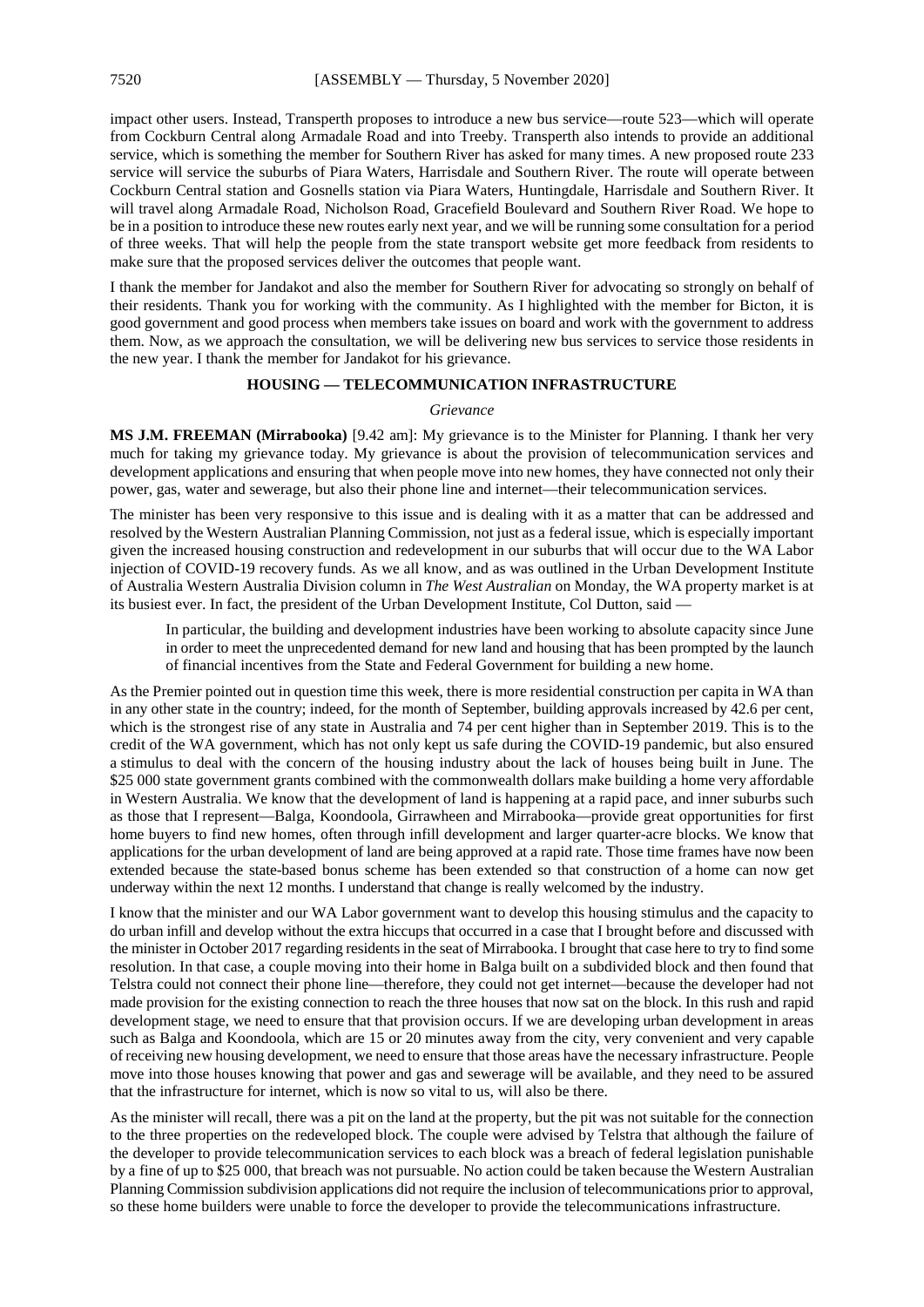impact other users. Instead, Transperth proposes to introduce a new bus service—route 523—which will operate from Cockburn Central along Armadale Road and into Treeby. Transperth also intends to provide an additional service, which is something the member for Southern River has asked for many times. A new proposed route 233 service will service the suburbs of Piara Waters, Harrisdale and Southern River. The route will operate between Cockburn Central station and Gosnells station via Piara Waters, Huntingdale, Harrisdale and Southern River. It will travel along Armadale Road, Nicholson Road, Gracefield Boulevard and Southern River Road. We hope to be in a position to introduce these new routes early next year, and we will be running some consultation for a period of three weeks. That will help the people from the state transport website get more feedback from residents to make sure that the proposed services deliver the outcomes that people want.

I thank the member for Jandakot and also the member for Southern River for advocating so strongly on behalf of their residents. Thank you for working with the community. As I highlighted with the member for Bicton, it is good government and good process when members take issues on board and work with the government to address them. Now, as we approach the consultation, we will be delivering new bus services to service those residents in the new year. I thank the member for Jandakot for his grievance.

#### **HOUSING — TELECOMMUNICATION INFRASTRUCTURE**

#### *Grievance*

**MS J.M. FREEMAN (Mirrabooka)** [9.42 am]: My grievance is to the Minister for Planning. I thank her very much for taking my grievance today. My grievance is about the provision of telecommunication services and development applications and ensuring that when people move into new homes, they have connected not only their power, gas, water and sewerage, but also their phone line and internet—their telecommunication services.

The minister has been very responsive to this issue and is dealing with it as a matter that can be addressed and resolved by the Western Australian Planning Commission, not just as a federal issue, which is especially important given the increased housing construction and redevelopment in our suburbs that will occur due to the WA Labor injection of COVID-19 recovery funds. As we all know, and as was outlined in the Urban Development Institute of Australia Western Australia Division column in *The West Australian* on Monday, the WA property market is at its busiest ever. In fact, the president of the Urban Development Institute, Col Dutton, said —

In particular, the building and development industries have been working to absolute capacity since June in order to meet the unprecedented demand for new land and housing that has been prompted by the launch of financial incentives from the State and Federal Government for building a new home.

As the Premier pointed out in question time this week, there is more residential construction per capita in WA than in any other state in the country; indeed, for the month of September, building approvals increased by 42.6 per cent, which is the strongest rise of any state in Australia and 74 per cent higher than in September 2019. This is to the credit of the WA government, which has not only kept us safe during the COVID-19 pandemic, but also ensured a stimulus to deal with the concern of the housing industry about the lack of houses being built in June. The \$25 000 state government grants combined with the commonwealth dollars make building a home very affordable in Western Australia. We know that the development of land is happening at a rapid pace, and inner suburbs such as those that I represent—Balga, Koondoola, Girrawheen and Mirrabooka—provide great opportunities for first home buyers to find new homes, often through infill development and larger quarter-acre blocks. We know that applications for the urban development of land are being approved at a rapid rate. Those time frames have now been extended because the state-based bonus scheme has been extended so that construction of a home can now get underway within the next 12 months. I understand that change is really welcomed by the industry.

I know that the minister and our WA Labor government want to develop this housing stimulus and the capacity to do urban infill and develop without the extra hiccups that occurred in a case that I brought before and discussed with the minister in October 2017 regarding residents in the seat of Mirrabooka. I brought that case here to try to find some resolution. In that case, a couple moving into their home in Balga built on a subdivided block and then found that Telstra could not connect their phone line—therefore, they could not get internet—because the developer had not made provision for the existing connection to reach the three houses that now sat on the block. In this rush and rapid development stage, we need to ensure that that provision occurs. If we are developing urban development in areas such as Balga and Koondoola, which are 15 or 20 minutes away from the city, very convenient and very capable of receiving new housing development, we need to ensure that those areas have the necessary infrastructure. People move into those houses knowing that power and gas and sewerage will be available, and they need to be assured that the infrastructure for internet, which is now so vital to us, will also be there.

As the minister will recall, there was a pit on the land at the property, but the pit was not suitable for the connection to the three properties on the redeveloped block. The couple were advised by Telstra that although the failure of the developer to provide telecommunication services to each block was a breach of federal legislation punishable by a fine of up to \$25 000, that breach was not pursuable. No action could be taken because the Western Australian Planning Commission subdivision applications did not require the inclusion of telecommunications prior to approval, so these home builders were unable to force the developer to provide the telecommunications infrastructure.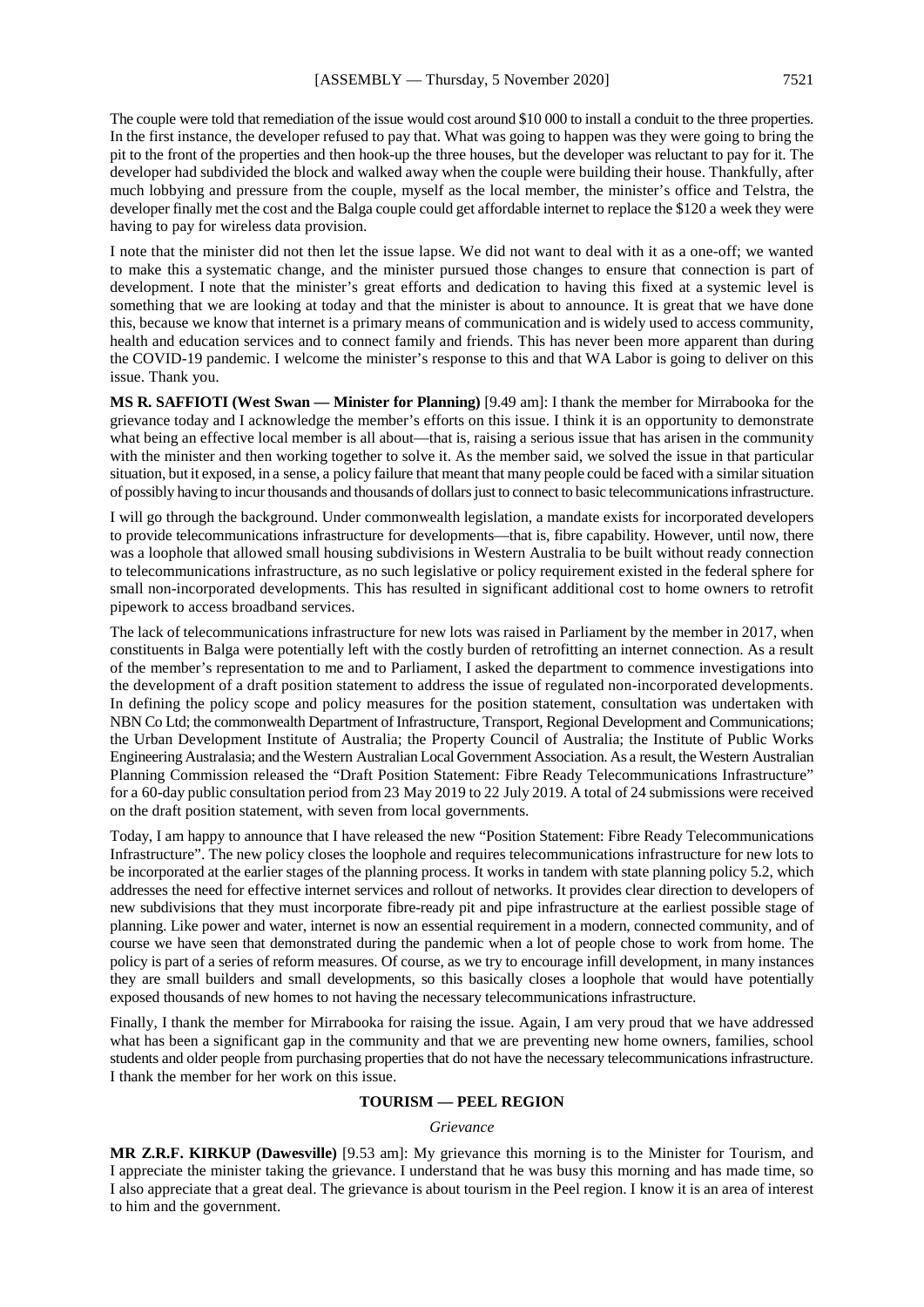The couple were told that remediation of the issue would cost around \$10 000 to install a conduit to the three properties. In the first instance, the developer refused to pay that. What was going to happen was they were going to bring the pit to the front of the properties and then hook-up the three houses, but the developer was reluctant to pay for it. The developer had subdivided the block and walked away when the couple were building their house. Thankfully, after much lobbying and pressure from the couple, myself as the local member, the minister's office and Telstra, the developer finally met the cost and the Balga couple could get affordable internet to replace the \$120 a week they were having to pay for wireless data provision.

I note that the minister did not then let the issue lapse. We did not want to deal with it as a one-off; we wanted to make this a systematic change, and the minister pursued those changes to ensure that connection is part of development. I note that the minister's great efforts and dedication to having this fixed at a systemic level is something that we are looking at today and that the minister is about to announce. It is great that we have done this, because we know that internet is a primary means of communication and is widely used to access community, health and education services and to connect family and friends. This has never been more apparent than during the COVID-19 pandemic. I welcome the minister's response to this and that WA Labor is going to deliver on this issue. Thank you.

**MS R. SAFFIOTI (West Swan — Minister for Planning)** [9.49 am]: I thank the member for Mirrabooka for the grievance today and I acknowledge the member's efforts on this issue. I think it is an opportunity to demonstrate what being an effective local member is all about—that is, raising a serious issue that has arisen in the community with the minister and then working together to solve it. As the member said, we solved the issue in that particular situation, but it exposed, in a sense, a policy failure that meant that many people could be faced with a similar situation of possibly having to incur thousands and thousands of dollars just to connect to basic telecommunications infrastructure.

I will go through the background. Under commonwealth legislation, a mandate exists for incorporated developers to provide telecommunications infrastructure for developments—that is, fibre capability. However, until now, there was a loophole that allowed small housing subdivisions in Western Australia to be built without ready connection to telecommunications infrastructure, as no such legislative or policy requirement existed in the federal sphere for small non-incorporated developments. This has resulted in significant additional cost to home owners to retrofit pipework to access broadband services.

The lack of telecommunications infrastructure for new lots was raised in Parliament by the member in 2017, when constituents in Balga were potentially left with the costly burden of retrofitting an internet connection. As a result of the member's representation to me and to Parliament, I asked the department to commence investigations into the development of a draft position statement to address the issue of regulated non-incorporated developments. In defining the policy scope and policy measures for the position statement, consultation was undertaken with NBN Co Ltd; the commonwealth Department of Infrastructure, Transport, Regional Development and Communications; the Urban Development Institute of Australia; the Property Council of Australia; the Institute of Public Works Engineering Australasia; and the Western Australian Local Government Association. As a result, the Western Australian Planning Commission released the "Draft Position Statement: Fibre Ready Telecommunications Infrastructure" for a 60-day public consultation period from 23 May 2019 to 22 July 2019. A total of 24 submissions were received on the draft position statement, with seven from local governments.

Today, I am happy to announce that I have released the new "Position Statement: Fibre Ready Telecommunications Infrastructure". The new policy closes the loophole and requires telecommunications infrastructure for new lots to be incorporated at the earlier stages of the planning process. It works in tandem with state planning policy 5.2, which addresses the need for effective internet services and rollout of networks. It provides clear direction to developers of new subdivisions that they must incorporate fibre-ready pit and pipe infrastructure at the earliest possible stage of planning. Like power and water, internet is now an essential requirement in a modern, connected community, and of course we have seen that demonstrated during the pandemic when a lot of people chose to work from home. The policy is part of a series of reform measures. Of course, as we try to encourage infill development, in many instances they are small builders and small developments, so this basically closes a loophole that would have potentially exposed thousands of new homes to not having the necessary telecommunications infrastructure.

Finally, I thank the member for Mirrabooka for raising the issue. Again, I am very proud that we have addressed what has been a significant gap in the community and that we are preventing new home owners, families, school students and older people from purchasing properties that do not have the necessary telecommunications infrastructure. I thank the member for her work on this issue.

#### **TOURISM — PEEL REGION**

#### *Grievance*

**MR Z.R.F. KIRKUP (Dawesville)** [9.53 am]: My grievance this morning is to the Minister for Tourism, and I appreciate the minister taking the grievance. I understand that he was busy this morning and has made time, so I also appreciate that a great deal. The grievance is about tourism in the Peel region. I know it is an area of interest to him and the government.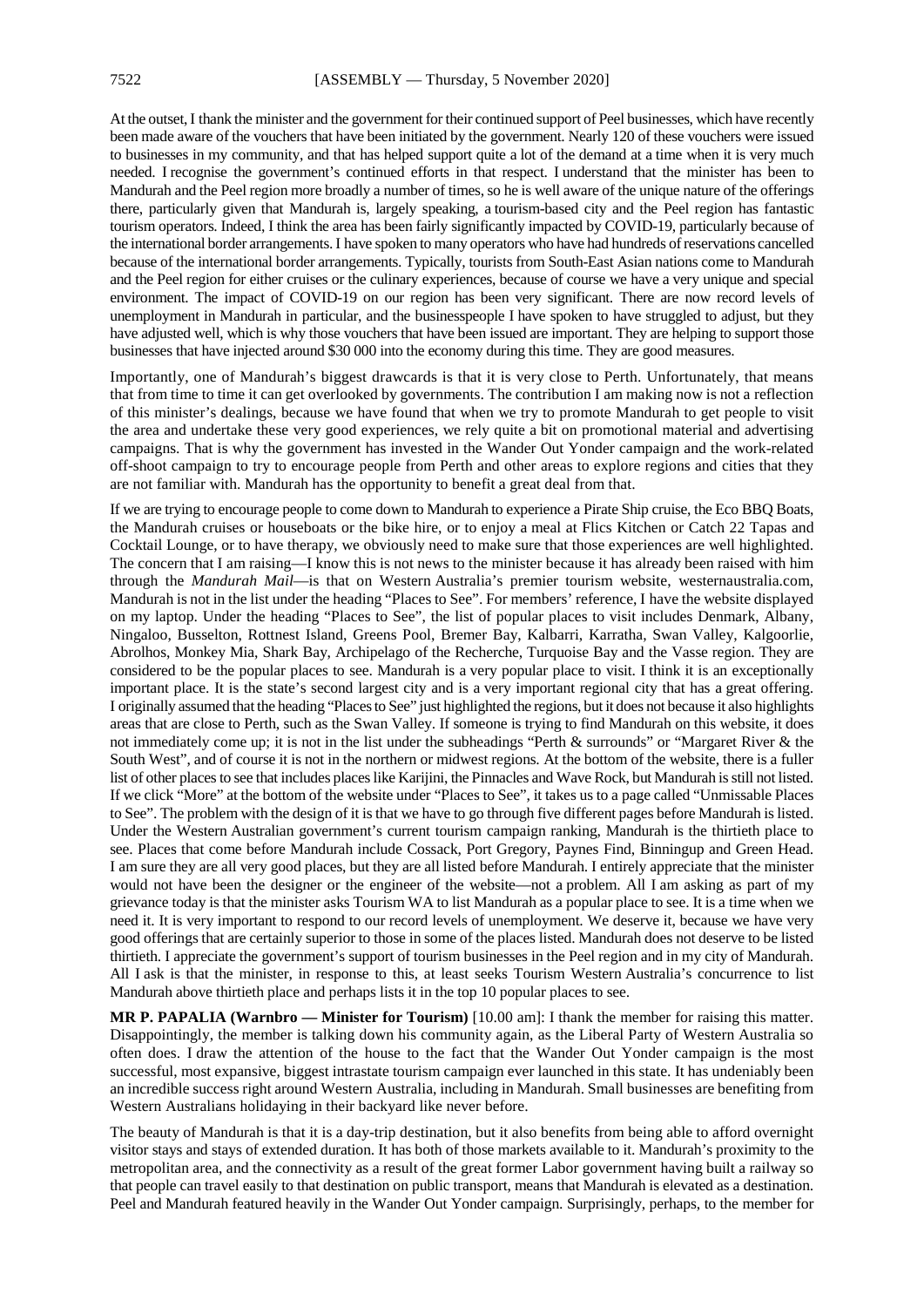At the outset, I thank the minister and the government for their continued support of Peel businesses, which have recently been made aware of the vouchers that have been initiated by the government. Nearly 120 of these vouchers were issued to businesses in my community, and that has helped support quite a lot of the demand at a time when it is very much needed. I recognise the government's continued efforts in that respect. I understand that the minister has been to Mandurah and the Peel region more broadly a number of times, so he is well aware of the unique nature of the offerings there, particularly given that Mandurah is, largely speaking, a tourism-based city and the Peel region has fantastic tourism operators. Indeed, I think the area has been fairly significantly impacted by COVID-19, particularly because of the international border arrangements.I have spoken to many operators who have had hundreds of reservations cancelled because of the international border arrangements. Typically, tourists from South-East Asian nations come to Mandurah and the Peel region for either cruises or the culinary experiences, because of course we have a very unique and special environment. The impact of COVID-19 on our region has been very significant. There are now record levels of unemployment in Mandurah in particular, and the businesspeople I have spoken to have struggled to adjust, but they have adjusted well, which is why those vouchers that have been issued are important. They are helping to support those businesses that have injected around \$30 000 into the economy during this time. They are good measures.

Importantly, one of Mandurah's biggest drawcards is that it is very close to Perth. Unfortunately, that means that from time to time it can get overlooked by governments. The contribution I am making now is not a reflection of this minister's dealings, because we have found that when we try to promote Mandurah to get people to visit the area and undertake these very good experiences, we rely quite a bit on promotional material and advertising campaigns. That is why the government has invested in the Wander Out Yonder campaign and the work-related off-shoot campaign to try to encourage people from Perth and other areas to explore regions and cities that they are not familiar with. Mandurah has the opportunity to benefit a great deal from that.

If we are trying to encourage people to come down to Mandurah to experience a Pirate Ship cruise, the Eco BBQ Boats, the Mandurah cruises or houseboats or the bike hire, or to enjoy a meal at Flics Kitchen or Catch 22 Tapas and Cocktail Lounge, or to have therapy, we obviously need to make sure that those experiences are well highlighted. The concern that I am raising—I know this is not news to the minister because it has already been raised with him through the *Mandurah Mail*—is that on Western Australia's premier tourism website, westernaustralia.com, Mandurah is not in the list under the heading "Places to See". For members' reference, I have the website displayed on my laptop. Under the heading "Places to See", the list of popular places to visit includes Denmark, Albany, Ningaloo, Busselton, Rottnest Island, Greens Pool, Bremer Bay, Kalbarri, Karratha, Swan Valley, Kalgoorlie, Abrolhos, Monkey Mia, Shark Bay, Archipelago of the Recherche, Turquoise Bay and the Vasse region. They are considered to be the popular places to see. Mandurah is a very popular place to visit. I think it is an exceptionally important place. It is the state's second largest city and is a very important regional city that has a great offering. I originally assumed that the heading "Places to See" just highlighted the regions, but it does not because it also highlights areas that are close to Perth, such as the Swan Valley. If someone is trying to find Mandurah on this website, it does not immediately come up; it is not in the list under the subheadings "Perth & surrounds" or "Margaret River & the South West", and of course it is not in the northern or midwest regions. At the bottom of the website, there is a fuller list of other places to see that includes places like Karijini, the Pinnacles and Wave Rock, but Mandurah is still not listed. If we click "More" at the bottom of the website under "Places to See", it takes us to a page called "Unmissable Places to See". The problem with the design of it is that we have to go through five different pages before Mandurah is listed. Under the Western Australian government's current tourism campaign ranking, Mandurah is the thirtieth place to see. Places that come before Mandurah include Cossack, Port Gregory, Paynes Find, Binningup and Green Head. I am sure they are all very good places, but they are all listed before Mandurah. I entirely appreciate that the minister would not have been the designer or the engineer of the website—not a problem. All I am asking as part of my grievance today is that the minister asks Tourism WA to list Mandurah as a popular place to see. It is a time when we need it. It is very important to respond to our record levels of unemployment. We deserve it, because we have very good offerings that are certainly superior to those in some of the places listed. Mandurah does not deserve to be listed thirtieth. I appreciate the government's support of tourism businesses in the Peel region and in my city of Mandurah. All I ask is that the minister, in response to this, at least seeks Tourism Western Australia's concurrence to list Mandurah above thirtieth place and perhaps lists it in the top 10 popular places to see.

**MR P. PAPALIA (Warnbro — Minister for Tourism)** [10.00 am]: I thank the member for raising this matter. Disappointingly, the member is talking down his community again, as the Liberal Party of Western Australia so often does. I draw the attention of the house to the fact that the Wander Out Yonder campaign is the most successful, most expansive, biggest intrastate tourism campaign ever launched in this state. It has undeniably been an incredible success right around Western Australia, including in Mandurah. Small businesses are benefiting from Western Australians holidaying in their backyard like never before.

The beauty of Mandurah is that it is a day-trip destination, but it also benefits from being able to afford overnight visitor stays and stays of extended duration. It has both of those markets available to it. Mandurah's proximity to the metropolitan area, and the connectivity as a result of the great former Labor government having built a railway so that people can travel easily to that destination on public transport, means that Mandurah is elevated as a destination. Peel and Mandurah featured heavily in the Wander Out Yonder campaign. Surprisingly, perhaps, to the member for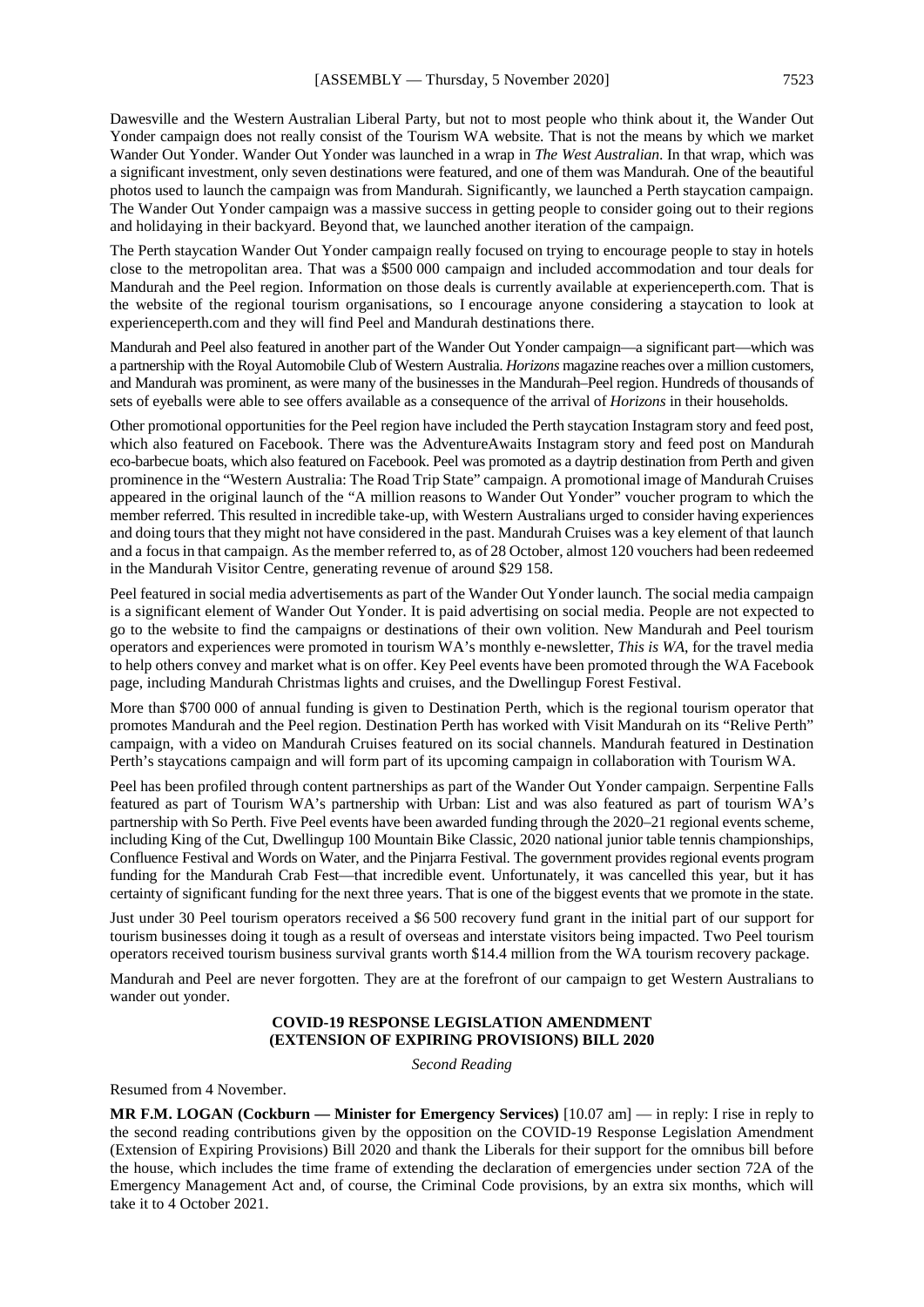Dawesville and the Western Australian Liberal Party, but not to most people who think about it, the Wander Out Yonder campaign does not really consist of the Tourism WA website. That is not the means by which we market Wander Out Yonder. Wander Out Yonder was launched in a wrap in *The West Australian*. In that wrap, which was a significant investment, only seven destinations were featured, and one of them was Mandurah. One of the beautiful photos used to launch the campaign was from Mandurah. Significantly, we launched a Perth staycation campaign. The Wander Out Yonder campaign was a massive success in getting people to consider going out to their regions and holidaying in their backyard. Beyond that, we launched another iteration of the campaign.

The Perth staycation Wander Out Yonder campaign really focused on trying to encourage people to stay in hotels close to the metropolitan area. That was a \$500 000 campaign and included accommodation and tour deals for Mandurah and the Peel region. Information on those deals is currently available at experienceperth.com. That is the website of the regional tourism organisations, so I encourage anyone considering a staycation to look at experienceperth.com and they will find Peel and Mandurah destinations there.

Mandurah and Peel also featured in another part of the Wander Out Yonder campaign—a significant part—which was a partnership with the Royal Automobile Club of Western Australia. *Horizons* magazine reaches over a million customers, and Mandurah was prominent, as were many of the businesses in the Mandurah–Peel region. Hundreds of thousands of sets of eyeballs were able to see offers available as a consequence of the arrival of *Horizons* in their households.

Other promotional opportunities for the Peel region have included the Perth staycation Instagram story and feed post, which also featured on Facebook. There was the AdventureAwaits Instagram story and feed post on Mandurah eco-barbecue boats, which also featured on Facebook. Peel was promoted as a daytrip destination from Perth and given prominence in the "Western Australia: The Road Trip State" campaign. A promotional image of Mandurah Cruises appeared in the original launch of the "A million reasons to Wander Out Yonder" voucher program to which the member referred. This resulted in incredible take-up, with Western Australians urged to consider having experiences and doing tours that they might not have considered in the past. Mandurah Cruises was a key element of that launch and a focus in that campaign. As the member referred to, as of 28 October, almost 120 vouchers had been redeemed in the Mandurah Visitor Centre, generating revenue of around \$29 158.

Peel featured in social media advertisements as part of the Wander Out Yonder launch. The social media campaign is a significant element of Wander Out Yonder. It is paid advertising on social media. People are not expected to go to the website to find the campaigns or destinations of their own volition. New Mandurah and Peel tourism operators and experiences were promoted in tourism WA's monthly e-newsletter, *This is WA*, for the travel media to help others convey and market what is on offer. Key Peel events have been promoted through the WA Facebook page, including Mandurah Christmas lights and cruises, and the Dwellingup Forest Festival.

More than \$700 000 of annual funding is given to Destination Perth, which is the regional tourism operator that promotes Mandurah and the Peel region. Destination Perth has worked with Visit Mandurah on its "Relive Perth" campaign, with a video on Mandurah Cruises featured on its social channels. Mandurah featured in Destination Perth's staycations campaign and will form part of its upcoming campaign in collaboration with Tourism WA.

Peel has been profiled through content partnerships as part of the Wander Out Yonder campaign. Serpentine Falls featured as part of Tourism WA's partnership with Urban: List and was also featured as part of tourism WA's partnership with So Perth. Five Peel events have been awarded funding through the 2020–21 regional events scheme, including King of the Cut, Dwellingup 100 Mountain Bike Classic, 2020 national junior table tennis championships, Confluence Festival and Words on Water, and the Pinjarra Festival. The government provides regional events program funding for the Mandurah Crab Fest—that incredible event. Unfortunately, it was cancelled this year, but it has certainty of significant funding for the next three years. That is one of the biggest events that we promote in the state.

Just under 30 Peel tourism operators received a \$6 500 recovery fund grant in the initial part of our support for tourism businesses doing it tough as a result of overseas and interstate visitors being impacted. Two Peel tourism operators received tourism business survival grants worth \$14.4 million from the WA tourism recovery package.

Mandurah and Peel are never forgotten. They are at the forefront of our campaign to get Western Australians to wander out yonder.

#### **COVID-19 RESPONSE LEGISLATION AMENDMENT (EXTENSION OF EXPIRING PROVISIONS) BILL 2020**

*Second Reading*

Resumed from 4 November.

**MR F.M. LOGAN (Cockburn — Minister for Emergency Services)** [10.07 am] — in reply: I rise in reply to the second reading contributions given by the opposition on the COVID-19 Response Legislation Amendment (Extension of Expiring Provisions) Bill 2020 and thank the Liberals for their support for the omnibus bill before the house, which includes the time frame of extending the declaration of emergencies under section 72A of the Emergency Management Act and, of course, the Criminal Code provisions, by an extra six months, which will take it to 4 October 2021.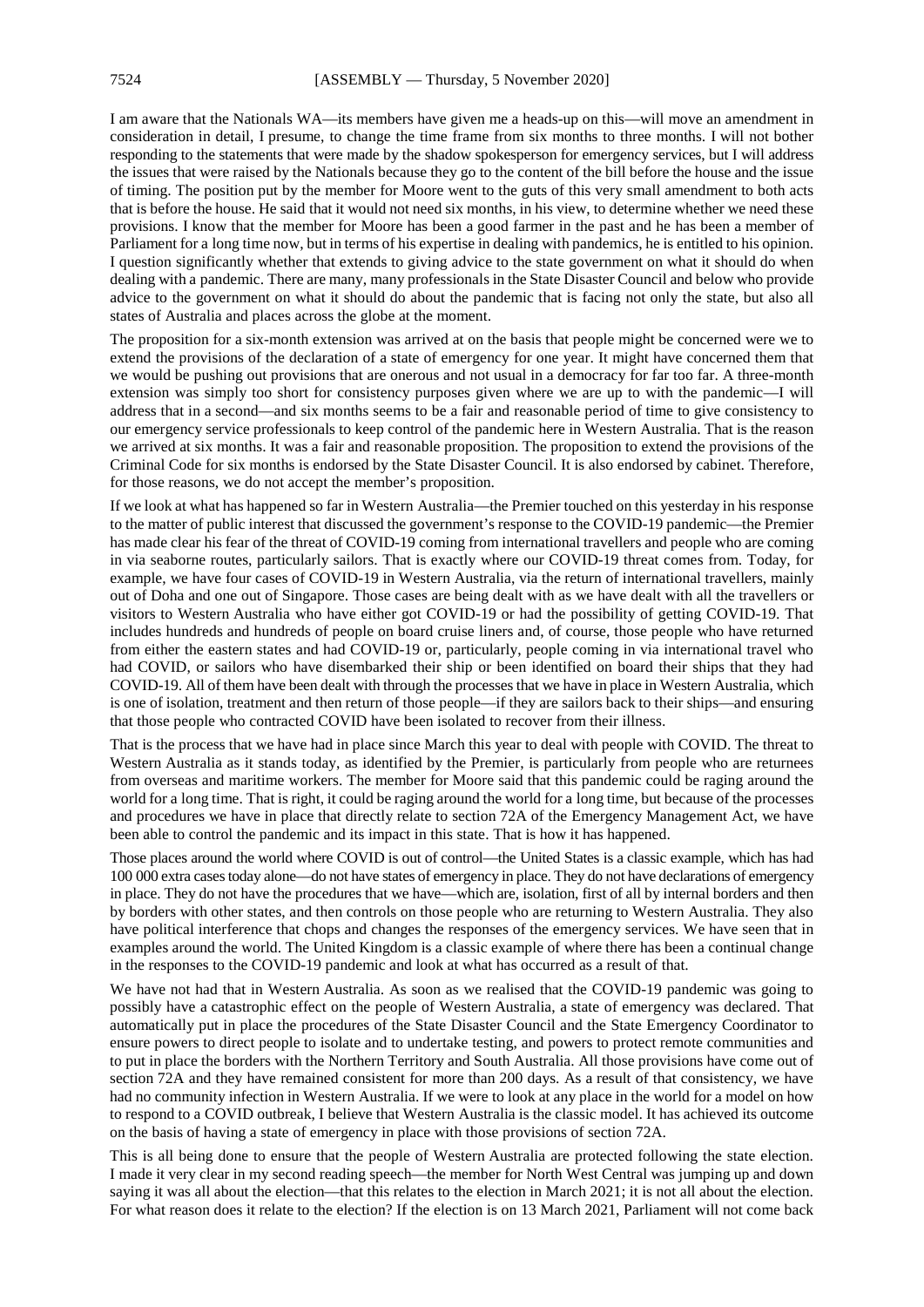I am aware that the Nationals WA—its members have given me a heads-up on this—will move an amendment in consideration in detail, I presume, to change the time frame from six months to three months. I will not bother responding to the statements that were made by the shadow spokesperson for emergency services, but I will address the issues that were raised by the Nationals because they go to the content of the bill before the house and the issue of timing. The position put by the member for Moore went to the guts of this very small amendment to both acts that is before the house. He said that it would not need six months, in his view, to determine whether we need these provisions. I know that the member for Moore has been a good farmer in the past and he has been a member of Parliament for a long time now, but in terms of his expertise in dealing with pandemics, he is entitled to his opinion. I question significantly whether that extends to giving advice to the state government on what it should do when dealing with a pandemic. There are many, many professionals in the State Disaster Council and below who provide advice to the government on what it should do about the pandemic that is facing not only the state, but also all states of Australia and places across the globe at the moment.

The proposition for a six-month extension was arrived at on the basis that people might be concerned were we to extend the provisions of the declaration of a state of emergency for one year. It might have concerned them that we would be pushing out provisions that are onerous and not usual in a democracy for far too far. A three-month extension was simply too short for consistency purposes given where we are up to with the pandemic—I will address that in a second—and six months seems to be a fair and reasonable period of time to give consistency to our emergency service professionals to keep control of the pandemic here in Western Australia. That is the reason we arrived at six months. It was a fair and reasonable proposition. The proposition to extend the provisions of the Criminal Code for six months is endorsed by the State Disaster Council. It is also endorsed by cabinet. Therefore, for those reasons, we do not accept the member's proposition.

If we look at what has happened so far in Western Australia—the Premier touched on this yesterday in his response to the matter of public interest that discussed the government's response to the COVID-19 pandemic—the Premier has made clear his fear of the threat of COVID-19 coming from international travellers and people who are coming in via seaborne routes, particularly sailors. That is exactly where our COVID-19 threat comes from. Today, for example, we have four cases of COVID-19 in Western Australia, via the return of international travellers, mainly out of Doha and one out of Singapore. Those cases are being dealt with as we have dealt with all the travellers or visitors to Western Australia who have either got COVID-19 or had the possibility of getting COVID-19. That includes hundreds and hundreds of people on board cruise liners and, of course, those people who have returned from either the eastern states and had COVID-19 or, particularly, people coming in via international travel who had COVID, or sailors who have disembarked their ship or been identified on board their ships that they had COVID-19. All of them have been dealt with through the processes that we have in place in Western Australia, which is one of isolation, treatment and then return of those people—if they are sailors back to their ships—and ensuring that those people who contracted COVID have been isolated to recover from their illness.

That is the process that we have had in place since March this year to deal with people with COVID. The threat to Western Australia as it stands today, as identified by the Premier, is particularly from people who are returnees from overseas and maritime workers. The member for Moore said that this pandemic could be raging around the world for a long time. That is right, it could be raging around the world for a long time, but because of the processes and procedures we have in place that directly relate to section 72A of the Emergency Management Act, we have been able to control the pandemic and its impact in this state. That is how it has happened.

Those places around the world where COVID is out of control—the United States is a classic example, which has had 100 000 extra cases today alone—do not have states of emergency in place. They do not have declarations of emergency in place. They do not have the procedures that we have—which are, isolation, first of all by internal borders and then by borders with other states, and then controls on those people who are returning to Western Australia. They also have political interference that chops and changes the responses of the emergency services. We have seen that in examples around the world. The United Kingdom is a classic example of where there has been a continual change in the responses to the COVID-19 pandemic and look at what has occurred as a result of that.

We have not had that in Western Australia. As soon as we realised that the COVID-19 pandemic was going to possibly have a catastrophic effect on the people of Western Australia, a state of emergency was declared. That automatically put in place the procedures of the State Disaster Council and the State Emergency Coordinator to ensure powers to direct people to isolate and to undertake testing, and powers to protect remote communities and to put in place the borders with the Northern Territory and South Australia. All those provisions have come out of section 72A and they have remained consistent for more than 200 days. As a result of that consistency, we have had no community infection in Western Australia. If we were to look at any place in the world for a model on how to respond to a COVID outbreak, I believe that Western Australia is the classic model. It has achieved its outcome on the basis of having a state of emergency in place with those provisions of section 72A.

This is all being done to ensure that the people of Western Australia are protected following the state election. I made it very clear in my second reading speech—the member for North West Central was jumping up and down saying it was all about the election—that this relates to the election in March 2021; it is not all about the election. For what reason does it relate to the election? If the election is on 13 March 2021, Parliament will not come back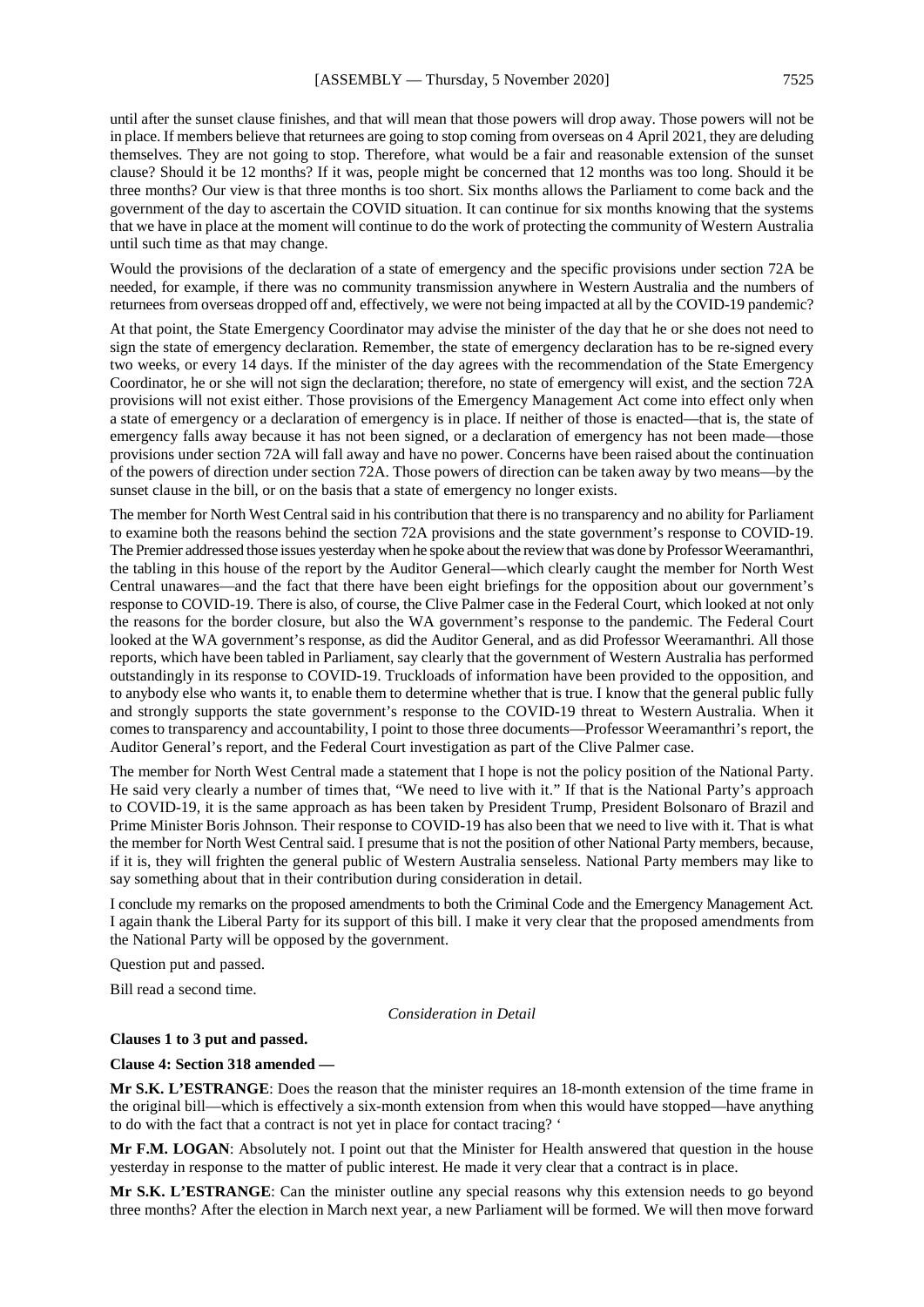until after the sunset clause finishes, and that will mean that those powers will drop away. Those powers will not be in place. If members believe that returnees are going to stop coming from overseas on 4 April 2021, they are deluding themselves. They are not going to stop. Therefore, what would be a fair and reasonable extension of the sunset clause? Should it be 12 months? If it was, people might be concerned that 12 months was too long. Should it be three months? Our view is that three months is too short. Six months allows the Parliament to come back and the government of the day to ascertain the COVID situation. It can continue for six months knowing that the systems that we have in place at the moment will continue to do the work of protecting the community of Western Australia until such time as that may change.

Would the provisions of the declaration of a state of emergency and the specific provisions under section 72A be needed, for example, if there was no community transmission anywhere in Western Australia and the numbers of returnees from overseas dropped off and, effectively, we were not being impacted at all by the COVID-19 pandemic?

At that point, the State Emergency Coordinator may advise the minister of the day that he or she does not need to sign the state of emergency declaration. Remember, the state of emergency declaration has to be re-signed every two weeks, or every 14 days. If the minister of the day agrees with the recommendation of the State Emergency Coordinator, he or she will not sign the declaration; therefore, no state of emergency will exist, and the section 72A provisions will not exist either. Those provisions of the Emergency Management Act come into effect only when a state of emergency or a declaration of emergency is in place. If neither of those is enacted—that is, the state of emergency falls away because it has not been signed, or a declaration of emergency has not been made—those provisions under section 72A will fall away and have no power. Concerns have been raised about the continuation of the powers of direction under section 72A. Those powers of direction can be taken away by two means—by the sunset clause in the bill, or on the basis that a state of emergency no longer exists.

The member for North West Central said in his contribution that there is no transparency and no ability for Parliament to examine both the reasons behind the section 72A provisions and the state government's response to COVID-19. The Premier addressed those issues yesterday when he spoke about the review that was done by Professor Weeramanthri, the tabling in this house of the report by the Auditor General—which clearly caught the member for North West Central unawares—and the fact that there have been eight briefings for the opposition about our government's response to COVID-19. There is also, of course, the Clive Palmer case in the Federal Court, which looked at not only the reasons for the border closure, but also the WA government's response to the pandemic. The Federal Court looked at the WA government's response, as did the Auditor General, and as did Professor Weeramanthri. All those reports, which have been tabled in Parliament, say clearly that the government of Western Australia has performed outstandingly in its response to COVID-19. Truckloads of information have been provided to the opposition, and to anybody else who wants it, to enable them to determine whether that is true. I know that the general public fully and strongly supports the state government's response to the COVID-19 threat to Western Australia. When it comes to transparency and accountability, I point to those three documents—Professor Weeramanthri's report, the Auditor General's report, and the Federal Court investigation as part of the Clive Palmer case.

The member for North West Central made a statement that I hope is not the policy position of the National Party. He said very clearly a number of times that, "We need to live with it." If that is the National Party's approach to COVID-19, it is the same approach as has been taken by President Trump, President Bolsonaro of Brazil and Prime Minister Boris Johnson. Their response to COVID-19 has also been that we need to live with it. That is what the member for North West Central said. I presume that is not the position of other National Party members, because, if it is, they will frighten the general public of Western Australia senseless. National Party members may like to say something about that in their contribution during consideration in detail.

I conclude my remarks on the proposed amendments to both the Criminal Code and the Emergency Management Act. I again thank the Liberal Party for its support of this bill. I make it very clear that the proposed amendments from the National Party will be opposed by the government.

Question put and passed.

Bill read a second time.

#### *Consideration in Detail*

**Clauses 1 to 3 put and passed.**

#### **Clause 4: Section 318 amended —**

**Mr S.K. L'ESTRANGE**: Does the reason that the minister requires an 18-month extension of the time frame in the original bill—which is effectively a six-month extension from when this would have stopped—have anything to do with the fact that a contract is not yet in place for contact tracing? '

**Mr F.M. LOGAN**: Absolutely not. I point out that the Minister for Health answered that question in the house yesterday in response to the matter of public interest. He made it very clear that a contract is in place.

**Mr S.K. L'ESTRANGE**: Can the minister outline any special reasons why this extension needs to go beyond three months? After the election in March next year, a new Parliament will be formed. We will then move forward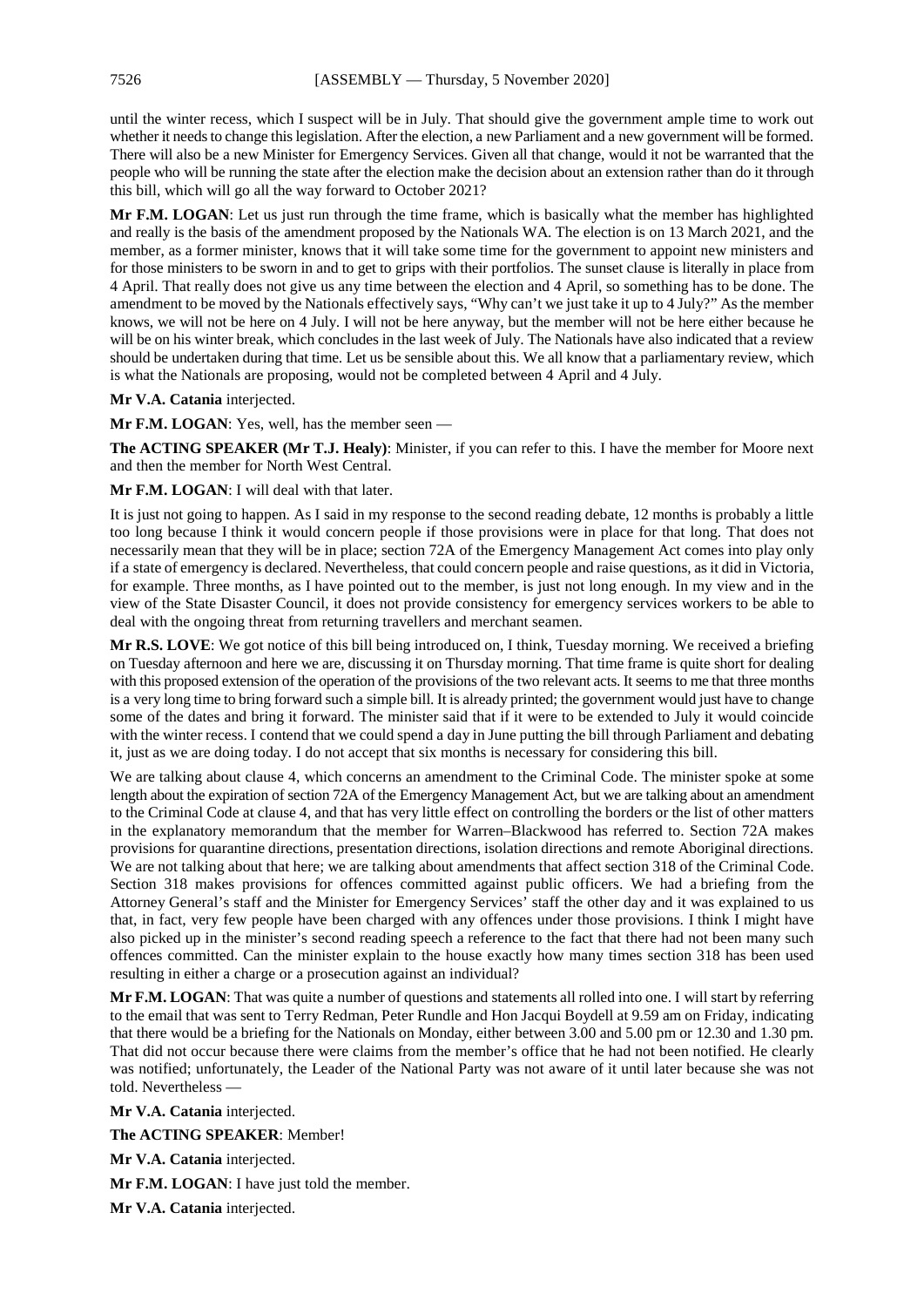until the winter recess, which I suspect will be in July. That should give the government ample time to work out whether it needs to change this legislation. After the election, a new Parliament and a new government will be formed. There will also be a new Minister for Emergency Services. Given all that change, would it not be warranted that the people who will be running the state after the election make the decision about an extension rather than do it through this bill, which will go all the way forward to October 2021?

**Mr F.M. LOGAN**: Let us just run through the time frame, which is basically what the member has highlighted and really is the basis of the amendment proposed by the Nationals WA. The election is on 13 March 2021, and the member, as a former minister, knows that it will take some time for the government to appoint new ministers and for those ministers to be sworn in and to get to grips with their portfolios. The sunset clause is literally in place from 4 April. That really does not give us any time between the election and 4 April, so something has to be done. The amendment to be moved by the Nationals effectively says, "Why can't we just take it up to 4 July?" As the member knows, we will not be here on 4 July. I will not be here anyway, but the member will not be here either because he will be on his winter break, which concludes in the last week of July. The Nationals have also indicated that a review should be undertaken during that time. Let us be sensible about this. We all know that a parliamentary review, which is what the Nationals are proposing, would not be completed between 4 April and 4 July.

#### **Mr V.A. Catania** interjected.

**Mr F.M. LOGAN**: Yes, well, has the member seen —

**The ACTING SPEAKER (Mr T.J. Healy)**: Minister, if you can refer to this. I have the member for Moore next and then the member for North West Central.

**Mr F.M. LOGAN**: I will deal with that later.

It is just not going to happen. As I said in my response to the second reading debate, 12 months is probably a little too long because I think it would concern people if those provisions were in place for that long. That does not necessarily mean that they will be in place; section 72A of the Emergency Management Act comes into play only if a state of emergency is declared. Nevertheless, that could concern people and raise questions, as it did in Victoria, for example. Three months, as I have pointed out to the member, is just not long enough. In my view and in the view of the State Disaster Council, it does not provide consistency for emergency services workers to be able to deal with the ongoing threat from returning travellers and merchant seamen.

**Mr R.S. LOVE**: We got notice of this bill being introduced on, I think, Tuesday morning. We received a briefing on Tuesday afternoon and here we are, discussing it on Thursday morning. That time frame is quite short for dealing with this proposed extension of the operation of the provisions of the two relevant acts. It seems to me that three months is a very long time to bring forward such a simple bill. It is already printed; the government would just have to change some of the dates and bring it forward. The minister said that if it were to be extended to July it would coincide with the winter recess. I contend that we could spend a day in June putting the bill through Parliament and debating it, just as we are doing today. I do not accept that six months is necessary for considering this bill.

We are talking about clause 4, which concerns an amendment to the Criminal Code. The minister spoke at some length about the expiration of section 72A of the Emergency Management Act, but we are talking about an amendment to the Criminal Code at clause 4, and that has very little effect on controlling the borders or the list of other matters in the explanatory memorandum that the member for Warren–Blackwood has referred to. Section 72A makes provisions for quarantine directions, presentation directions, isolation directions and remote Aboriginal directions. We are not talking about that here; we are talking about amendments that affect section 318 of the Criminal Code. Section 318 makes provisions for offences committed against public officers. We had a briefing from the Attorney General's staff and the Minister for Emergency Services' staff the other day and it was explained to us that, in fact, very few people have been charged with any offences under those provisions. I think I might have also picked up in the minister's second reading speech a reference to the fact that there had not been many such offences committed. Can the minister explain to the house exactly how many times section 318 has been used resulting in either a charge or a prosecution against an individual?

**Mr F.M. LOGAN**: That was quite a number of questions and statements all rolled into one. I will start by referring to the email that was sent to Terry Redman, Peter Rundle and Hon Jacqui Boydell at 9.59 am on Friday, indicating that there would be a briefing for the Nationals on Monday, either between 3.00 and 5.00 pm or 12.30 and 1.30 pm. That did not occur because there were claims from the member's office that he had not been notified. He clearly was notified; unfortunately, the Leader of the National Party was not aware of it until later because she was not told. Nevertheless —

**Mr V.A. Catania** interjected.

**The ACTING SPEAKER**: Member!

**Mr V.A. Catania** interjected.

**Mr F.M. LOGAN**: I have just told the member.

**Mr V.A. Catania** interjected.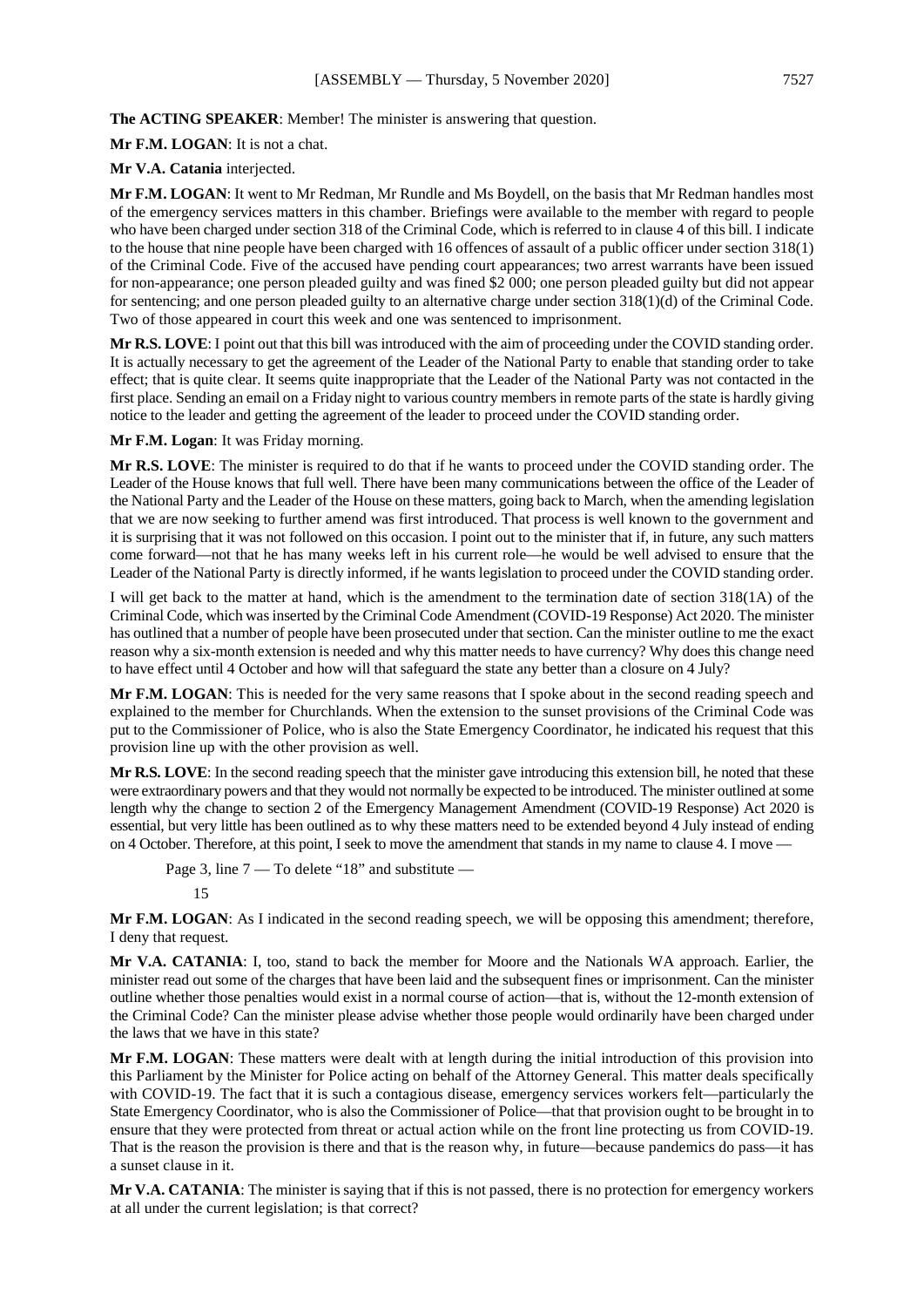**The ACTING SPEAKER**: Member! The minister is answering that question.

**Mr F.M. LOGAN**: It is not a chat.

#### **Mr V.A. Catania** interjected.

**Mr F.M. LOGAN**: It went to Mr Redman, Mr Rundle and Ms Boydell, on the basis that Mr Redman handles most of the emergency services matters in this chamber. Briefings were available to the member with regard to people who have been charged under section 318 of the Criminal Code, which is referred to in clause 4 of this bill. I indicate to the house that nine people have been charged with 16 offences of assault of a public officer under section 318(1) of the Criminal Code. Five of the accused have pending court appearances; two arrest warrants have been issued for non-appearance; one person pleaded guilty and was fined \$2 000; one person pleaded guilty but did not appear for sentencing; and one person pleaded guilty to an alternative charge under section 318(1)(d) of the Criminal Code. Two of those appeared in court this week and one was sentenced to imprisonment.

**Mr R.S. LOVE**: I point out that this bill was introduced with the aim of proceeding under the COVID standing order. It is actually necessary to get the agreement of the Leader of the National Party to enable that standing order to take effect; that is quite clear. It seems quite inappropriate that the Leader of the National Party was not contacted in the first place. Sending an email on a Friday night to various country members in remote parts of the state is hardly giving notice to the leader and getting the agreement of the leader to proceed under the COVID standing order.

**Mr F.M. Logan**: It was Friday morning.

**Mr R.S. LOVE**: The minister is required to do that if he wants to proceed under the COVID standing order. The Leader of the House knows that full well. There have been many communications between the office of the Leader of the National Party and the Leader of the House on these matters, going back to March, when the amending legislation that we are now seeking to further amend was first introduced. That process is well known to the government and it is surprising that it was not followed on this occasion. I point out to the minister that if, in future, any such matters come forward—not that he has many weeks left in his current role—he would be well advised to ensure that the Leader of the National Party is directly informed, if he wants legislation to proceed under the COVID standing order.

I will get back to the matter at hand, which is the amendment to the termination date of section 318(1A) of the Criminal Code, which was inserted by the Criminal Code Amendment (COVID-19 Response) Act 2020. The minister has outlined that a number of people have been prosecuted under that section. Can the minister outline to me the exact reason why a six-month extension is needed and why this matter needs to have currency? Why does this change need to have effect until 4 October and how will that safeguard the state any better than a closure on 4 July?

**Mr F.M. LOGAN**: This is needed for the very same reasons that I spoke about in the second reading speech and explained to the member for Churchlands. When the extension to the sunset provisions of the Criminal Code was put to the Commissioner of Police, who is also the State Emergency Coordinator, he indicated his request that this provision line up with the other provision as well.

**Mr R.S. LOVE**: In the second reading speech that the minister gave introducing this extension bill, he noted that these were extraordinary powers and that they would not normally be expected to be introduced. The minister outlined at some length why the change to section 2 of the Emergency Management Amendment (COVID-19 Response) Act 2020 is essential, but very little has been outlined as to why these matters need to be extended beyond 4 July instead of ending on 4 October. Therefore, at this point, I seek to move the amendment that stands in my name to clause 4. I move —

Page 3, line 7 — To delete "18" and substitute —

#### 15

**Mr F.M. LOGAN**: As I indicated in the second reading speech, we will be opposing this amendment; therefore, I deny that request.

**Mr V.A. CATANIA**: I, too, stand to back the member for Moore and the Nationals WA approach. Earlier, the minister read out some of the charges that have been laid and the subsequent fines or imprisonment. Can the minister outline whether those penalties would exist in a normal course of action—that is, without the 12-month extension of the Criminal Code? Can the minister please advise whether those people would ordinarily have been charged under the laws that we have in this state?

**Mr F.M. LOGAN**: These matters were dealt with at length during the initial introduction of this provision into this Parliament by the Minister for Police acting on behalf of the Attorney General. This matter deals specifically with COVID-19. The fact that it is such a contagious disease, emergency services workers felt—particularly the State Emergency Coordinator, who is also the Commissioner of Police—that that provision ought to be brought in to ensure that they were protected from threat or actual action while on the front line protecting us from COVID-19. That is the reason the provision is there and that is the reason why, in future—because pandemics do pass—it has a sunset clause in it.

**Mr V.A. CATANIA**: The minister is saying that if this is not passed, there is no protection for emergency workers at all under the current legislation; is that correct?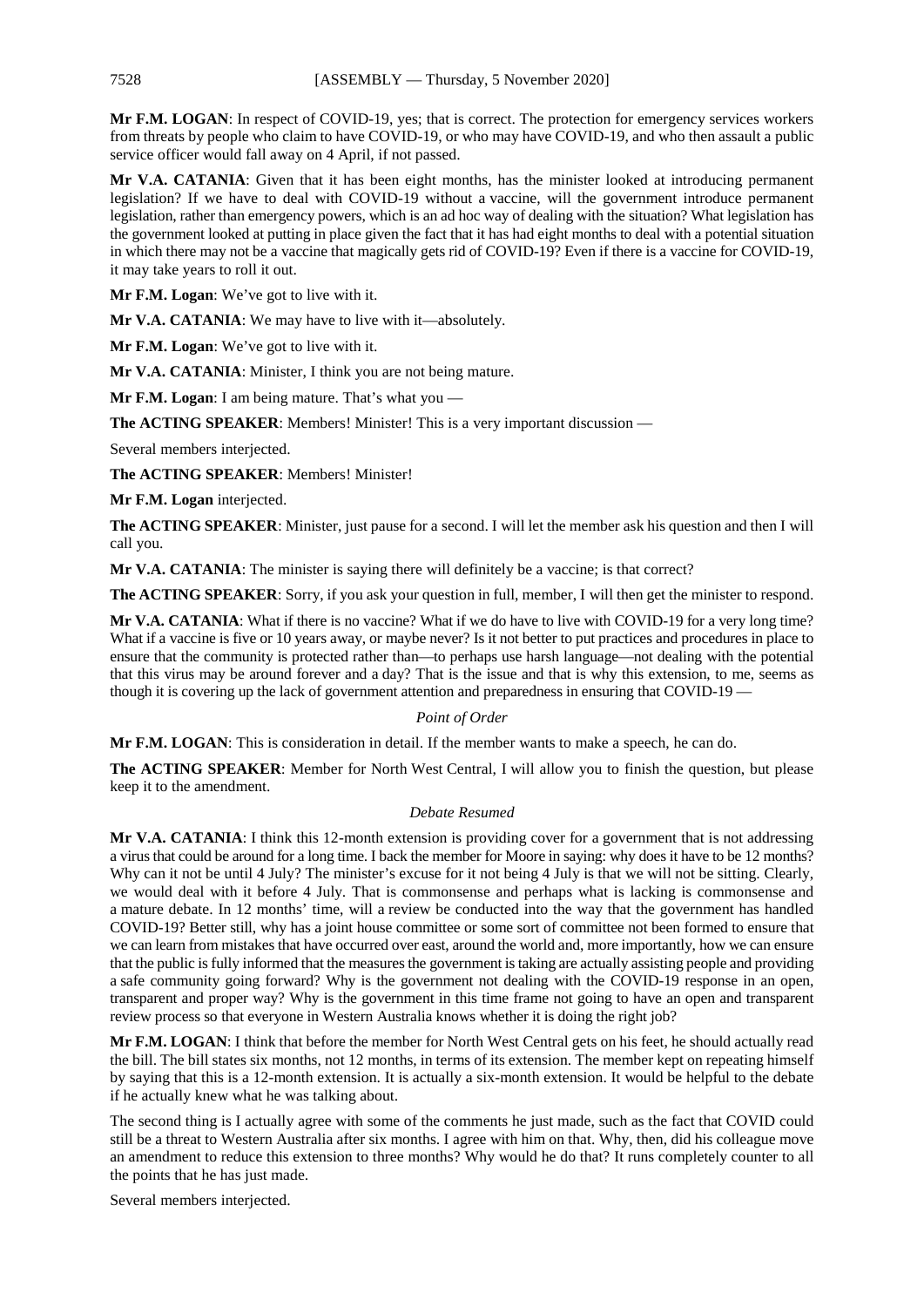**Mr F.M. LOGAN**: In respect of COVID-19, yes; that is correct. The protection for emergency services workers from threats by people who claim to have COVID-19, or who may have COVID-19, and who then assault a public service officer would fall away on 4 April, if not passed.

**Mr V.A. CATANIA**: Given that it has been eight months, has the minister looked at introducing permanent legislation? If we have to deal with COVID-19 without a vaccine, will the government introduce permanent legislation, rather than emergency powers, which is an ad hoc way of dealing with the situation? What legislation has the government looked at putting in place given the fact that it has had eight months to deal with a potential situation in which there may not be a vaccine that magically gets rid of COVID-19? Even if there is a vaccine for COVID-19, it may take years to roll it out.

**Mr F.M. Logan**: We've got to live with it.

**Mr V.A. CATANIA**: We may have to live with it—absolutely.

**Mr F.M. Logan**: We've got to live with it.

**Mr V.A. CATANIA**: Minister, I think you are not being mature.

**Mr F.M. Logan**: I am being mature. That's what you —

**The ACTING SPEAKER:** Members! Minister! This is a very important discussion —

Several members interjected.

**The ACTING SPEAKER**: Members! Minister!

**Mr F.M. Logan** interjected.

**The ACTING SPEAKER**: Minister, just pause for a second. I will let the member ask his question and then I will call you.

**Mr V.A. CATANIA**: The minister is saying there will definitely be a vaccine; is that correct?

**The ACTING SPEAKER**: Sorry, if you ask your question in full, member, I will then get the minister to respond.

**Mr V.A. CATANIA**: What if there is no vaccine? What if we do have to live with COVID-19 for a very long time? What if a vaccine is five or 10 years away, or maybe never? Is it not better to put practices and procedures in place to ensure that the community is protected rather than—to perhaps use harsh language—not dealing with the potential that this virus may be around forever and a day? That is the issue and that is why this extension, to me, seems as though it is covering up the lack of government attention and preparedness in ensuring that COVID-19 —

#### *Point of Order*

**Mr F.M. LOGAN**: This is consideration in detail. If the member wants to make a speech, he can do.

**The ACTING SPEAKER**: Member for North West Central, I will allow you to finish the question, but please keep it to the amendment.

#### *Debate Resumed*

**Mr V.A. CATANIA**: I think this 12-month extension is providing cover for a government that is not addressing a virus that could be around for a long time. I back the member for Moore in saying: why does it have to be 12 months? Why can it not be until 4 July? The minister's excuse for it not being 4 July is that we will not be sitting. Clearly, we would deal with it before 4 July. That is commonsense and perhaps what is lacking is commonsense and a mature debate. In 12 months' time, will a review be conducted into the way that the government has handled COVID-19? Better still, why has a joint house committee or some sort of committee not been formed to ensure that we can learn from mistakes that have occurred over east, around the world and, more importantly, how we can ensure that the public is fully informed that the measures the government is taking are actually assisting people and providing a safe community going forward? Why is the government not dealing with the COVID-19 response in an open, transparent and proper way? Why is the government in this time frame not going to have an open and transparent review process so that everyone in Western Australia knows whether it is doing the right job?

**Mr F.M. LOGAN**: I think that before the member for North West Central gets on his feet, he should actually read the bill. The bill states six months, not 12 months, in terms of its extension. The member kept on repeating himself by saying that this is a 12-month extension. It is actually a six-month extension. It would be helpful to the debate if he actually knew what he was talking about.

The second thing is I actually agree with some of the comments he just made, such as the fact that COVID could still be a threat to Western Australia after six months. I agree with him on that. Why, then, did his colleague move an amendment to reduce this extension to three months? Why would he do that? It runs completely counter to all the points that he has just made.

Several members interjected.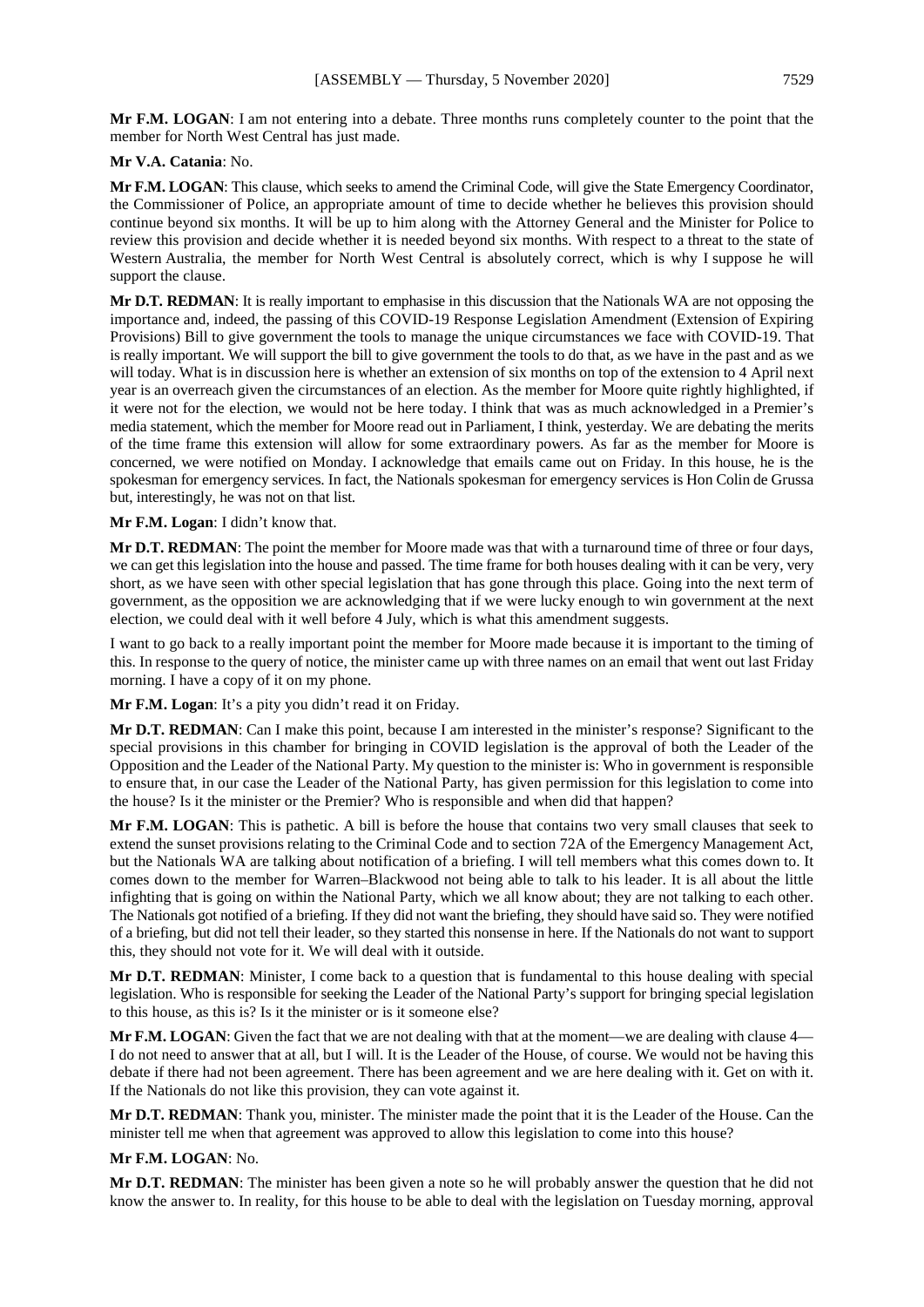#### **Mr V.A. Catania**: No.

member for North West Central has just made.

**Mr F.M. LOGAN**: This clause, which seeks to amend the Criminal Code, will give the State Emergency Coordinator, the Commissioner of Police, an appropriate amount of time to decide whether he believes this provision should continue beyond six months. It will be up to him along with the Attorney General and the Minister for Police to review this provision and decide whether it is needed beyond six months. With respect to a threat to the state of Western Australia, the member for North West Central is absolutely correct, which is why I suppose he will support the clause.

**Mr D.T. REDMAN**: It is really important to emphasise in this discussion that the Nationals WA are not opposing the importance and, indeed, the passing of this COVID-19 Response Legislation Amendment (Extension of Expiring Provisions) Bill to give government the tools to manage the unique circumstances we face with COVID-19. That is really important. We will support the bill to give government the tools to do that, as we have in the past and as we will today. What is in discussion here is whether an extension of six months on top of the extension to 4 April next year is an overreach given the circumstances of an election. As the member for Moore quite rightly highlighted, if it were not for the election, we would not be here today. I think that was as much acknowledged in a Premier's media statement, which the member for Moore read out in Parliament, I think, yesterday. We are debating the merits of the time frame this extension will allow for some extraordinary powers. As far as the member for Moore is concerned, we were notified on Monday. I acknowledge that emails came out on Friday. In this house, he is the spokesman for emergency services. In fact, the Nationals spokesman for emergency services is Hon Colin de Grussa but, interestingly, he was not on that list.

#### **Mr F.M. Logan**: I didn't know that.

**Mr D.T. REDMAN**: The point the member for Moore made was that with a turnaround time of three or four days, we can get this legislation into the house and passed. The time frame for both houses dealing with it can be very, very short, as we have seen with other special legislation that has gone through this place. Going into the next term of government, as the opposition we are acknowledging that if we were lucky enough to win government at the next election, we could deal with it well before 4 July, which is what this amendment suggests.

I want to go back to a really important point the member for Moore made because it is important to the timing of this. In response to the query of notice, the minister came up with three names on an email that went out last Friday morning. I have a copy of it on my phone.

**Mr F.M. Logan**: It's a pity you didn't read it on Friday.

**Mr D.T. REDMAN**: Can I make this point, because I am interested in the minister's response? Significant to the special provisions in this chamber for bringing in COVID legislation is the approval of both the Leader of the Opposition and the Leader of the National Party. My question to the minister is: Who in government is responsible to ensure that, in our case the Leader of the National Party, has given permission for this legislation to come into the house? Is it the minister or the Premier? Who is responsible and when did that happen?

**Mr F.M. LOGAN**: This is pathetic. A bill is before the house that contains two very small clauses that seek to extend the sunset provisions relating to the Criminal Code and to section 72A of the Emergency Management Act, but the Nationals WA are talking about notification of a briefing. I will tell members what this comes down to. It comes down to the member for Warren–Blackwood not being able to talk to his leader. It is all about the little infighting that is going on within the National Party, which we all know about; they are not talking to each other. The Nationals got notified of a briefing. If they did not want the briefing, they should have said so. They were notified of a briefing, but did not tell their leader, so they started this nonsense in here. If the Nationals do not want to support this, they should not vote for it. We will deal with it outside.

**Mr D.T. REDMAN**: Minister, I come back to a question that is fundamental to this house dealing with special legislation. Who is responsible for seeking the Leader of the National Party's support for bringing special legislation to this house, as this is? Is it the minister or is it someone else?

**Mr F.M. LOGAN:** Given the fact that we are not dealing with that at the moment—we are dealing with clause 4— I do not need to answer that at all, but I will. It is the Leader of the House, of course. We would not be having this debate if there had not been agreement. There has been agreement and we are here dealing with it. Get on with it. If the Nationals do not like this provision, they can vote against it.

**Mr D.T. REDMAN**: Thank you, minister. The minister made the point that it is the Leader of the House. Can the minister tell me when that agreement was approved to allow this legislation to come into this house?

#### **Mr F.M. LOGAN**: No.

**Mr D.T. REDMAN**: The minister has been given a note so he will probably answer the question that he did not know the answer to. In reality, for this house to be able to deal with the legislation on Tuesday morning, approval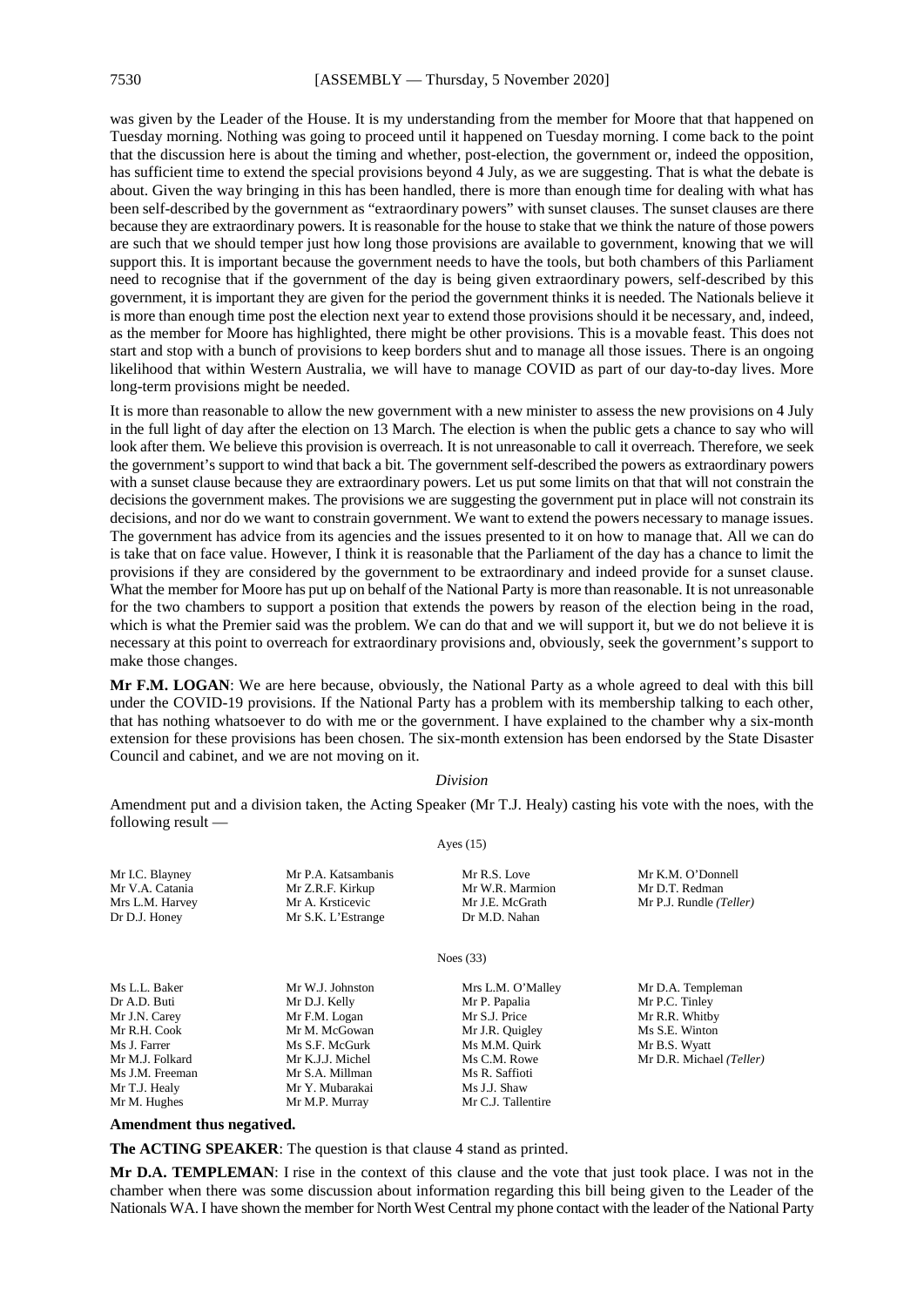was given by the Leader of the House. It is my understanding from the member for Moore that that happened on Tuesday morning. Nothing was going to proceed until it happened on Tuesday morning. I come back to the point that the discussion here is about the timing and whether, post-election, the government or, indeed the opposition, has sufficient time to extend the special provisions beyond 4 July, as we are suggesting. That is what the debate is about. Given the way bringing in this has been handled, there is more than enough time for dealing with what has been self-described by the government as "extraordinary powers" with sunset clauses. The sunset clauses are there because they are extraordinary powers. It is reasonable for the house to stake that we think the nature of those powers are such that we should temper just how long those provisions are available to government, knowing that we will support this. It is important because the government needs to have the tools, but both chambers of this Parliament need to recognise that if the government of the day is being given extraordinary powers, self-described by this government, it is important they are given for the period the government thinks it is needed. The Nationals believe it is more than enough time post the election next year to extend those provisions should it be necessary, and, indeed, as the member for Moore has highlighted, there might be other provisions. This is a movable feast. This does not start and stop with a bunch of provisions to keep borders shut and to manage all those issues. There is an ongoing likelihood that within Western Australia, we will have to manage COVID as part of our day-to-day lives. More long-term provisions might be needed.

It is more than reasonable to allow the new government with a new minister to assess the new provisions on 4 July in the full light of day after the election on 13 March. The election is when the public gets a chance to say who will look after them. We believe this provision is overreach. It is not unreasonable to call it overreach. Therefore, we seek the government's support to wind that back a bit. The government self-described the powers as extraordinary powers with a sunset clause because they are extraordinary powers. Let us put some limits on that that will not constrain the decisions the government makes. The provisions we are suggesting the government put in place will not constrain its decisions, and nor do we want to constrain government. We want to extend the powers necessary to manage issues. The government has advice from its agencies and the issues presented to it on how to manage that. All we can do is take that on face value. However, I think it is reasonable that the Parliament of the day has a chance to limit the provisions if they are considered by the government to be extraordinary and indeed provide for a sunset clause. What the member for Moore has put up on behalf of the National Party is more than reasonable. It is not unreasonable for the two chambers to support a position that extends the powers by reason of the election being in the road, which is what the Premier said was the problem. We can do that and we will support it, but we do not believe it is necessary at this point to overreach for extraordinary provisions and, obviously, seek the government's support to make those changes.

**Mr F.M. LOGAN**: We are here because, obviously, the National Party as a whole agreed to deal with this bill under the COVID-19 provisions. If the National Party has a problem with its membership talking to each other, that has nothing whatsoever to do with me or the government. I have explained to the chamber why a six-month extension for these provisions has been chosen. The six-month extension has been endorsed by the State Disaster Council and cabinet, and we are not moving on it.

#### *Division*

Amendment put and a division taken, the Acting Speaker (Mr T.J. Healy) casting his vote with the noes, with the following result — Ayes (15)

| Mr I.C. Blayney                          | Mr P.A. Katsambanis | Mr R.S. Love       | Mr K.M. O'Donnell        |
|------------------------------------------|---------------------|--------------------|--------------------------|
| Mr V.A. Catania                          | Mr Z.R.F. Kirkup    | Mr W.R. Marmion    | Mr D.T. Redman           |
| Mrs L.M. Harvey                          | Mr A. Krsticevic    | Mr J.E. McGrath    | Mr P.J. Rundle (Teller)  |
| Dr D.J. Honey                            | Mr S.K. L'Estrange  | Dr M.D. Nahan      |                          |
|                                          |                     | Noes $(33)$        |                          |
| Ms L.L. Baker                            | Mr W.J. Johnston    | Mrs L.M. O'Malley  | Mr D.A. Templeman        |
| Dr A.D. Buti                             | Mr D.J. Kelly       | Mr P. Papalia      | Mr P.C. Tinley           |
| Mr J.N. Carey                            | Mr F.M. Logan       | Mr S.J. Price      | Mr R.R. Whitby           |
| Mr R.H. Cook                             | Mr M. McGowan       | Mr J.R. Quigley    | Ms S.E. Winton           |
| Ms J. Farrer                             | Ms S.F. McGurk      | Ms M.M. Quirk      | Mr B.S. Wyatt            |
| Mr M.J. Folkard                          | Mr K.J.J. Michel    | Ms C.M. Rowe       | Mr D.R. Michael (Teller) |
| Ms J.M. Freeman                          | Mr S.A. Millman     | Ms R. Saffioti     |                          |
| Mr T.J. Healy                            | Mr Y. Mubarakai     | Ms J.J. Shaw       |                          |
| Mr M. Hughes                             | Mr M.P. Murray      | Mr C.J. Tallentire |                          |
| A common decident there are a contracted |                     |                    |                          |

#### **Amendment thus negatived.**

**The ACTING SPEAKER**: The question is that clause 4 stand as printed.

**Mr D.A. TEMPLEMAN**: I rise in the context of this clause and the vote that just took place. I was not in the chamber when there was some discussion about information regarding this bill being given to the Leader of the Nationals WA. I have shown the member for North West Central my phone contact with the leader of the National Party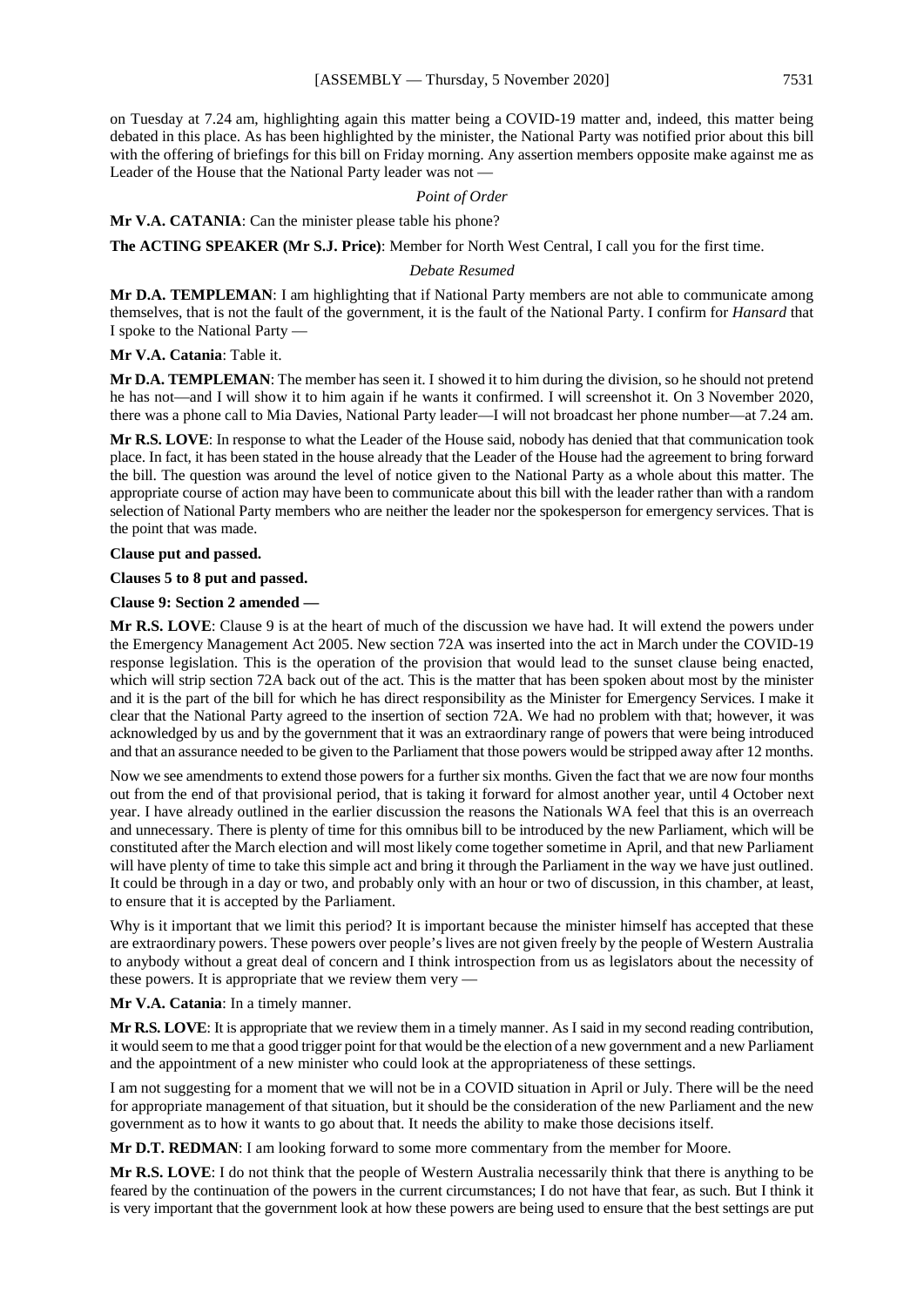on Tuesday at 7.24 am, highlighting again this matter being a COVID-19 matter and, indeed, this matter being debated in this place. As has been highlighted by the minister, the National Party was notified prior about this bill with the offering of briefings for this bill on Friday morning. Any assertion members opposite make against me as Leader of the House that the National Party leader was not —

#### *Point of Order*

#### **Mr V.A. CATANIA**: Can the minister please table his phone?

**The ACTING SPEAKER (Mr S.J. Price)**: Member for North West Central, I call you for the first time.

#### *Debate Resumed*

**Mr D.A. TEMPLEMAN**: I am highlighting that if National Party members are not able to communicate among themselves, that is not the fault of the government, it is the fault of the National Party. I confirm for *Hansard* that I spoke to the National Party —

#### **Mr V.A. Catania**: Table it.

**Mr D.A. TEMPLEMAN:** The member has seen it. I showed it to him during the division, so he should not pretend he has not—and I will show it to him again if he wants it confirmed. I will screenshot it. On 3 November 2020, there was a phone call to Mia Davies, National Party leader—I will not broadcast her phone number—at 7.24 am.

**Mr R.S. LOVE**: In response to what the Leader of the House said, nobody has denied that that communication took place. In fact, it has been stated in the house already that the Leader of the House had the agreement to bring forward the bill. The question was around the level of notice given to the National Party as a whole about this matter. The appropriate course of action may have been to communicate about this bill with the leader rather than with a random selection of National Party members who are neither the leader nor the spokesperson for emergency services. That is the point that was made.

#### **Clause put and passed.**

#### **Clauses 5 to 8 put and passed.**

#### **Clause 9: Section 2 amended —**

**Mr R.S. LOVE**: Clause 9 is at the heart of much of the discussion we have had. It will extend the powers under the Emergency Management Act 2005. New section 72A was inserted into the act in March under the COVID-19 response legislation. This is the operation of the provision that would lead to the sunset clause being enacted, which will strip section 72A back out of the act. This is the matter that has been spoken about most by the minister and it is the part of the bill for which he has direct responsibility as the Minister for Emergency Services. I make it clear that the National Party agreed to the insertion of section 72A. We had no problem with that; however, it was acknowledged by us and by the government that it was an extraordinary range of powers that were being introduced and that an assurance needed to be given to the Parliament that those powers would be stripped away after 12 months.

Now we see amendments to extend those powers for a further six months. Given the fact that we are now four months out from the end of that provisional period, that is taking it forward for almost another year, until 4 October next year. I have already outlined in the earlier discussion the reasons the Nationals WA feel that this is an overreach and unnecessary. There is plenty of time for this omnibus bill to be introduced by the new Parliament, which will be constituted after the March election and will most likely come together sometime in April, and that new Parliament will have plenty of time to take this simple act and bring it through the Parliament in the way we have just outlined. It could be through in a day or two, and probably only with an hour or two of discussion, in this chamber, at least, to ensure that it is accepted by the Parliament.

Why is it important that we limit this period? It is important because the minister himself has accepted that these are extraordinary powers. These powers over people's lives are not given freely by the people of Western Australia to anybody without a great deal of concern and I think introspection from us as legislators about the necessity of these powers. It is appropriate that we review them very —

#### **Mr V.A. Catania**: In a timely manner.

**Mr R.S. LOVE**: It is appropriate that we review them in a timely manner. As I said in my second reading contribution, it would seem to me that a good trigger point for that would be the election of a new government and a new Parliament and the appointment of a new minister who could look at the appropriateness of these settings.

I am not suggesting for a moment that we will not be in a COVID situation in April or July. There will be the need for appropriate management of that situation, but it should be the consideration of the new Parliament and the new government as to how it wants to go about that. It needs the ability to make those decisions itself.

**Mr D.T. REDMAN**: I am looking forward to some more commentary from the member for Moore.

**Mr R.S. LOVE**: I do not think that the people of Western Australia necessarily think that there is anything to be feared by the continuation of the powers in the current circumstances; I do not have that fear, as such. But I think it is very important that the government look at how these powers are being used to ensure that the best settings are put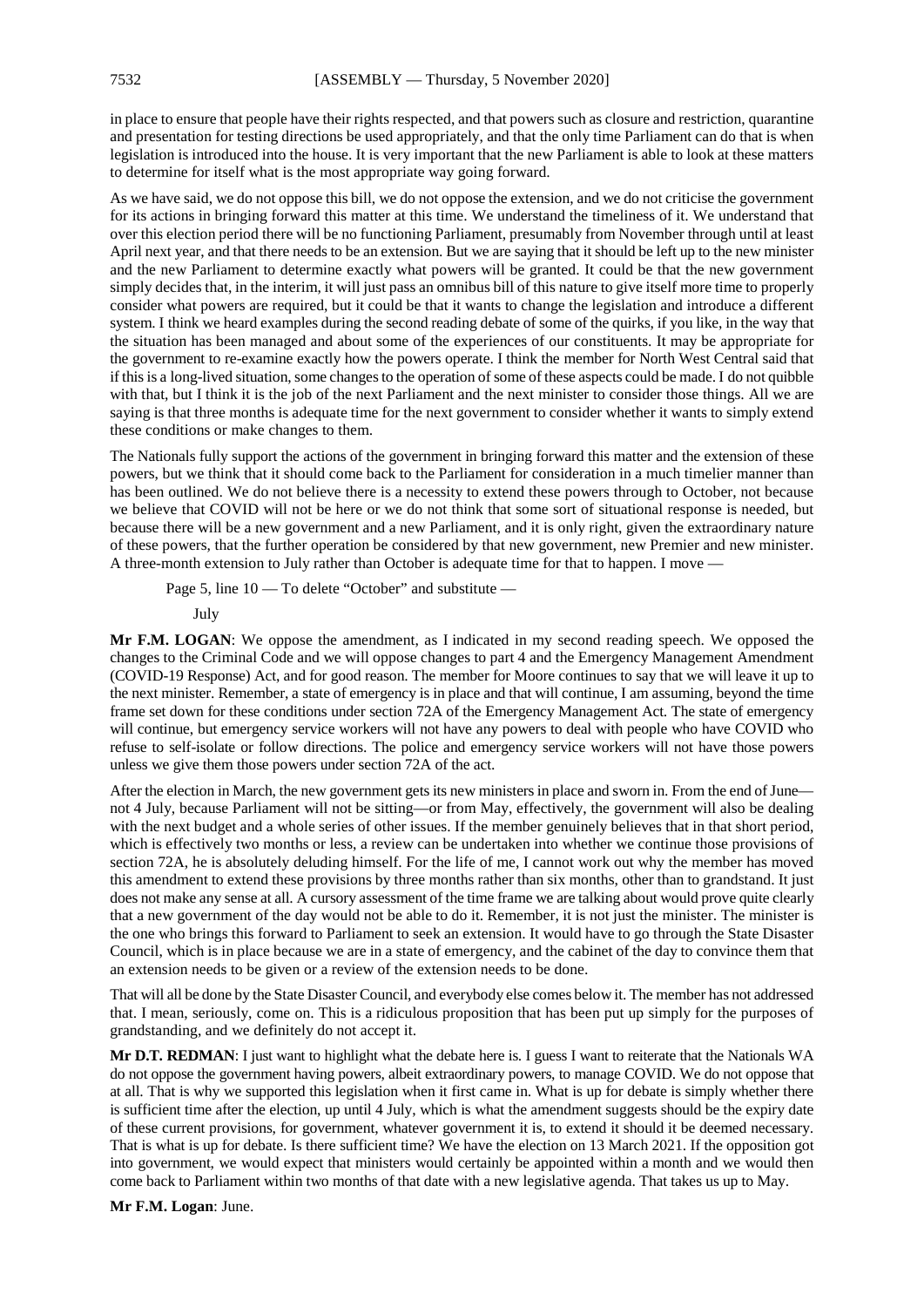in place to ensure that people have their rights respected, and that powers such as closure and restriction, quarantine and presentation for testing directions be used appropriately, and that the only time Parliament can do that is when legislation is introduced into the house. It is very important that the new Parliament is able to look at these matters to determine for itself what is the most appropriate way going forward.

As we have said, we do not oppose this bill, we do not oppose the extension, and we do not criticise the government for its actions in bringing forward this matter at this time. We understand the timeliness of it. We understand that over this election period there will be no functioning Parliament, presumably from November through until at least April next year, and that there needs to be an extension. But we are saying that it should be left up to the new minister and the new Parliament to determine exactly what powers will be granted. It could be that the new government simply decides that, in the interim, it will just pass an omnibus bill of this nature to give itself more time to properly consider what powers are required, but it could be that it wants to change the legislation and introduce a different system. I think we heard examples during the second reading debate of some of the quirks, if you like, in the way that the situation has been managed and about some of the experiences of our constituents. It may be appropriate for the government to re-examine exactly how the powers operate. I think the member for North West Central said that if this is a long-lived situation, some changes to the operation of some of these aspects could be made. I do not quibble with that, but I think it is the job of the next Parliament and the next minister to consider those things. All we are saying is that three months is adequate time for the next government to consider whether it wants to simply extend these conditions or make changes to them.

The Nationals fully support the actions of the government in bringing forward this matter and the extension of these powers, but we think that it should come back to the Parliament for consideration in a much timelier manner than has been outlined. We do not believe there is a necessity to extend these powers through to October, not because we believe that COVID will not be here or we do not think that some sort of situational response is needed, but because there will be a new government and a new Parliament, and it is only right, given the extraordinary nature of these powers, that the further operation be considered by that new government, new Premier and new minister. A three-month extension to July rather than October is adequate time for that to happen. I move —

Page 5, line  $10 -$  To delete "October" and substitute —

July

**Mr F.M. LOGAN**: We oppose the amendment, as I indicated in my second reading speech. We opposed the changes to the Criminal Code and we will oppose changes to part 4 and the Emergency Management Amendment (COVID-19 Response) Act, and for good reason. The member for Moore continues to say that we will leave it up to the next minister. Remember, a state of emergency is in place and that will continue, I am assuming, beyond the time frame set down for these conditions under section 72A of the Emergency Management Act. The state of emergency will continue, but emergency service workers will not have any powers to deal with people who have COVID who refuse to self-isolate or follow directions. The police and emergency service workers will not have those powers unless we give them those powers under section 72A of the act.

After the election in March, the new government gets its new ministersin place and sworn in. From the end of June not 4 July, because Parliament will not be sitting—or from May, effectively, the government will also be dealing with the next budget and a whole series of other issues. If the member genuinely believes that in that short period, which is effectively two months or less, a review can be undertaken into whether we continue those provisions of section 72A, he is absolutely deluding himself. For the life of me, I cannot work out why the member has moved this amendment to extend these provisions by three months rather than six months, other than to grandstand. It just does not make any sense at all. A cursory assessment of the time frame we are talking about would prove quite clearly that a new government of the day would not be able to do it. Remember, it is not just the minister. The minister is the one who brings this forward to Parliament to seek an extension. It would have to go through the State Disaster Council, which is in place because we are in a state of emergency, and the cabinet of the day to convince them that an extension needs to be given or a review of the extension needs to be done.

That will all be done by the State Disaster Council, and everybody else comes below it. The member has not addressed that. I mean, seriously, come on. This is a ridiculous proposition that has been put up simply for the purposes of grandstanding, and we definitely do not accept it.

**Mr D.T. REDMAN**: I just want to highlight what the debate here is. I guess I want to reiterate that the Nationals WA do not oppose the government having powers, albeit extraordinary powers, to manage COVID. We do not oppose that at all. That is why we supported this legislation when it first came in. What is up for debate is simply whether there is sufficient time after the election, up until 4 July, which is what the amendment suggests should be the expiry date of these current provisions, for government, whatever government it is, to extend it should it be deemed necessary. That is what is up for debate. Is there sufficient time? We have the election on 13 March 2021. If the opposition got into government, we would expect that ministers would certainly be appointed within a month and we would then come back to Parliament within two months of that date with a new legislative agenda. That takes us up to May.

**Mr F.M. Logan**: June.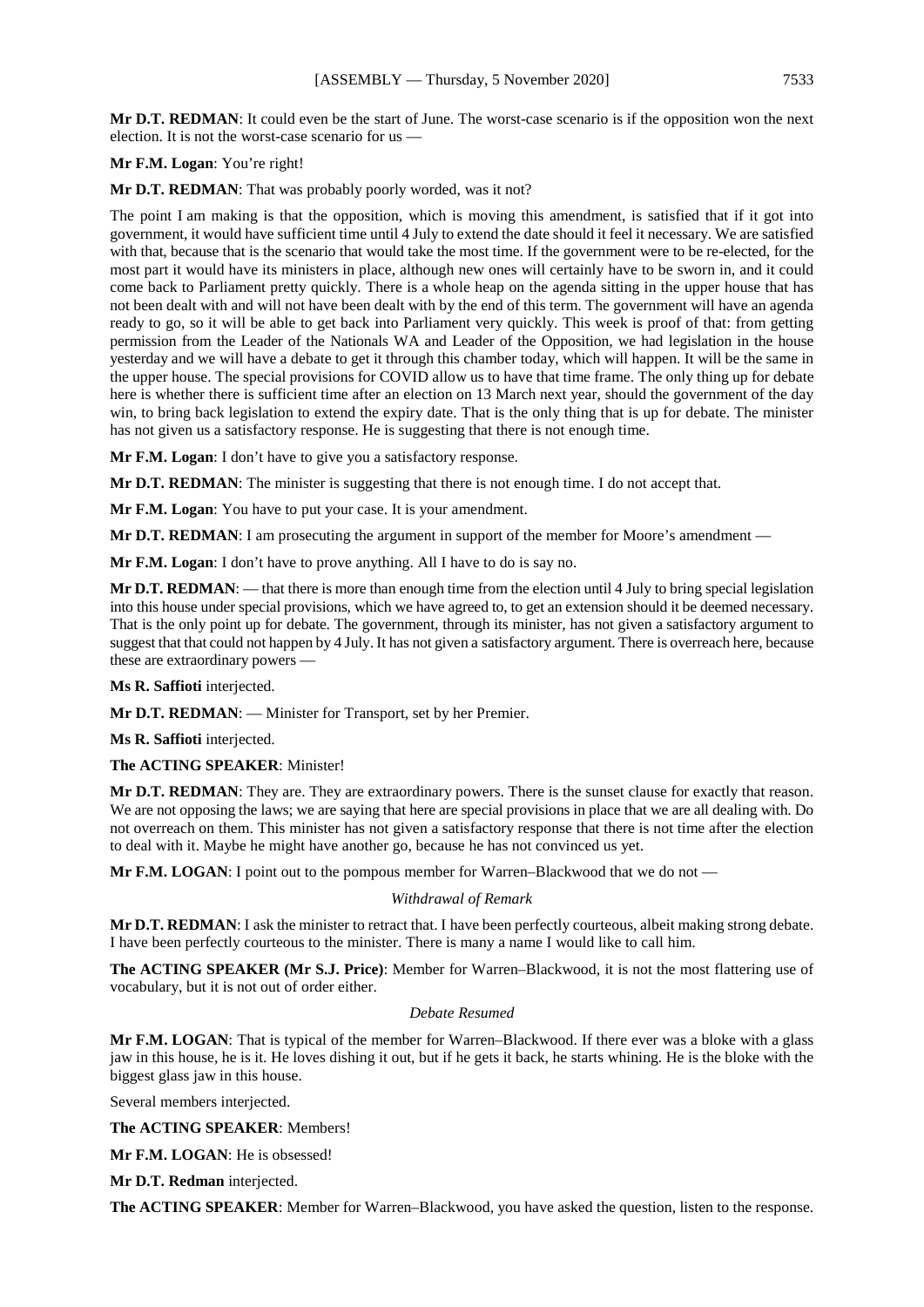**Mr D.T. REDMAN**: It could even be the start of June. The worst-case scenario is if the opposition won the next election. It is not the worst-case scenario for us —

#### **Mr F.M. Logan**: You're right!

**Mr D.T. REDMAN**: That was probably poorly worded, was it not?

The point I am making is that the opposition, which is moving this amendment, is satisfied that if it got into government, it would have sufficient time until 4 July to extend the date should it feel it necessary. We are satisfied with that, because that is the scenario that would take the most time. If the government were to be re-elected, for the most part it would have its ministers in place, although new ones will certainly have to be sworn in, and it could come back to Parliament pretty quickly. There is a whole heap on the agenda sitting in the upper house that has not been dealt with and will not have been dealt with by the end of this term. The government will have an agenda ready to go, so it will be able to get back into Parliament very quickly. This week is proof of that: from getting permission from the Leader of the Nationals WA and Leader of the Opposition, we had legislation in the house yesterday and we will have a debate to get it through this chamber today, which will happen. It will be the same in the upper house. The special provisions for COVID allow us to have that time frame. The only thing up for debate here is whether there is sufficient time after an election on 13 March next year, should the government of the day win, to bring back legislation to extend the expiry date. That is the only thing that is up for debate. The minister has not given us a satisfactory response. He is suggesting that there is not enough time.

**Mr F.M. Logan**: I don't have to give you a satisfactory response.

**Mr D.T. REDMAN**: The minister is suggesting that there is not enough time. I do not accept that.

**Mr F.M. Logan**: You have to put your case. It is your amendment.

**Mr D.T. REDMAN**: I am prosecuting the argument in support of the member for Moore's amendment —

**Mr F.M. Logan**: I don't have to prove anything. All I have to do is say no.

**Mr D.T. REDMAN:** — that there is more than enough time from the election until 4 July to bring special legislation into this house under special provisions, which we have agreed to, to get an extension should it be deemed necessary. That is the only point up for debate. The government, through its minister, has not given a satisfactory argument to suggest that that could not happen by 4 July. It has not given a satisfactory argument. There is overreach here, because these are extraordinary powers —

**Ms R. Saffioti** interjected.

**Mr D.T. REDMAN**: — Minister for Transport, set by her Premier.

**Ms R. Saffioti** interjected.

**The ACTING SPEAKER**: Minister!

**Mr D.T. REDMAN**: They are. They are extraordinary powers. There is the sunset clause for exactly that reason. We are not opposing the laws; we are saying that here are special provisions in place that we are all dealing with. Do not overreach on them. This minister has not given a satisfactory response that there is not time after the election to deal with it. Maybe he might have another go, because he has not convinced us yet.

**Mr F.M. LOGAN**: I point out to the pompous member for Warren–Blackwood that we do not —

#### *Withdrawal of Remark*

**Mr D.T. REDMAN**: I ask the minister to retract that. I have been perfectly courteous, albeit making strong debate. I have been perfectly courteous to the minister. There is many a name I would like to call him.

**The ACTING SPEAKER (Mr S.J. Price)**: Member for Warren–Blackwood, it is not the most flattering use of vocabulary, but it is not out of order either.

#### *Debate Resumed*

**Mr F.M. LOGAN**: That is typical of the member for Warren–Blackwood. If there ever was a bloke with a glass jaw in this house, he is it. He loves dishing it out, but if he gets it back, he starts whining. He is the bloke with the biggest glass jaw in this house.

Several members interjected.

**The ACTING SPEAKER**: Members!

**Mr F.M. LOGAN**: He is obsessed!

**Mr D.T. Redman** interjected.

**The ACTING SPEAKER**: Member for Warren–Blackwood, you have asked the question, listen to the response.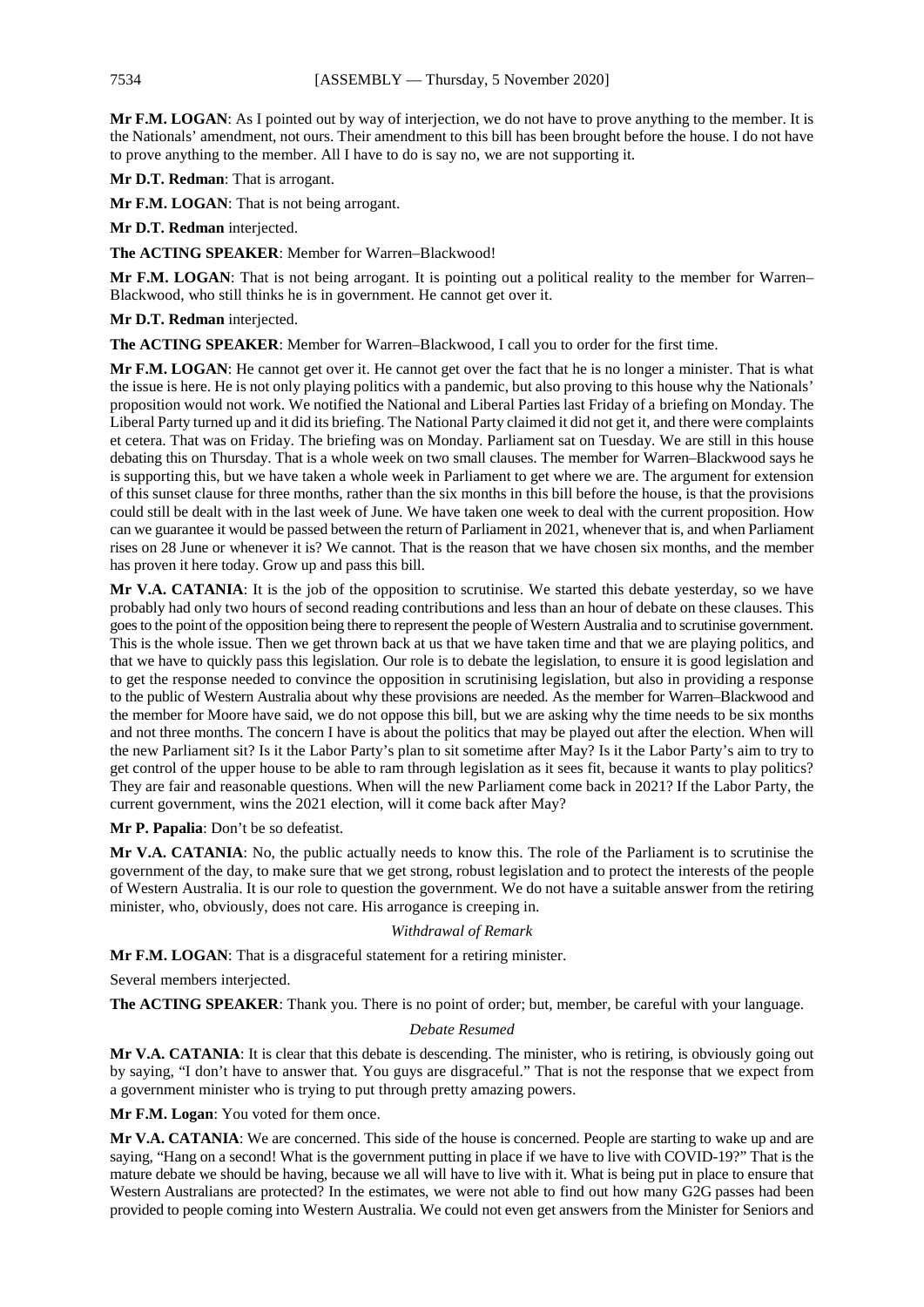**Mr F.M. LOGAN**: As I pointed out by way of interjection, we do not have to prove anything to the member. It is the Nationals' amendment, not ours. Their amendment to this bill has been brought before the house. I do not have to prove anything to the member. All I have to do is say no, we are not supporting it.

**Mr D.T. Redman**: That is arrogant.

**Mr F.M. LOGAN**: That is not being arrogant.

**Mr D.T. Redman** interjected.

**The ACTING SPEAKER**: Member for Warren–Blackwood!

**Mr F.M. LOGAN**: That is not being arrogant. It is pointing out a political reality to the member for Warren– Blackwood, who still thinks he is in government. He cannot get over it.

**Mr D.T. Redman** interjected.

**The ACTING SPEAKER**: Member for Warren–Blackwood, I call you to order for the first time.

**Mr F.M. LOGAN**: He cannot get over it. He cannot get over the fact that he is no longer a minister. That is what the issue is here. He is not only playing politics with a pandemic, but also proving to this house why the Nationals' proposition would not work. We notified the National and Liberal Parties last Friday of a briefing on Monday. The Liberal Party turned up and it did its briefing. The National Party claimed it did not get it, and there were complaints et cetera. That was on Friday. The briefing was on Monday. Parliament sat on Tuesday. We are still in this house debating this on Thursday. That is a whole week on two small clauses. The member for Warren–Blackwood says he is supporting this, but we have taken a whole week in Parliament to get where we are. The argument for extension of this sunset clause for three months, rather than the six months in this bill before the house, is that the provisions could still be dealt with in the last week of June. We have taken one week to deal with the current proposition. How can we guarantee it would be passed between the return of Parliament in 2021, whenever that is, and when Parliament rises on 28 June or whenever it is? We cannot. That is the reason that we have chosen six months, and the member has proven it here today. Grow up and pass this bill.

**Mr V.A. CATANIA**: It is the job of the opposition to scrutinise. We started this debate yesterday, so we have probably had only two hours of second reading contributions and less than an hour of debate on these clauses. This goes to the point of the opposition being there to represent the people of Western Australia and to scrutinise government. This is the whole issue. Then we get thrown back at us that we have taken time and that we are playing politics, and that we have to quickly pass this legislation. Our role is to debate the legislation, to ensure it is good legislation and to get the response needed to convince the opposition in scrutinising legislation, but also in providing a response to the public of Western Australia about why these provisions are needed. As the member for Warren–Blackwood and the member for Moore have said, we do not oppose this bill, but we are asking why the time needs to be six months and not three months. The concern I have is about the politics that may be played out after the election. When will the new Parliament sit? Is it the Labor Party's plan to sit sometime after May? Is it the Labor Party's aim to try to get control of the upper house to be able to ram through legislation as it sees fit, because it wants to play politics? They are fair and reasonable questions. When will the new Parliament come back in 2021? If the Labor Party, the current government, wins the 2021 election, will it come back after May?

**Mr P. Papalia**: Don't be so defeatist.

**Mr V.A. CATANIA**: No, the public actually needs to know this. The role of the Parliament is to scrutinise the government of the day, to make sure that we get strong, robust legislation and to protect the interests of the people of Western Australia. It is our role to question the government. We do not have a suitable answer from the retiring minister, who, obviously, does not care. His arrogance is creeping in.

#### *Withdrawal of Remark*

**Mr F.M. LOGAN**: That is a disgraceful statement for a retiring minister.

Several members interjected.

**The ACTING SPEAKER**: Thank you. There is no point of order; but, member, be careful with your language.

#### *Debate Resumed*

**Mr V.A. CATANIA**: It is clear that this debate is descending. The minister, who is retiring, is obviously going out by saying, "I don't have to answer that. You guys are disgraceful." That is not the response that we expect from a government minister who is trying to put through pretty amazing powers.

**Mr F.M. Logan**: You voted for them once.

**Mr V.A. CATANIA:** We are concerned. This side of the house is concerned. People are starting to wake up and are saying, "Hang on a second! What is the government putting in place if we have to live with COVID-19?" That is the mature debate we should be having, because we all will have to live with it. What is being put in place to ensure that Western Australians are protected? In the estimates, we were not able to find out how many G2G passes had been provided to people coming into Western Australia. We could not even get answers from the Minister for Seniors and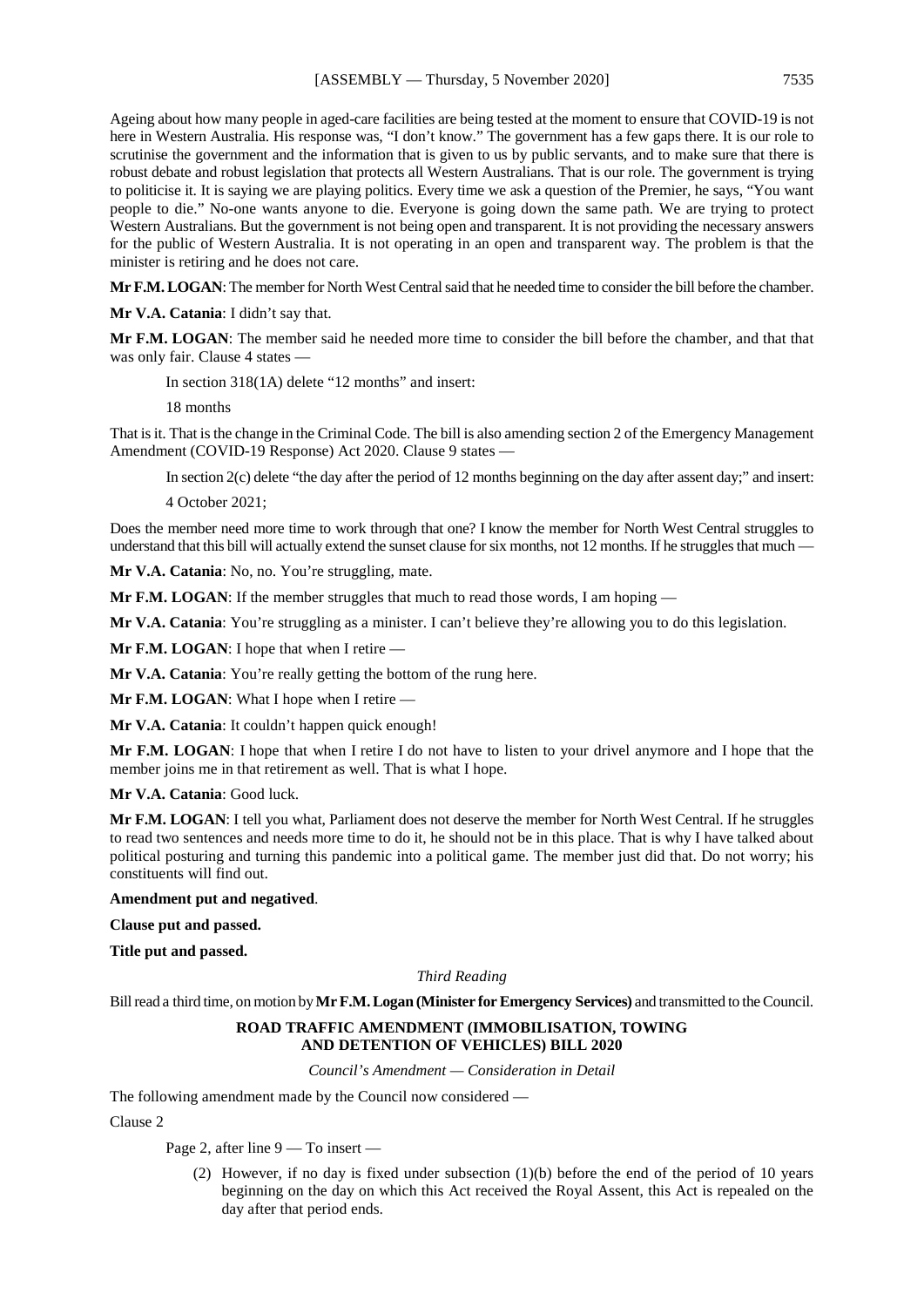Ageing about how many people in aged-care facilities are being tested at the moment to ensure that COVID-19 is not here in Western Australia. His response was, "I don't know." The government has a few gaps there. It is our role to scrutinise the government and the information that is given to us by public servants, and to make sure that there is robust debate and robust legislation that protects all Western Australians. That is our role. The government is trying to politicise it. It is saying we are playing politics. Every time we ask a question of the Premier, he says, "You want people to die." No-one wants anyone to die. Everyone is going down the same path. We are trying to protect Western Australians. But the government is not being open and transparent. It is not providing the necessary answers for the public of Western Australia. It is not operating in an open and transparent way. The problem is that the minister is retiring and he does not care.

**Mr F.M. LOGAN**: The member for North West Central said that he needed time to consider the bill before the chamber.

**Mr V.A. Catania**: I didn't say that.

**Mr F.M. LOGAN**: The member said he needed more time to consider the bill before the chamber, and that that was only fair. Clause 4 states —

In section 318(1A) delete "12 months" and insert:

18 months

That is it. That is the change in the Criminal Code. The bill is also amending section 2 of the Emergency Management Amendment (COVID-19 Response) Act 2020. Clause 9 states —

In section 2(c) delete "the day after the period of 12 months beginning on the day after assent day;" and insert:

4 October 2021;

Does the member need more time to work through that one? I know the member for North West Central struggles to understand that this bill will actually extend the sunset clause for six months, not 12 months. If he struggles that much —

**Mr V.A. Catania**: No, no. You're struggling, mate.

**Mr F.M. LOGAN**: If the member struggles that much to read those words, I am hoping —

**Mr V.A. Catania**: You're struggling as a minister. I can't believe they're allowing you to do this legislation.

**Mr F.M. LOGAN**: I hope that when I retire —

**Mr V.A. Catania**: You're really getting the bottom of the rung here.

**Mr F.M. LOGAN**: What I hope when I retire —

**Mr V.A. Catania**: It couldn't happen quick enough!

**Mr F.M. LOGAN**: I hope that when I retire I do not have to listen to your drivel anymore and I hope that the member joins me in that retirement as well. That is what I hope.

**Mr V.A. Catania**: Good luck.

**Mr F.M. LOGAN**: I tell you what, Parliament does not deserve the member for North West Central. If he struggles to read two sentences and needs more time to do it, he should not be in this place. That is why I have talked about political posturing and turning this pandemic into a political game. The member just did that. Do not worry; his constituents will find out.

**Amendment put and negatived**.

**Clause put and passed.**

**Title put and passed.**

#### *Third Reading*

Bill read a third time, on motion by **Mr F.M. Logan (Minister for Emergency Services)** and transmitted to the Council.

#### **ROAD TRAFFIC AMENDMENT (IMMOBILISATION, TOWING AND DETENTION OF VEHICLES) BILL 2020**

*Council's Amendment — Consideration in Detail*

The following amendment made by the Council now considered —

Clause 2

Page 2, after line 9 — To insert —

(2) However, if no day is fixed under subsection (1)(b) before the end of the period of 10 years beginning on the day on which this Act received the Royal Assent, this Act is repealed on the day after that period ends.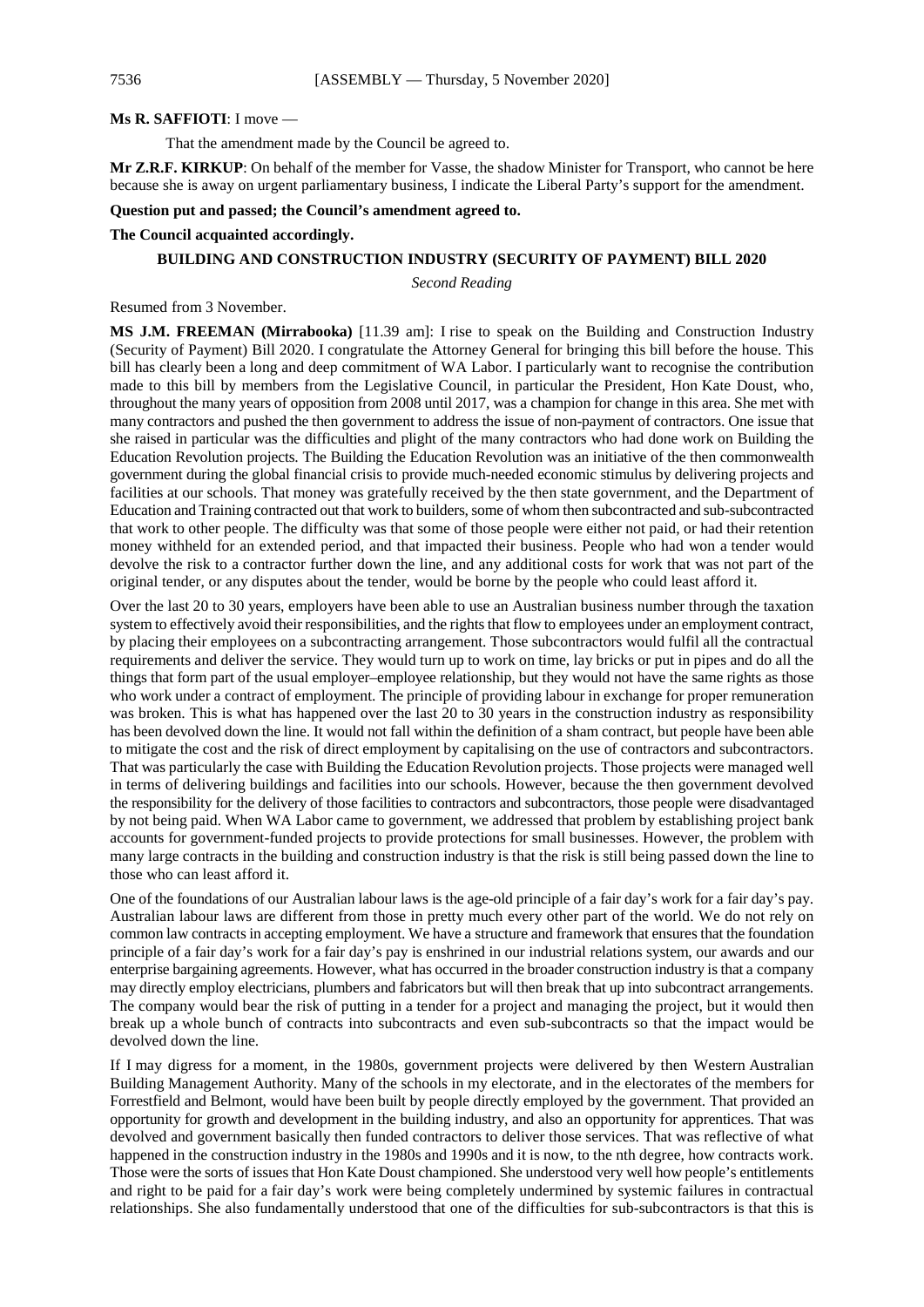#### **Ms R. SAFFIOTI**: I move —

That the amendment made by the Council be agreed to.

**Mr Z.R.F. KIRKUP**: On behalf of the member for Vasse, the shadow Minister for Transport, who cannot be here because she is away on urgent parliamentary business, I indicate the Liberal Party's support for the amendment.

#### **Question put and passed; the Council's amendment agreed to.**

#### **The Council acquainted accordingly.**

#### **BUILDING AND CONSTRUCTION INDUSTRY (SECURITY OF PAYMENT) BILL 2020**

*Second Reading*

Resumed from 3 November.

**MS J.M. FREEMAN (Mirrabooka)** [11.39 am]: I rise to speak on the Building and Construction Industry (Security of Payment) Bill 2020. I congratulate the Attorney General for bringing this bill before the house. This bill has clearly been a long and deep commitment of WA Labor. I particularly want to recognise the contribution made to this bill by members from the Legislative Council, in particular the President, Hon Kate Doust, who, throughout the many years of opposition from 2008 until 2017, was a champion for change in this area. She met with many contractors and pushed the then government to address the issue of non-payment of contractors. One issue that she raised in particular was the difficulties and plight of the many contractors who had done work on Building the Education Revolution projects. The Building the Education Revolution was an initiative of the then commonwealth government during the global financial crisis to provide much-needed economic stimulus by delivering projects and facilities at our schools. That money was gratefully received by the then state government, and the Department of Education and Training contracted out that work to builders, some of whom then subcontracted and sub-subcontracted that work to other people. The difficulty was that some of those people were either not paid, or had their retention money withheld for an extended period, and that impacted their business. People who had won a tender would devolve the risk to a contractor further down the line, and any additional costs for work that was not part of the original tender, or any disputes about the tender, would be borne by the people who could least afford it.

Over the last 20 to 30 years, employers have been able to use an Australian business number through the taxation system to effectively avoid their responsibilities, and the rights that flow to employees under an employment contract, by placing their employees on a subcontracting arrangement. Those subcontractors would fulfil all the contractual requirements and deliver the service. They would turn up to work on time, lay bricks or put in pipes and do all the things that form part of the usual employer–employee relationship, but they would not have the same rights as those who work under a contract of employment. The principle of providing labour in exchange for proper remuneration was broken. This is what has happened over the last 20 to 30 years in the construction industry as responsibility has been devolved down the line. It would not fall within the definition of a sham contract, but people have been able to mitigate the cost and the risk of direct employment by capitalising on the use of contractors and subcontractors. That was particularly the case with Building the Education Revolution projects. Those projects were managed well in terms of delivering buildings and facilities into our schools. However, because the then government devolved the responsibility for the delivery of those facilities to contractors and subcontractors, those people were disadvantaged by not being paid. When WA Labor came to government, we addressed that problem by establishing project bank accounts for government-funded projects to provide protections for small businesses. However, the problem with many large contracts in the building and construction industry is that the risk is still being passed down the line to those who can least afford it.

One of the foundations of our Australian labour laws is the age-old principle of a fair day's work for a fair day's pay. Australian labour laws are different from those in pretty much every other part of the world. We do not rely on common law contracts in accepting employment. We have a structure and framework that ensures that the foundation principle of a fair day's work for a fair day's pay is enshrined in our industrial relations system, our awards and our enterprise bargaining agreements. However, what has occurred in the broader construction industry is that a company may directly employ electricians, plumbers and fabricators but will then break that up into subcontract arrangements. The company would bear the risk of putting in a tender for a project and managing the project, but it would then break up a whole bunch of contracts into subcontracts and even sub-subcontracts so that the impact would be devolved down the line.

If I may digress for a moment, in the 1980s, government projects were delivered by then Western Australian Building Management Authority. Many of the schools in my electorate, and in the electorates of the members for Forrestfield and Belmont, would have been built by people directly employed by the government. That provided an opportunity for growth and development in the building industry, and also an opportunity for apprentices. That was devolved and government basically then funded contractors to deliver those services. That was reflective of what happened in the construction industry in the 1980s and 1990s and it is now, to the nth degree, how contracts work. Those were the sorts of issues that Hon Kate Doust championed. She understood very well how people's entitlements and right to be paid for a fair day's work were being completely undermined by systemic failures in contractual relationships. She also fundamentally understood that one of the difficulties for sub-subcontractors is that this is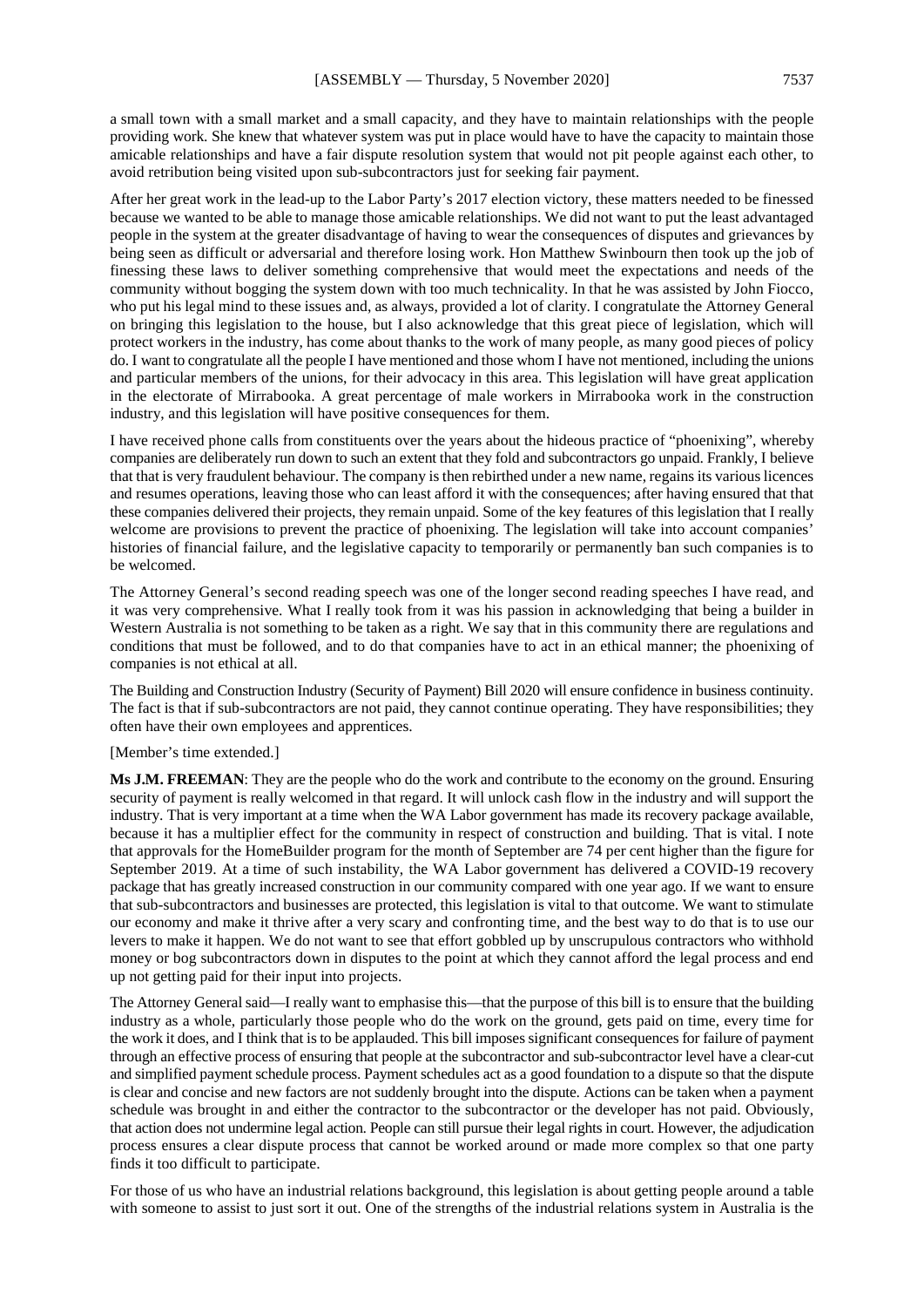a small town with a small market and a small capacity, and they have to maintain relationships with the people providing work. She knew that whatever system was put in place would have to have the capacity to maintain those amicable relationships and have a fair dispute resolution system that would not pit people against each other, to avoid retribution being visited upon sub-subcontractors just for seeking fair payment.

After her great work in the lead-up to the Labor Party's 2017 election victory, these matters needed to be finessed because we wanted to be able to manage those amicable relationships. We did not want to put the least advantaged people in the system at the greater disadvantage of having to wear the consequences of disputes and grievances by being seen as difficult or adversarial and therefore losing work. Hon Matthew Swinbourn then took up the job of finessing these laws to deliver something comprehensive that would meet the expectations and needs of the community without bogging the system down with too much technicality. In that he was assisted by John Fiocco, who put his legal mind to these issues and, as always, provided a lot of clarity. I congratulate the Attorney General on bringing this legislation to the house, but I also acknowledge that this great piece of legislation, which will protect workers in the industry, has come about thanks to the work of many people, as many good pieces of policy do. I want to congratulate all the people I have mentioned and those whom I have not mentioned, including the unions and particular members of the unions, for their advocacy in this area. This legislation will have great application in the electorate of Mirrabooka. A great percentage of male workers in Mirrabooka work in the construction industry, and this legislation will have positive consequences for them.

I have received phone calls from constituents over the years about the hideous practice of "phoenixing", whereby companies are deliberately run down to such an extent that they fold and subcontractors go unpaid. Frankly, I believe that that is very fraudulent behaviour. The company is then rebirthed under a new name, regains its various licences and resumes operations, leaving those who can least afford it with the consequences; after having ensured that that these companies delivered their projects, they remain unpaid. Some of the key features of this legislation that I really welcome are provisions to prevent the practice of phoenixing. The legislation will take into account companies' histories of financial failure, and the legislative capacity to temporarily or permanently ban such companies is to be welcomed.

The Attorney General's second reading speech was one of the longer second reading speeches I have read, and it was very comprehensive. What I really took from it was his passion in acknowledging that being a builder in Western Australia is not something to be taken as a right. We say that in this community there are regulations and conditions that must be followed, and to do that companies have to act in an ethical manner; the phoenixing of companies is not ethical at all.

The Building and Construction Industry (Security of Payment) Bill 2020 will ensure confidence in business continuity. The fact is that if sub-subcontractors are not paid, they cannot continue operating. They have responsibilities; they often have their own employees and apprentices.

#### [Member's time extended.]

**Ms J.M. FREEMAN**: They are the people who do the work and contribute to the economy on the ground. Ensuring security of payment is really welcomed in that regard. It will unlock cash flow in the industry and will support the industry. That is very important at a time when the WA Labor government has made its recovery package available, because it has a multiplier effect for the community in respect of construction and building. That is vital. I note that approvals for the HomeBuilder program for the month of September are 74 per cent higher than the figure for September 2019. At a time of such instability, the WA Labor government has delivered a COVID-19 recovery package that has greatly increased construction in our community compared with one year ago. If we want to ensure that sub-subcontractors and businesses are protected, this legislation is vital to that outcome. We want to stimulate our economy and make it thrive after a very scary and confronting time, and the best way to do that is to use our levers to make it happen. We do not want to see that effort gobbled up by unscrupulous contractors who withhold money or bog subcontractors down in disputes to the point at which they cannot afford the legal process and end up not getting paid for their input into projects.

The Attorney General said—I really want to emphasise this—that the purpose of this bill is to ensure that the building industry as a whole, particularly those people who do the work on the ground, gets paid on time, every time for the work it does, and I think that is to be applauded. This bill imposes significant consequences for failure of payment through an effective process of ensuring that people at the subcontractor and sub-subcontractor level have a clear-cut and simplified payment schedule process. Payment schedules act as a good foundation to a dispute so that the dispute is clear and concise and new factors are not suddenly brought into the dispute. Actions can be taken when a payment schedule was brought in and either the contractor to the subcontractor or the developer has not paid. Obviously, that action does not undermine legal action. People can still pursue their legal rights in court. However, the adjudication process ensures a clear dispute process that cannot be worked around or made more complex so that one party finds it too difficult to participate.

For those of us who have an industrial relations background, this legislation is about getting people around a table with someone to assist to just sort it out. One of the strengths of the industrial relations system in Australia is the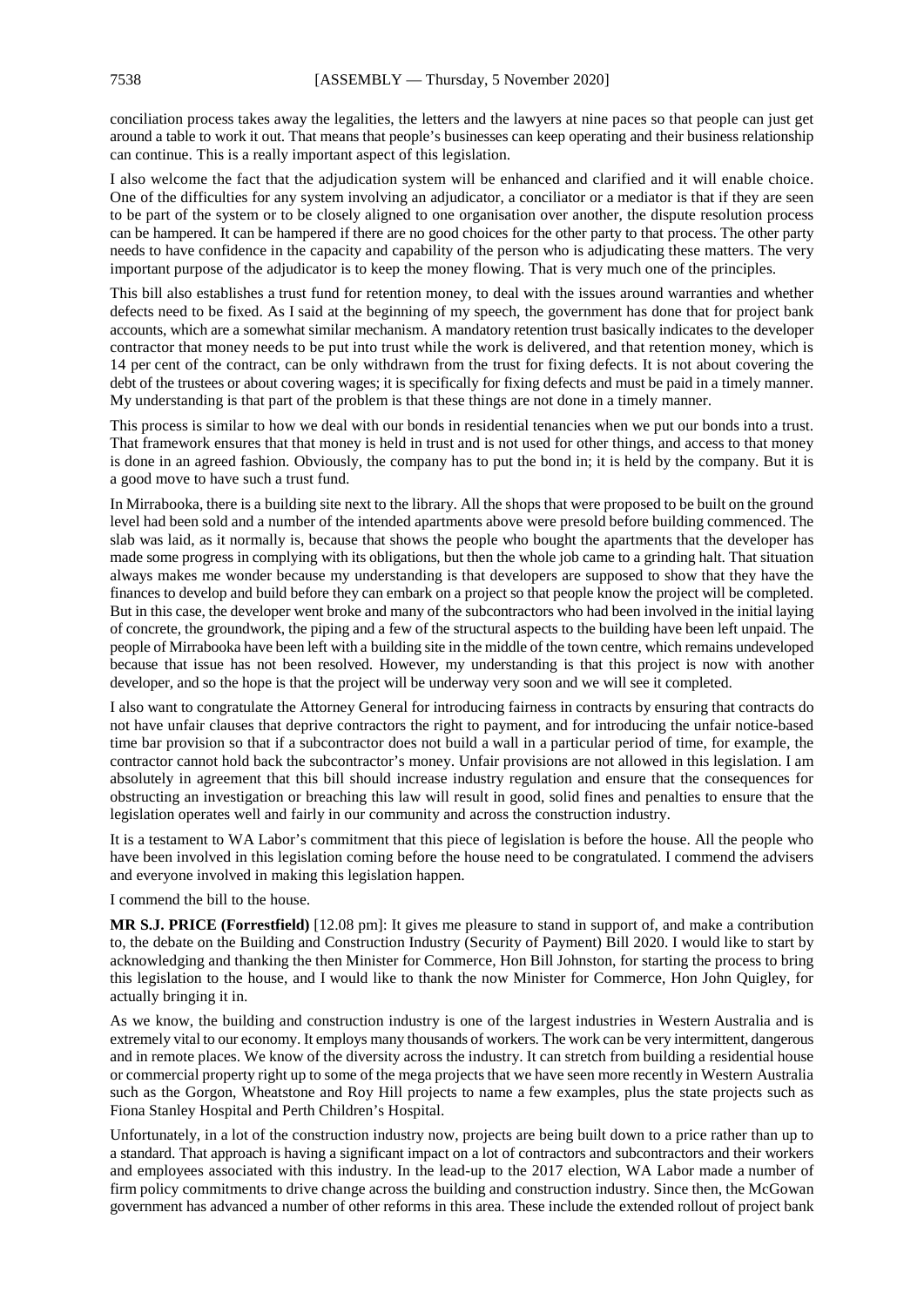conciliation process takes away the legalities, the letters and the lawyers at nine paces so that people can just get around a table to work it out. That means that people's businesses can keep operating and their business relationship can continue. This is a really important aspect of this legislation.

I also welcome the fact that the adjudication system will be enhanced and clarified and it will enable choice. One of the difficulties for any system involving an adjudicator, a conciliator or a mediator is that if they are seen to be part of the system or to be closely aligned to one organisation over another, the dispute resolution process can be hampered. It can be hampered if there are no good choices for the other party to that process. The other party needs to have confidence in the capacity and capability of the person who is adjudicating these matters. The very important purpose of the adjudicator is to keep the money flowing. That is very much one of the principles.

This bill also establishes a trust fund for retention money, to deal with the issues around warranties and whether defects need to be fixed. As I said at the beginning of my speech, the government has done that for project bank accounts, which are a somewhat similar mechanism. A mandatory retention trust basically indicates to the developer contractor that money needs to be put into trust while the work is delivered, and that retention money, which is 14 per cent of the contract, can be only withdrawn from the trust for fixing defects. It is not about covering the debt of the trustees or about covering wages; it is specifically for fixing defects and must be paid in a timely manner. My understanding is that part of the problem is that these things are not done in a timely manner.

This process is similar to how we deal with our bonds in residential tenancies when we put our bonds into a trust. That framework ensures that that money is held in trust and is not used for other things, and access to that money is done in an agreed fashion. Obviously, the company has to put the bond in; it is held by the company. But it is a good move to have such a trust fund.

In Mirrabooka, there is a building site next to the library. All the shops that were proposed to be built on the ground level had been sold and a number of the intended apartments above were presold before building commenced. The slab was laid, as it normally is, because that shows the people who bought the apartments that the developer has made some progress in complying with its obligations, but then the whole job came to a grinding halt. That situation always makes me wonder because my understanding is that developers are supposed to show that they have the finances to develop and build before they can embark on a project so that people know the project will be completed. But in this case, the developer went broke and many of the subcontractors who had been involved in the initial laying of concrete, the groundwork, the piping and a few of the structural aspects to the building have been left unpaid. The people of Mirrabooka have been left with a building site in the middle of the town centre, which remains undeveloped because that issue has not been resolved. However, my understanding is that this project is now with another developer, and so the hope is that the project will be underway very soon and we will see it completed.

I also want to congratulate the Attorney General for introducing fairness in contracts by ensuring that contracts do not have unfair clauses that deprive contractors the right to payment, and for introducing the unfair notice-based time bar provision so that if a subcontractor does not build a wall in a particular period of time, for example, the contractor cannot hold back the subcontractor's money. Unfair provisions are not allowed in this legislation. I am absolutely in agreement that this bill should increase industry regulation and ensure that the consequences for obstructing an investigation or breaching this law will result in good, solid fines and penalties to ensure that the legislation operates well and fairly in our community and across the construction industry.

It is a testament to WA Labor's commitment that this piece of legislation is before the house. All the people who have been involved in this legislation coming before the house need to be congratulated. I commend the advisers and everyone involved in making this legislation happen.

I commend the bill to the house.

**MR S.J. PRICE (Forrestfield)** [12.08 pm]: It gives me pleasure to stand in support of, and make a contribution to, the debate on the Building and Construction Industry (Security of Payment) Bill 2020. I would like to start by acknowledging and thanking the then Minister for Commerce, Hon Bill Johnston, for starting the process to bring this legislation to the house, and I would like to thank the now Minister for Commerce, Hon John Quigley, for actually bringing it in.

As we know, the building and construction industry is one of the largest industries in Western Australia and is extremely vital to our economy. It employs many thousands of workers. The work can be very intermittent, dangerous and in remote places. We know of the diversity across the industry. It can stretch from building a residential house or commercial property right up to some of the mega projects that we have seen more recently in Western Australia such as the Gorgon, Wheatstone and Roy Hill projects to name a few examples, plus the state projects such as Fiona Stanley Hospital and Perth Children's Hospital.

Unfortunately, in a lot of the construction industry now, projects are being built down to a price rather than up to a standard. That approach is having a significant impact on a lot of contractors and subcontractors and their workers and employees associated with this industry. In the lead-up to the 2017 election, WA Labor made a number of firm policy commitments to drive change across the building and construction industry. Since then, the McGowan government has advanced a number of other reforms in this area. These include the extended rollout of project bank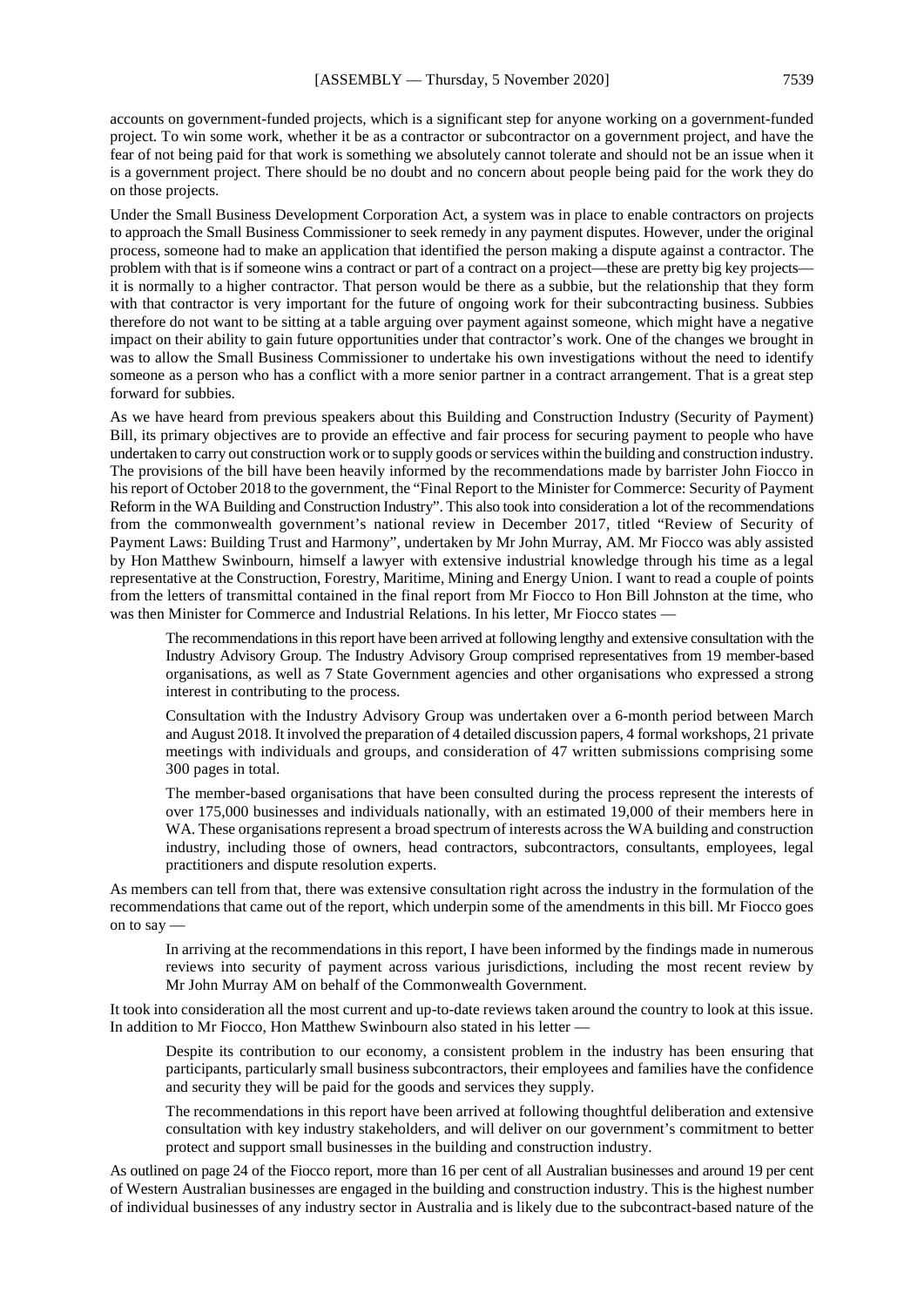accounts on government-funded projects, which is a significant step for anyone working on a government-funded project. To win some work, whether it be as a contractor or subcontractor on a government project, and have the fear of not being paid for that work is something we absolutely cannot tolerate and should not be an issue when it is a government project. There should be no doubt and no concern about people being paid for the work they do on those projects.

Under the Small Business Development Corporation Act, a system was in place to enable contractors on projects to approach the Small Business Commissioner to seek remedy in any payment disputes. However, under the original process, someone had to make an application that identified the person making a dispute against a contractor. The problem with that is if someone wins a contract or part of a contract on a project—these are pretty big key projects it is normally to a higher contractor. That person would be there as a subbie, but the relationship that they form with that contractor is very important for the future of ongoing work for their subcontracting business. Subbies therefore do not want to be sitting at a table arguing over payment against someone, which might have a negative impact on their ability to gain future opportunities under that contractor's work. One of the changes we brought in was to allow the Small Business Commissioner to undertake his own investigations without the need to identify someone as a person who has a conflict with a more senior partner in a contract arrangement. That is a great step forward for subbies.

As we have heard from previous speakers about this Building and Construction Industry (Security of Payment) Bill, its primary objectives are to provide an effective and fair process for securing payment to people who have undertaken to carry out construction work or to supply goods or services within the building and construction industry. The provisions of the bill have been heavily informed by the recommendations made by barrister John Fiocco in his report of October 2018 to the government, the "Final Report to the Minister for Commerce: Security of Payment Reform in the WA Building and Construction Industry". This also took into consideration a lot of the recommendations from the commonwealth government's national review in December 2017, titled "Review of Security of Payment Laws: Building Trust and Harmony", undertaken by Mr John Murray, AM. Mr Fiocco was ably assisted by Hon Matthew Swinbourn, himself a lawyer with extensive industrial knowledge through his time as a legal representative at the Construction, Forestry, Maritime, Mining and Energy Union. I want to read a couple of points from the letters of transmittal contained in the final report from Mr Fiocco to Hon Bill Johnston at the time, who was then Minister for Commerce and Industrial Relations. In his letter, Mr Fiocco states —

The recommendations in this report have been arrived at following lengthy and extensive consultation with the Industry Advisory Group. The Industry Advisory Group comprised representatives from 19 member-based organisations, as well as 7 State Government agencies and other organisations who expressed a strong interest in contributing to the process.

Consultation with the Industry Advisory Group was undertaken over a 6-month period between March and August 2018. It involved the preparation of 4 detailed discussion papers, 4 formal workshops, 21 private meetings with individuals and groups, and consideration of 47 written submissions comprising some 300 pages in total.

The member-based organisations that have been consulted during the process represent the interests of over 175,000 businesses and individuals nationally, with an estimated 19,000 of their members here in WA. These organisations represent a broad spectrum of interests across the WA building and construction industry, including those of owners, head contractors, subcontractors, consultants, employees, legal practitioners and dispute resolution experts.

As members can tell from that, there was extensive consultation right across the industry in the formulation of the recommendations that came out of the report, which underpin some of the amendments in this bill. Mr Fiocco goes on to say —

In arriving at the recommendations in this report, I have been informed by the findings made in numerous reviews into security of payment across various jurisdictions, including the most recent review by Mr John Murray AM on behalf of the Commonwealth Government.

It took into consideration all the most current and up-to-date reviews taken around the country to look at this issue. In addition to Mr Fiocco, Hon Matthew Swinbourn also stated in his letter —

Despite its contribution to our economy, a consistent problem in the industry has been ensuring that participants, particularly small business subcontractors, their employees and families have the confidence and security they will be paid for the goods and services they supply.

The recommendations in this report have been arrived at following thoughtful deliberation and extensive consultation with key industry stakeholders, and will deliver on our government's commitment to better protect and support small businesses in the building and construction industry.

As outlined on page 24 of the Fiocco report, more than 16 per cent of all Australian businesses and around 19 per cent of Western Australian businesses are engaged in the building and construction industry. This is the highest number of individual businesses of any industry sector in Australia and is likely due to the subcontract-based nature of the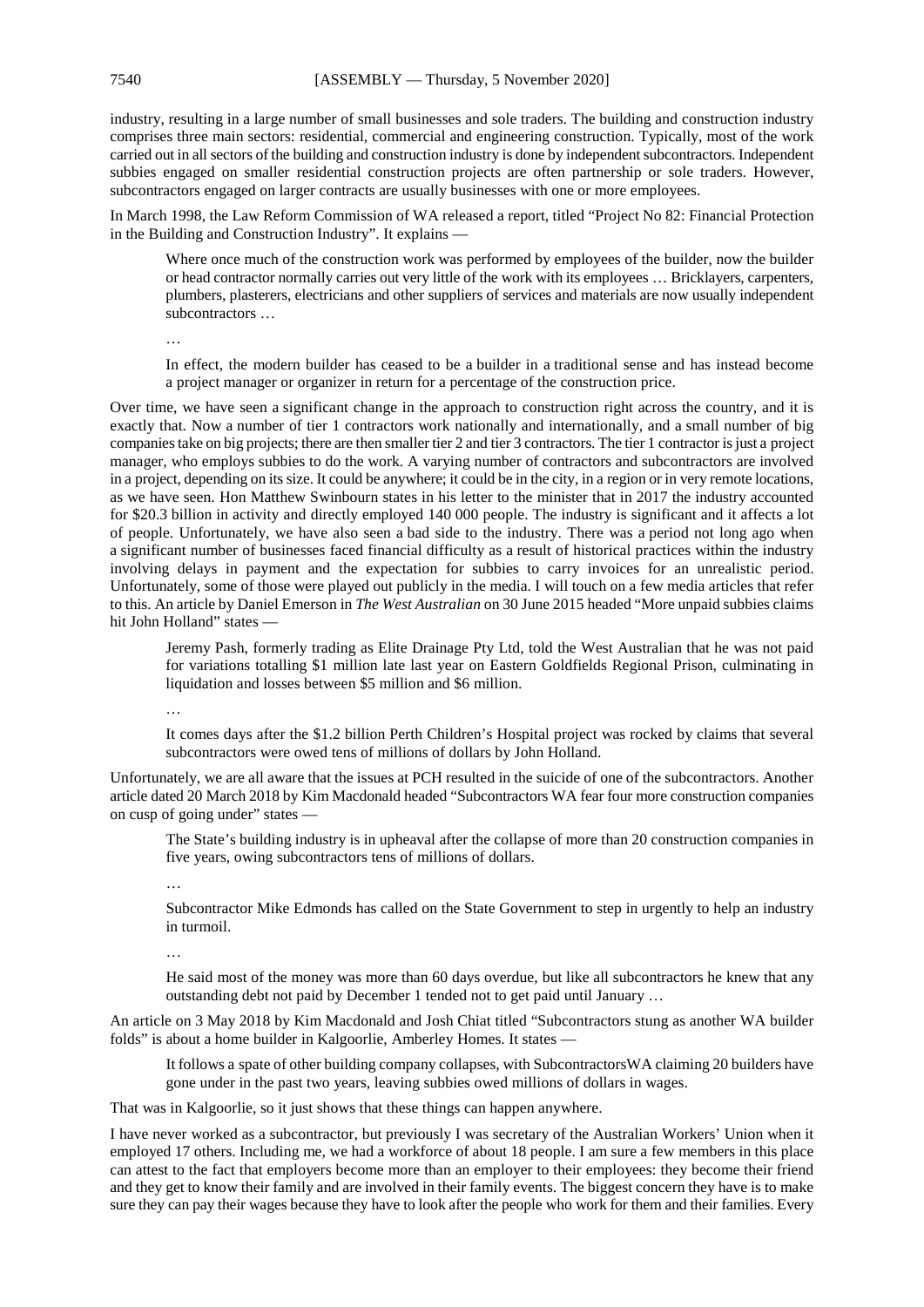industry, resulting in a large number of small businesses and sole traders. The building and construction industry comprises three main sectors: residential, commercial and engineering construction. Typically, most of the work carried out in all sectors of the building and construction industry is done by independent subcontractors. Independent subbies engaged on smaller residential construction projects are often partnership or sole traders. However, subcontractors engaged on larger contracts are usually businesses with one or more employees.

In March 1998, the Law Reform Commission of WA released a report, titled "Project No 82: Financial Protection in the Building and Construction Industry". It explains —

Where once much of the construction work was performed by employees of the builder, now the builder or head contractor normally carries out very little of the work with its employees … Bricklayers, carpenters, plumbers, plasterers, electricians and other suppliers of services and materials are now usually independent subcontractors …

…

In effect, the modern builder has ceased to be a builder in a traditional sense and has instead become a project manager or organizer in return for a percentage of the construction price.

Over time, we have seen a significant change in the approach to construction right across the country, and it is exactly that. Now a number of tier 1 contractors work nationally and internationally, and a small number of big companies take on big projects; there are then smaller tier 2 and tier 3 contractors. The tier 1 contractor is just a project manager, who employs subbies to do the work. A varying number of contractors and subcontractors are involved in a project, depending on its size. It could be anywhere; it could be in the city, in a region or in very remote locations, as we have seen. Hon Matthew Swinbourn states in his letter to the minister that in 2017 the industry accounted for \$20.3 billion in activity and directly employed 140 000 people. The industry is significant and it affects a lot of people. Unfortunately, we have also seen a bad side to the industry. There was a period not long ago when a significant number of businesses faced financial difficulty as a result of historical practices within the industry involving delays in payment and the expectation for subbies to carry invoices for an unrealistic period. Unfortunately, some of those were played out publicly in the media. I will touch on a few media articles that refer to this. An article by Daniel Emerson in *The West Australian* on 30 June 2015 headed "More unpaid subbies claims hit John Holland" states —

Jeremy Pash, formerly trading as Elite Drainage Pty Ltd, told the West Australian that he was not paid for variations totalling \$1 million late last year on Eastern Goldfields Regional Prison, culminating in liquidation and losses between \$5 million and \$6 million.

…

It comes days after the \$1.2 billion Perth Children's Hospital project was rocked by claims that several subcontractors were owed tens of millions of dollars by John Holland.

Unfortunately, we are all aware that the issues at PCH resulted in the suicide of one of the subcontractors. Another article dated 20 March 2018 by Kim Macdonald headed "Subcontractors WA fear four more construction companies on cusp of going under" states —

The State's building industry is in upheaval after the collapse of more than 20 construction companies in five years, owing subcontractors tens of millions of dollars.

…

Subcontractor Mike Edmonds has called on the State Government to step in urgently to help an industry in turmoil.

…

He said most of the money was more than 60 days overdue, but like all subcontractors he knew that any outstanding debt not paid by December 1 tended not to get paid until January …

An article on 3 May 2018 by Kim Macdonald and Josh Chiat titled "Subcontractors stung as another WA builder folds" is about a home builder in Kalgoorlie, Amberley Homes. It states —

It follows a spate of other building company collapses, with SubcontractorsWA claiming 20 builders have gone under in the past two years, leaving subbies owed millions of dollars in wages.

That was in Kalgoorlie, so it just shows that these things can happen anywhere.

I have never worked as a subcontractor, but previously I was secretary of the Australian Workers' Union when it employed 17 others. Including me, we had a workforce of about 18 people. I am sure a few members in this place can attest to the fact that employers become more than an employer to their employees: they become their friend and they get to know their family and are involved in their family events. The biggest concern they have is to make sure they can pay their wages because they have to look after the people who work for them and their families. Every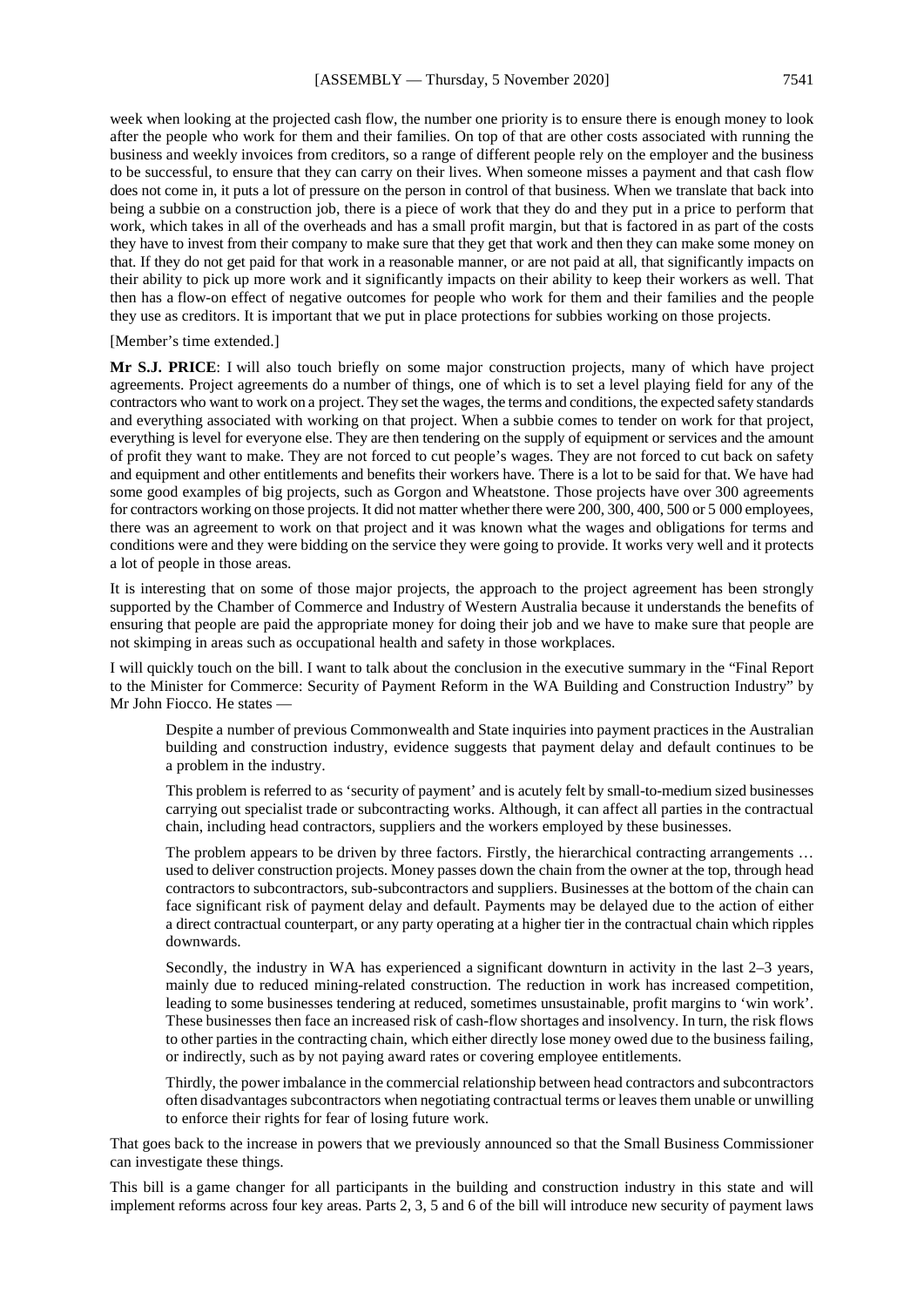week when looking at the projected cash flow, the number one priority is to ensure there is enough money to look after the people who work for them and their families. On top of that are other costs associated with running the business and weekly invoices from creditors, so a range of different people rely on the employer and the business to be successful, to ensure that they can carry on their lives. When someone misses a payment and that cash flow does not come in, it puts a lot of pressure on the person in control of that business. When we translate that back into being a subbie on a construction job, there is a piece of work that they do and they put in a price to perform that work, which takes in all of the overheads and has a small profit margin, but that is factored in as part of the costs they have to invest from their company to make sure that they get that work and then they can make some money on that. If they do not get paid for that work in a reasonable manner, or are not paid at all, that significantly impacts on their ability to pick up more work and it significantly impacts on their ability to keep their workers as well. That then has a flow-on effect of negative outcomes for people who work for them and their families and the people they use as creditors. It is important that we put in place protections for subbies working on those projects.

[Member's time extended.]

**Mr S.J. PRICE**: I will also touch briefly on some major construction projects, many of which have project agreements. Project agreements do a number of things, one of which is to set a level playing field for any of the contractors who want to work on a project. They set the wages, the terms and conditions, the expected safety standards and everything associated with working on that project. When a subbie comes to tender on work for that project, everything is level for everyone else. They are then tendering on the supply of equipment or services and the amount of profit they want to make. They are not forced to cut people's wages. They are not forced to cut back on safety and equipment and other entitlements and benefits their workers have. There is a lot to be said for that. We have had some good examples of big projects, such as Gorgon and Wheatstone. Those projects have over 300 agreements for contractors working on those projects. It did not matter whether there were 200, 300, 400, 500 or 5 000 employees, there was an agreement to work on that project and it was known what the wages and obligations for terms and conditions were and they were bidding on the service they were going to provide. It works very well and it protects a lot of people in those areas.

It is interesting that on some of those major projects, the approach to the project agreement has been strongly supported by the Chamber of Commerce and Industry of Western Australia because it understands the benefits of ensuring that people are paid the appropriate money for doing their job and we have to make sure that people are not skimping in areas such as occupational health and safety in those workplaces.

I will quickly touch on the bill. I want to talk about the conclusion in the executive summary in the "Final Report to the Minister for Commerce: Security of Payment Reform in the WA Building and Construction Industry" by Mr John Fiocco. He states —

Despite a number of previous Commonwealth and State inquiries into payment practices in the Australian building and construction industry, evidence suggests that payment delay and default continues to be a problem in the industry.

This problem is referred to as 'security of payment' and is acutely felt by small-to-medium sized businesses carrying out specialist trade or subcontracting works. Although, it can affect all parties in the contractual chain, including head contractors, suppliers and the workers employed by these businesses.

The problem appears to be driven by three factors. Firstly, the hierarchical contracting arrangements ... used to deliver construction projects. Money passes down the chain from the owner at the top, through head contractors to subcontractors, sub-subcontractors and suppliers. Businesses at the bottom of the chain can face significant risk of payment delay and default. Payments may be delayed due to the action of either a direct contractual counterpart, or any party operating at a higher tier in the contractual chain which ripples downwards.

Secondly, the industry in WA has experienced a significant downturn in activity in the last 2–3 years, mainly due to reduced mining-related construction. The reduction in work has increased competition, leading to some businesses tendering at reduced, sometimes unsustainable, profit margins to 'win work'. These businesses then face an increased risk of cash-flow shortages and insolvency. In turn, the risk flows to other parties in the contracting chain, which either directly lose money owed due to the business failing, or indirectly, such as by not paying award rates or covering employee entitlements.

Thirdly, the power imbalance in the commercial relationship between head contractors and subcontractors often disadvantages subcontractors when negotiating contractual terms or leaves them unable or unwilling to enforce their rights for fear of losing future work.

That goes back to the increase in powers that we previously announced so that the Small Business Commissioner can investigate these things.

This bill is a game changer for all participants in the building and construction industry in this state and will implement reforms across four key areas. Parts 2, 3, 5 and 6 of the bill will introduce new security of payment laws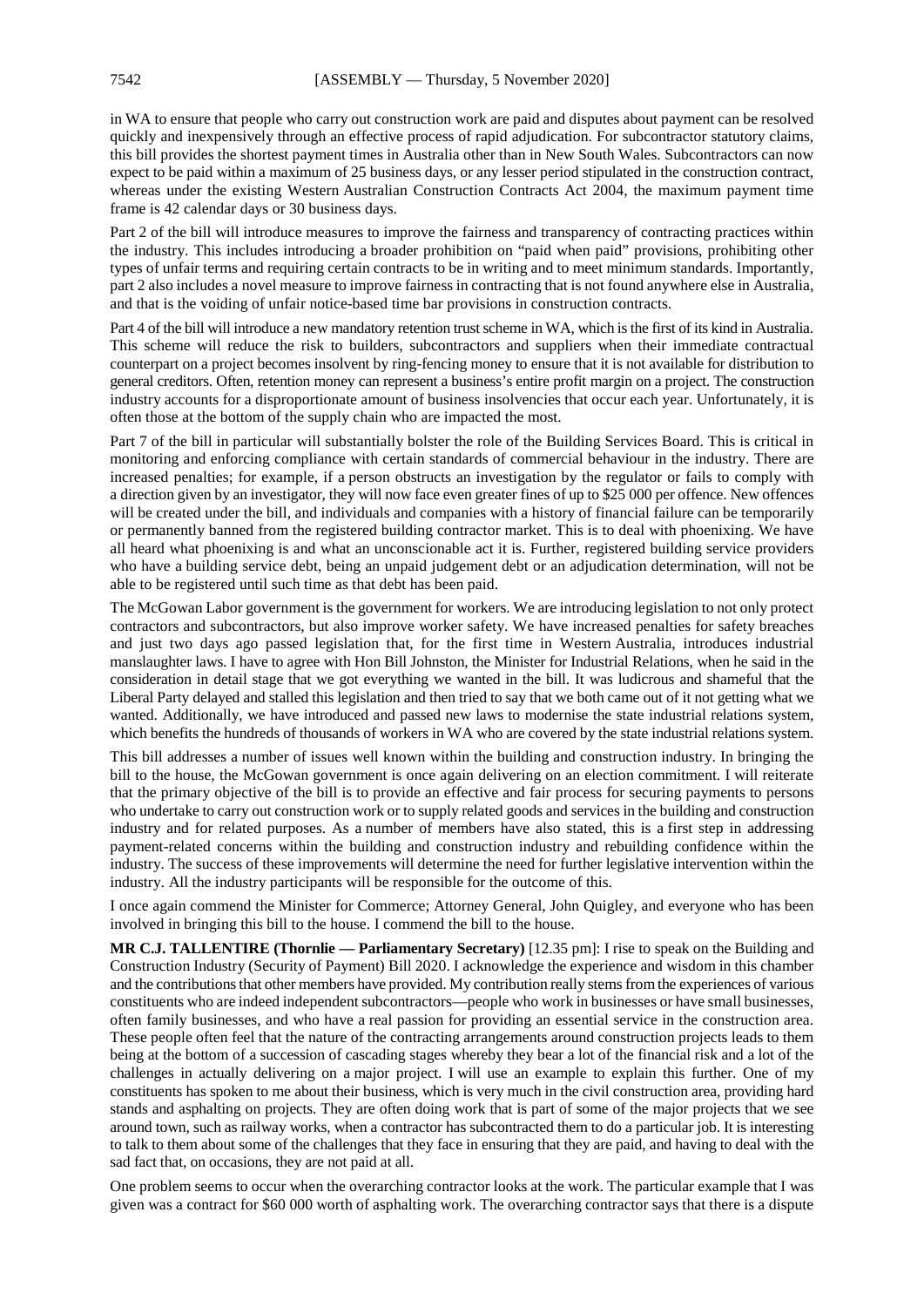in WA to ensure that people who carry out construction work are paid and disputes about payment can be resolved quickly and inexpensively through an effective process of rapid adjudication. For subcontractor statutory claims, this bill provides the shortest payment times in Australia other than in New South Wales. Subcontractors can now expect to be paid within a maximum of 25 business days, or any lesser period stipulated in the construction contract, whereas under the existing Western Australian Construction Contracts Act 2004, the maximum payment time frame is 42 calendar days or 30 business days.

Part 2 of the bill will introduce measures to improve the fairness and transparency of contracting practices within the industry. This includes introducing a broader prohibition on "paid when paid" provisions, prohibiting other types of unfair terms and requiring certain contracts to be in writing and to meet minimum standards. Importantly, part 2 also includes a novel measure to improve fairness in contracting that is not found anywhere else in Australia, and that is the voiding of unfair notice-based time bar provisions in construction contracts.

Part 4 of the bill will introduce a new mandatory retention trust scheme in WA, which is the first of its kind in Australia. This scheme will reduce the risk to builders, subcontractors and suppliers when their immediate contractual counterpart on a project becomes insolvent by ring-fencing money to ensure that it is not available for distribution to general creditors. Often, retention money can represent a business's entire profit margin on a project. The construction industry accounts for a disproportionate amount of business insolvencies that occur each year. Unfortunately, it is often those at the bottom of the supply chain who are impacted the most.

Part 7 of the bill in particular will substantially bolster the role of the Building Services Board. This is critical in monitoring and enforcing compliance with certain standards of commercial behaviour in the industry. There are increased penalties; for example, if a person obstructs an investigation by the regulator or fails to comply with a direction given by an investigator, they will now face even greater fines of up to \$25 000 per offence. New offences will be created under the bill, and individuals and companies with a history of financial failure can be temporarily or permanently banned from the registered building contractor market. This is to deal with phoenixing. We have all heard what phoenixing is and what an unconscionable act it is. Further, registered building service providers who have a building service debt, being an unpaid judgement debt or an adjudication determination, will not be able to be registered until such time as that debt has been paid.

The McGowan Labor government is the government for workers. We are introducing legislation to not only protect contractors and subcontractors, but also improve worker safety. We have increased penalties for safety breaches and just two days ago passed legislation that, for the first time in Western Australia, introduces industrial manslaughter laws. I have to agree with Hon Bill Johnston, the Minister for Industrial Relations, when he said in the consideration in detail stage that we got everything we wanted in the bill. It was ludicrous and shameful that the Liberal Party delayed and stalled this legislation and then tried to say that we both came out of it not getting what we wanted. Additionally, we have introduced and passed new laws to modernise the state industrial relations system, which benefits the hundreds of thousands of workers in WA who are covered by the state industrial relations system.

This bill addresses a number of issues well known within the building and construction industry. In bringing the bill to the house, the McGowan government is once again delivering on an election commitment. I will reiterate that the primary objective of the bill is to provide an effective and fair process for securing payments to persons who undertake to carry out construction work or to supply related goods and services in the building and construction industry and for related purposes. As a number of members have also stated, this is a first step in addressing payment-related concerns within the building and construction industry and rebuilding confidence within the industry. The success of these improvements will determine the need for further legislative intervention within the industry. All the industry participants will be responsible for the outcome of this.

I once again commend the Minister for Commerce; Attorney General, John Quigley, and everyone who has been involved in bringing this bill to the house. I commend the bill to the house.

**MR C.J. TALLENTIRE (Thornlie — Parliamentary Secretary)** [12.35 pm]: I rise to speak on the Building and Construction Industry (Security of Payment) Bill 2020. I acknowledge the experience and wisdom in this chamber and the contributions that other members have provided. My contribution really stems from the experiences of various constituents who are indeed independent subcontractors—people who work in businesses or have small businesses, often family businesses, and who have a real passion for providing an essential service in the construction area. These people often feel that the nature of the contracting arrangements around construction projects leads to them being at the bottom of a succession of cascading stages whereby they bear a lot of the financial risk and a lot of the challenges in actually delivering on a major project. I will use an example to explain this further. One of my constituents has spoken to me about their business, which is very much in the civil construction area, providing hard stands and asphalting on projects. They are often doing work that is part of some of the major projects that we see around town, such as railway works, when a contractor has subcontracted them to do a particular job. It is interesting to talk to them about some of the challenges that they face in ensuring that they are paid, and having to deal with the sad fact that, on occasions, they are not paid at all.

One problem seems to occur when the overarching contractor looks at the work. The particular example that I was given was a contract for \$60 000 worth of asphalting work. The overarching contractor says that there is a dispute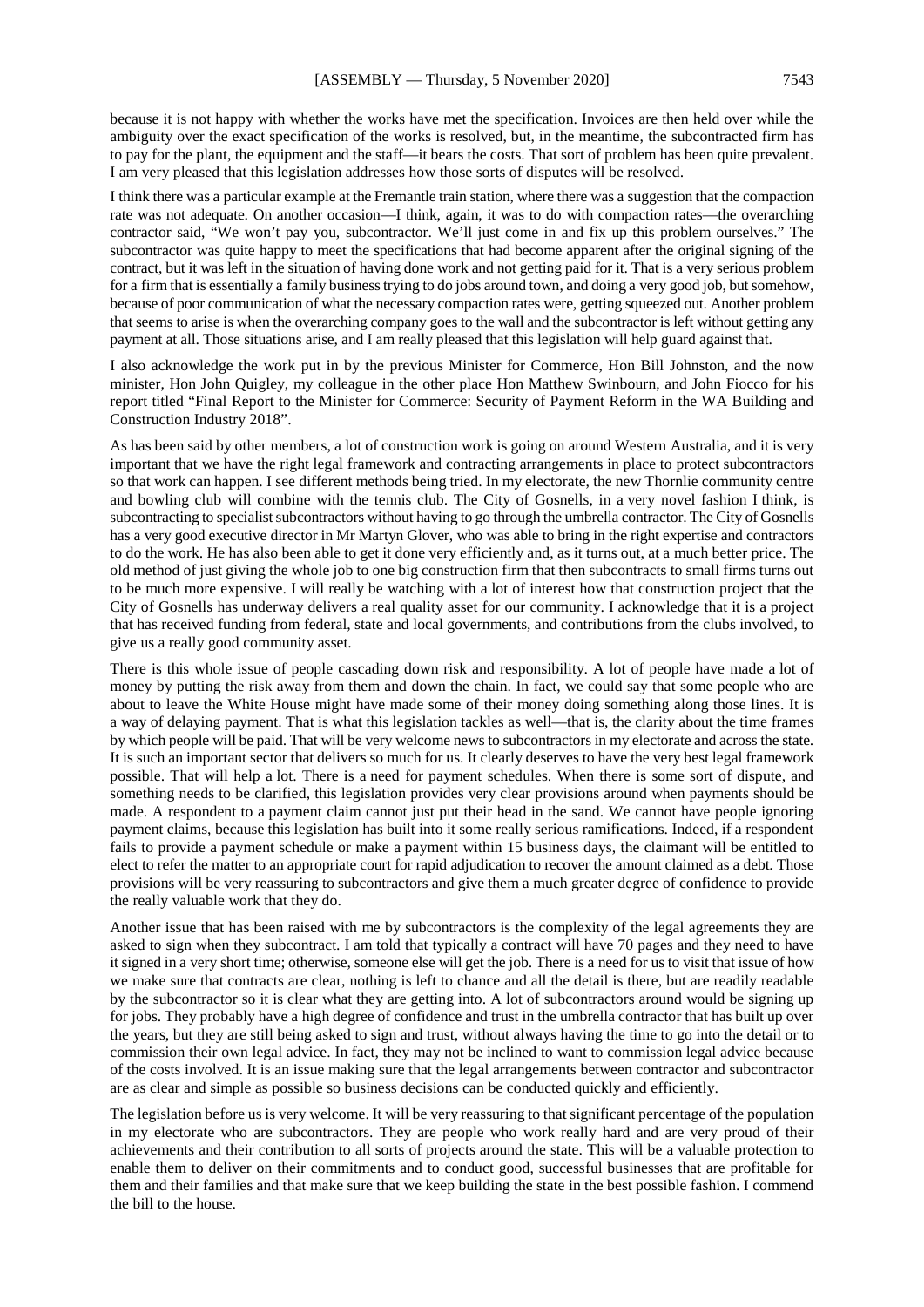because it is not happy with whether the works have met the specification. Invoices are then held over while the ambiguity over the exact specification of the works is resolved, but, in the meantime, the subcontracted firm has to pay for the plant, the equipment and the staff—it bears the costs. That sort of problem has been quite prevalent. I am very pleased that this legislation addresses how those sorts of disputes will be resolved.

I think there was a particular example at the Fremantle train station, where there was a suggestion that the compaction rate was not adequate. On another occasion—I think, again, it was to do with compaction rates—the overarching contractor said, "We won't pay you, subcontractor. We'll just come in and fix up this problem ourselves." The subcontractor was quite happy to meet the specifications that had become apparent after the original signing of the contract, but it was left in the situation of having done work and not getting paid for it. That is a very serious problem for a firm that is essentially a family business trying to do jobs around town, and doing a very good job, but somehow, because of poor communication of what the necessary compaction rates were, getting squeezed out. Another problem that seems to arise is when the overarching company goes to the wall and the subcontractor is left without getting any payment at all. Those situations arise, and I am really pleased that this legislation will help guard against that.

I also acknowledge the work put in by the previous Minister for Commerce, Hon Bill Johnston, and the now minister, Hon John Quigley, my colleague in the other place Hon Matthew Swinbourn, and John Fiocco for his report titled "Final Report to the Minister for Commerce: Security of Payment Reform in the WA Building and Construction Industry 2018".

As has been said by other members, a lot of construction work is going on around Western Australia, and it is very important that we have the right legal framework and contracting arrangements in place to protect subcontractors so that work can happen. I see different methods being tried. In my electorate, the new Thornlie community centre and bowling club will combine with the tennis club. The City of Gosnells, in a very novel fashion I think, is subcontracting to specialist subcontractors without having to go through the umbrella contractor. The City of Gosnells has a very good executive director in Mr Martyn Glover, who was able to bring in the right expertise and contractors to do the work. He has also been able to get it done very efficiently and, as it turns out, at a much better price. The old method of just giving the whole job to one big construction firm that then subcontracts to small firms turns out to be much more expensive. I will really be watching with a lot of interest how that construction project that the City of Gosnells has underway delivers a real quality asset for our community. I acknowledge that it is a project that has received funding from federal, state and local governments, and contributions from the clubs involved, to give us a really good community asset.

There is this whole issue of people cascading down risk and responsibility. A lot of people have made a lot of money by putting the risk away from them and down the chain. In fact, we could say that some people who are about to leave the White House might have made some of their money doing something along those lines. It is a way of delaying payment. That is what this legislation tackles as well—that is, the clarity about the time frames by which people will be paid. That will be very welcome news to subcontractors in my electorate and across the state. It is such an important sector that delivers so much for us. It clearly deserves to have the very best legal framework possible. That will help a lot. There is a need for payment schedules. When there is some sort of dispute, and something needs to be clarified, this legislation provides very clear provisions around when payments should be made. A respondent to a payment claim cannot just put their head in the sand. We cannot have people ignoring payment claims, because this legislation has built into it some really serious ramifications. Indeed, if a respondent fails to provide a payment schedule or make a payment within 15 business days, the claimant will be entitled to elect to refer the matter to an appropriate court for rapid adjudication to recover the amount claimed as a debt. Those provisions will be very reassuring to subcontractors and give them a much greater degree of confidence to provide the really valuable work that they do.

Another issue that has been raised with me by subcontractors is the complexity of the legal agreements they are asked to sign when they subcontract. I am told that typically a contract will have 70 pages and they need to have it signed in a very short time; otherwise, someone else will get the job. There is a need for us to visit that issue of how we make sure that contracts are clear, nothing is left to chance and all the detail is there, but are readily readable by the subcontractor so it is clear what they are getting into. A lot of subcontractors around would be signing up for jobs. They probably have a high degree of confidence and trust in the umbrella contractor that has built up over the years, but they are still being asked to sign and trust, without always having the time to go into the detail or to commission their own legal advice. In fact, they may not be inclined to want to commission legal advice because of the costs involved. It is an issue making sure that the legal arrangements between contractor and subcontractor are as clear and simple as possible so business decisions can be conducted quickly and efficiently.

The legislation before us is very welcome. It will be very reassuring to that significant percentage of the population in my electorate who are subcontractors. They are people who work really hard and are very proud of their achievements and their contribution to all sorts of projects around the state. This will be a valuable protection to enable them to deliver on their commitments and to conduct good, successful businesses that are profitable for them and their families and that make sure that we keep building the state in the best possible fashion. I commend the bill to the house.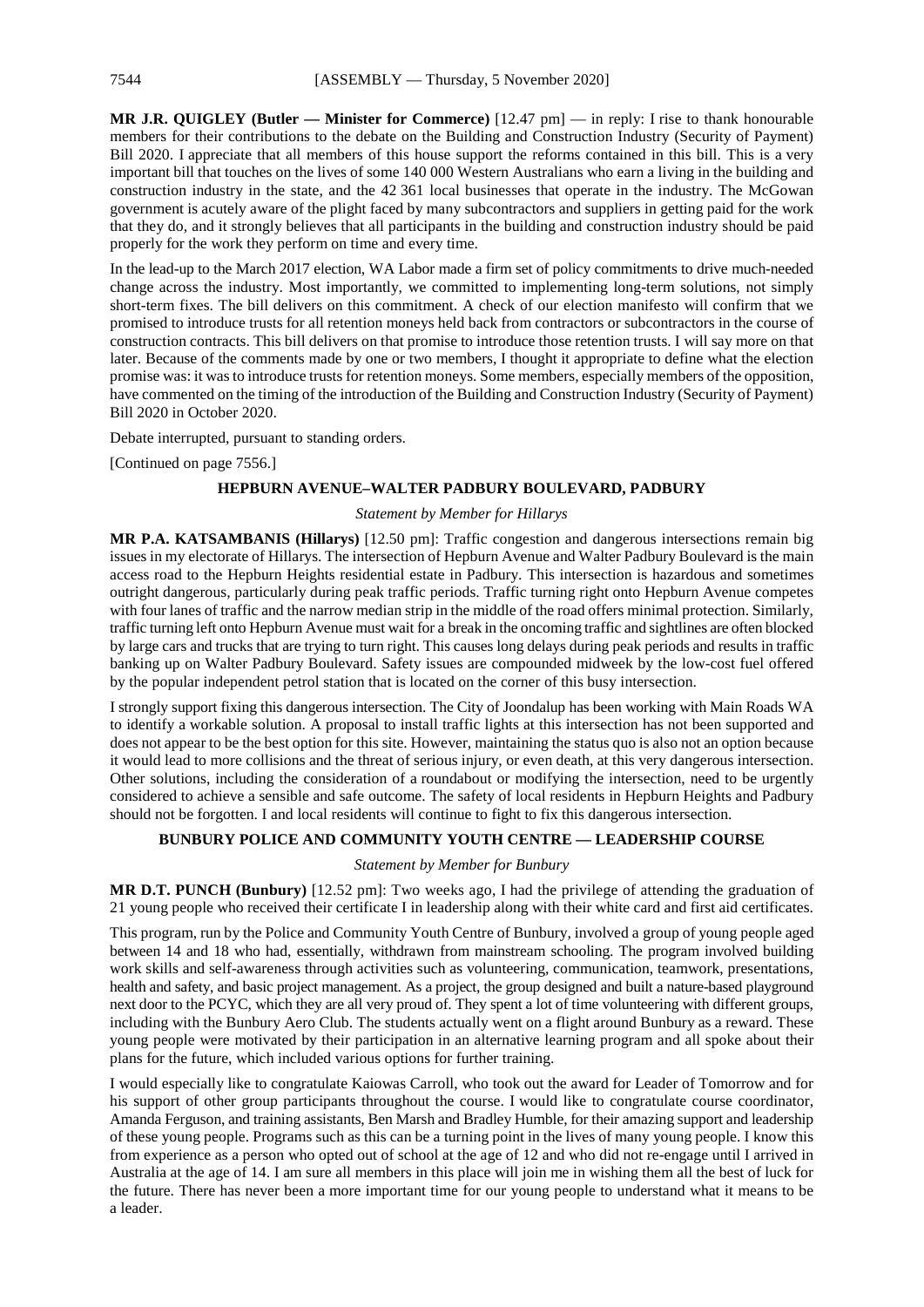**MR J.R. QUIGLEY (Butler — Minister for Commerce)** [12.47 pm] — in reply: I rise to thank honourable members for their contributions to the debate on the Building and Construction Industry (Security of Payment) Bill 2020. I appreciate that all members of this house support the reforms contained in this bill. This is a very important bill that touches on the lives of some 140 000 Western Australians who earn a living in the building and construction industry in the state, and the 42 361 local businesses that operate in the industry. The McGowan government is acutely aware of the plight faced by many subcontractors and suppliers in getting paid for the work that they do, and it strongly believes that all participants in the building and construction industry should be paid properly for the work they perform on time and every time.

In the lead-up to the March 2017 election, WA Labor made a firm set of policy commitments to drive much-needed change across the industry. Most importantly, we committed to implementing long-term solutions, not simply short-term fixes. The bill delivers on this commitment. A check of our election manifesto will confirm that we promised to introduce trusts for all retention moneys held back from contractors or subcontractors in the course of construction contracts. This bill delivers on that promise to introduce those retention trusts. I will say more on that later. Because of the comments made by one or two members, I thought it appropriate to define what the election promise was: it was to introduce trusts for retention moneys. Some members, especially members of the opposition, have commented on the timing of the introduction of the Building and Construction Industry (Security of Payment) Bill 2020 in October 2020.

Debate interrupted, pursuant to standing orders.

[Continued on page 7556.]

#### **HEPBURN AVENUE–WALTER PADBURY BOULEVARD, PADBURY**

#### *Statement by Member for Hillarys*

**MR P.A. KATSAMBANIS (Hillarys)** [12.50 pm]: Traffic congestion and dangerous intersections remain big issues in my electorate of Hillarys. The intersection of Hepburn Avenue and Walter Padbury Boulevard is the main access road to the Hepburn Heights residential estate in Padbury. This intersection is hazardous and sometimes outright dangerous, particularly during peak traffic periods. Traffic turning right onto Hepburn Avenue competes with four lanes of traffic and the narrow median strip in the middle of the road offers minimal protection. Similarly, traffic turning left onto Hepburn Avenue must wait for a break in the oncoming traffic and sightlines are often blocked by large cars and trucks that are trying to turn right. This causes long delays during peak periods and results in traffic banking up on Walter Padbury Boulevard. Safety issues are compounded midweek by the low-cost fuel offered by the popular independent petrol station that is located on the corner of this busy intersection.

I strongly support fixing this dangerous intersection. The City of Joondalup has been working with Main Roads WA to identify a workable solution. A proposal to install traffic lights at this intersection has not been supported and does not appear to be the best option for this site. However, maintaining the status quo is also not an option because it would lead to more collisions and the threat of serious injury, or even death, at this very dangerous intersection. Other solutions, including the consideration of a roundabout or modifying the intersection, need to be urgently considered to achieve a sensible and safe outcome. The safety of local residents in Hepburn Heights and Padbury should not be forgotten. I and local residents will continue to fight to fix this dangerous intersection.

#### **BUNBURY POLICE AND COMMUNITY YOUTH CENTRE — LEADERSHIP COURSE**

#### *Statement by Member for Bunbury*

**MR D.T. PUNCH (Bunbury)** [12.52 pm]: Two weeks ago, I had the privilege of attending the graduation of 21 young people who received their certificate I in leadership along with their white card and first aid certificates.

This program, run by the Police and Community Youth Centre of Bunbury, involved a group of young people aged between 14 and 18 who had, essentially, withdrawn from mainstream schooling. The program involved building work skills and self-awareness through activities such as volunteering, communication, teamwork, presentations, health and safety, and basic project management. As a project, the group designed and built a nature-based playground next door to the PCYC, which they are all very proud of. They spent a lot of time volunteering with different groups, including with the Bunbury Aero Club. The students actually went on a flight around Bunbury as a reward. These young people were motivated by their participation in an alternative learning program and all spoke about their plans for the future, which included various options for further training.

I would especially like to congratulate Kaiowas Carroll, who took out the award for Leader of Tomorrow and for his support of other group participants throughout the course. I would like to congratulate course coordinator, Amanda Ferguson, and training assistants, Ben Marsh and Bradley Humble, for their amazing support and leadership of these young people. Programs such as this can be a turning point in the lives of many young people. I know this from experience as a person who opted out of school at the age of 12 and who did not re-engage until I arrived in Australia at the age of 14. I am sure all members in this place will join me in wishing them all the best of luck for the future. There has never been a more important time for our young people to understand what it means to be a leader.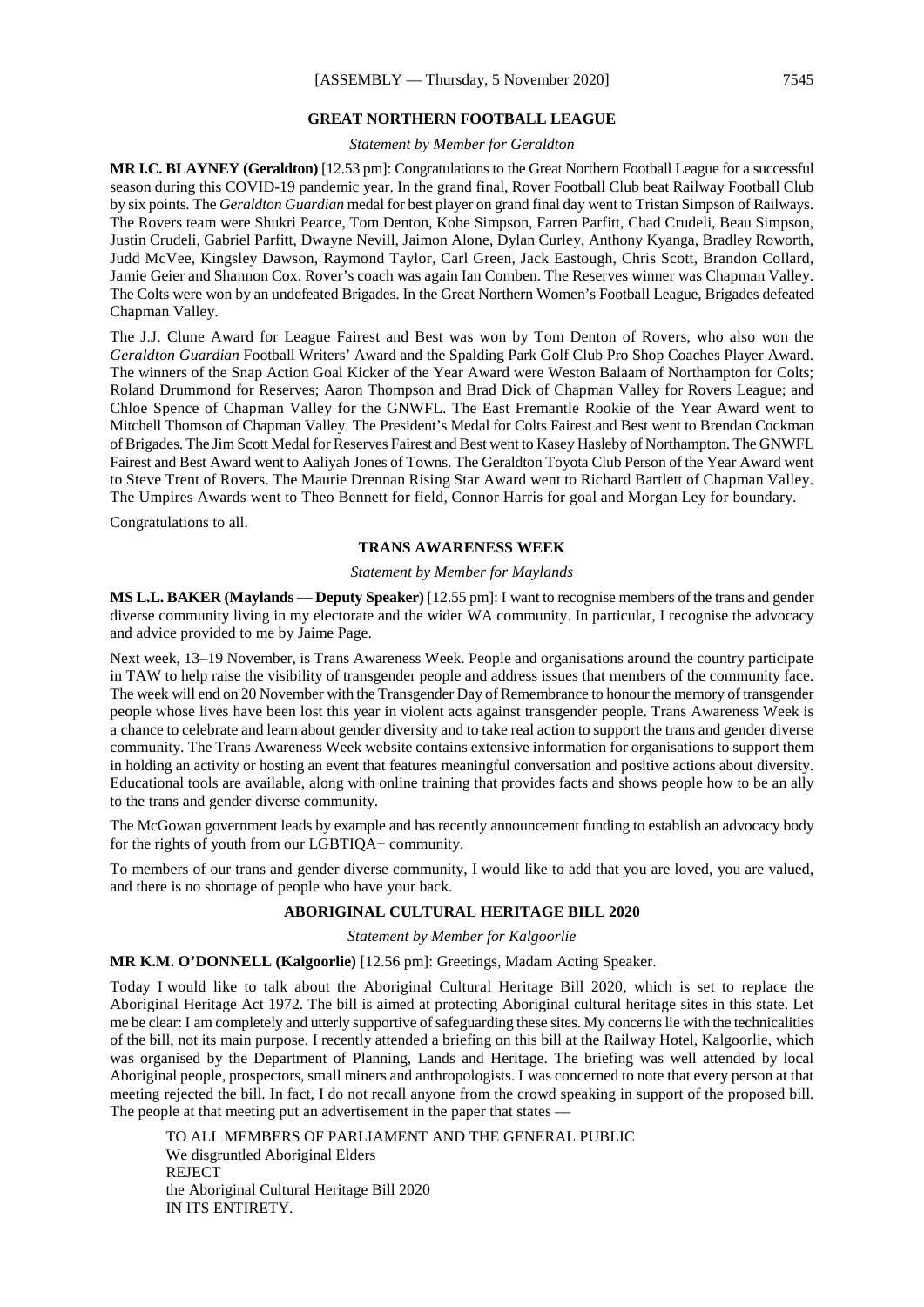#### **GREAT NORTHERN FOOTBALL LEAGUE**

*Statement by Member for Geraldton*

**MR I.C. BLAYNEY (Geraldton)** [12.53 pm]: Congratulations to the Great Northern Football League for a successful season during this COVID-19 pandemic year. In the grand final, Rover Football Club beat Railway Football Club by six points. The *Geraldton Guardian* medal for best player on grand final day went to Tristan Simpson of Railways. The Rovers team were Shukri Pearce, Tom Denton, Kobe Simpson, Farren Parfitt, Chad Crudeli, Beau Simpson, Justin Crudeli, Gabriel Parfitt, Dwayne Nevill, Jaimon Alone, Dylan Curley, Anthony Kyanga, Bradley Roworth, Judd McVee, Kingsley Dawson, Raymond Taylor, Carl Green, Jack Eastough, Chris Scott, Brandon Collard, Jamie Geier and Shannon Cox. Rover's coach was again Ian Comben. The Reserves winner was Chapman Valley. The Colts were won by an undefeated Brigades. In the Great Northern Women's Football League, Brigades defeated Chapman Valley.

The J.J. Clune Award for League Fairest and Best was won by Tom Denton of Rovers, who also won the *Geraldton Guardian* Football Writers' Award and the Spalding Park Golf Club Pro Shop Coaches Player Award. The winners of the Snap Action Goal Kicker of the Year Award were Weston Balaam of Northampton for Colts; Roland Drummond for Reserves; Aaron Thompson and Brad Dick of Chapman Valley for Rovers League; and Chloe Spence of Chapman Valley for the GNWFL. The East Fremantle Rookie of the Year Award went to Mitchell Thomson of Chapman Valley. The President's Medal for Colts Fairest and Best went to Brendan Cockman of Brigades. The Jim Scott Medal for Reserves Fairest and Best went to Kasey Hasleby of Northampton. The GNWFL Fairest and Best Award went to Aaliyah Jones of Towns. The Geraldton Toyota Club Person of the Year Award went to Steve Trent of Rovers. The Maurie Drennan Rising Star Award went to Richard Bartlett of Chapman Valley. The Umpires Awards went to Theo Bennett for field, Connor Harris for goal and Morgan Ley for boundary.

Congratulations to all.

#### **TRANS AWARENESS WEEK**

#### *Statement by Member for Maylands*

**MS L.L. BAKER (Maylands — Deputy Speaker)** [12.55 pm]: I want to recognise members of the trans and gender diverse community living in my electorate and the wider WA community. In particular, I recognise the advocacy and advice provided to me by Jaime Page.

Next week, 13–19 November, is Trans Awareness Week. People and organisations around the country participate in TAW to help raise the visibility of transgender people and address issues that members of the community face. The week will end on 20 November with the Transgender Day of Remembrance to honour the memory of transgender people whose lives have been lost this year in violent acts against transgender people. Trans Awareness Week is a chance to celebrate and learn about gender diversity and to take real action to support the trans and gender diverse community. The Trans Awareness Week website contains extensive information for organisations to support them in holding an activity or hosting an event that features meaningful conversation and positive actions about diversity. Educational tools are available, along with online training that provides facts and shows people how to be an ally to the trans and gender diverse community.

The McGowan government leads by example and has recently announcement funding to establish an advocacy body for the rights of youth from our LGBTIQA+ community.

To members of our trans and gender diverse community, I would like to add that you are loved, you are valued, and there is no shortage of people who have your back.

#### **ABORIGINAL CULTURAL HERITAGE BILL 2020**

*Statement by Member for Kalgoorlie*

**MR K.M. O'DONNELL (Kalgoorlie)** [12.56 pm]: Greetings, Madam Acting Speaker.

Today I would like to talk about the Aboriginal Cultural Heritage Bill 2020, which is set to replace the Aboriginal Heritage Act 1972. The bill is aimed at protecting Aboriginal cultural heritage sites in this state. Let me be clear: I am completely and utterly supportive of safeguarding these sites. My concerns lie with the technicalities of the bill, not its main purpose. I recently attended a briefing on this bill at the Railway Hotel, Kalgoorlie, which was organised by the Department of Planning, Lands and Heritage. The briefing was well attended by local Aboriginal people, prospectors, small miners and anthropologists. I was concerned to note that every person at that meeting rejected the bill. In fact, I do not recall anyone from the crowd speaking in support of the proposed bill. The people at that meeting put an advertisement in the paper that states -

TO ALL MEMBERS OF PARLIAMENT AND THE GENERAL PUBLIC We disgruntled Aboriginal Elders REJECT the Aboriginal Cultural Heritage Bill 2020 IN ITS ENTIRETY.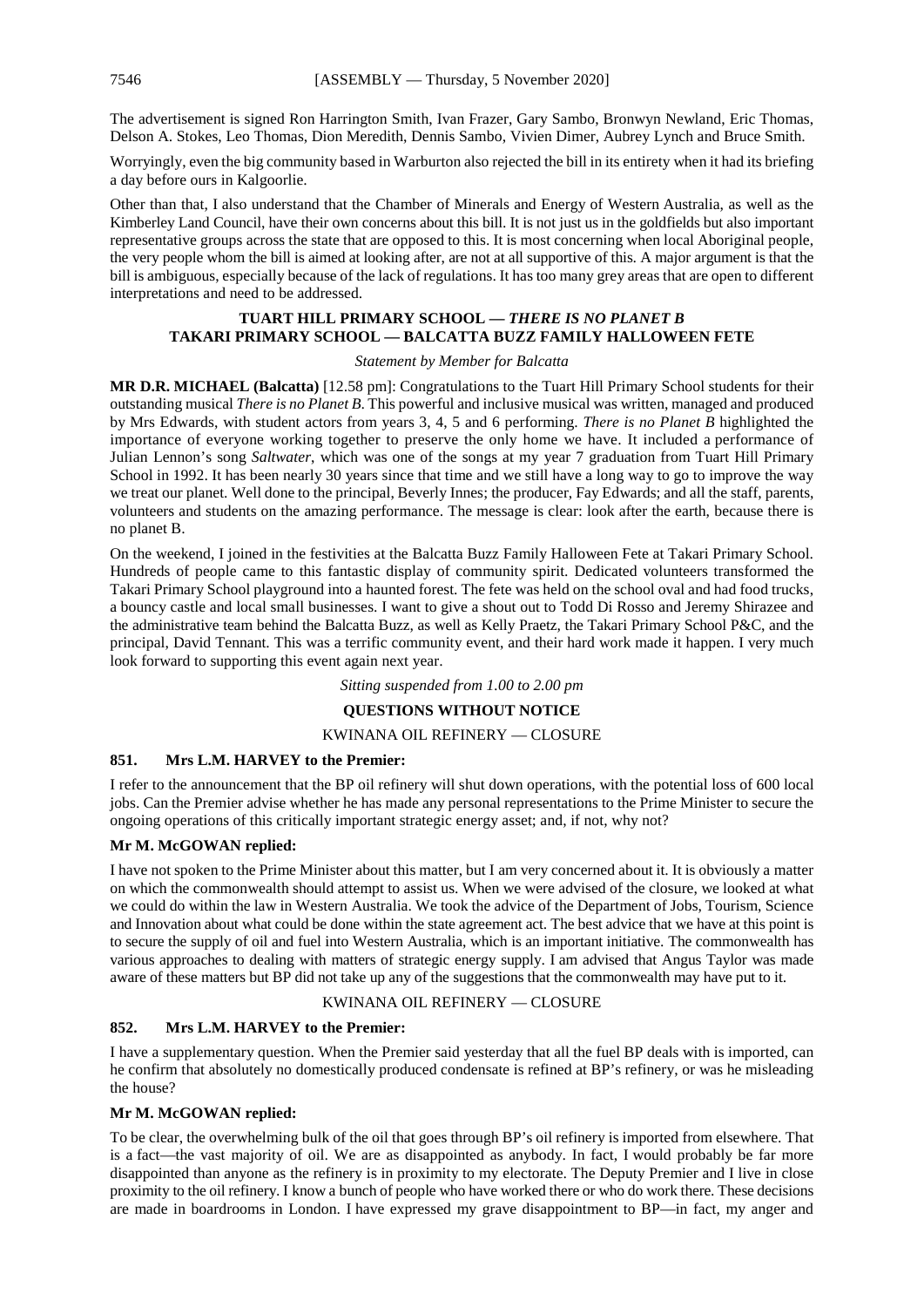The advertisement is signed Ron Harrington Smith, Ivan Frazer, Gary Sambo, Bronwyn Newland, Eric Thomas, Delson A. Stokes, Leo Thomas, Dion Meredith, Dennis Sambo, Vivien Dimer, Aubrey Lynch and Bruce Smith.

Worryingly, even the big community based in Warburton also rejected the bill in its entirety when it had its briefing a day before ours in Kalgoorlie.

Other than that, I also understand that the Chamber of Minerals and Energy of Western Australia, as well as the Kimberley Land Council, have their own concerns about this bill. It is not just us in the goldfields but also important representative groups across the state that are opposed to this. It is most concerning when local Aboriginal people, the very people whom the bill is aimed at looking after, are not at all supportive of this. A major argument is that the bill is ambiguous, especially because of the lack of regulations. It has too many grey areas that are open to different interpretations and need to be addressed.

#### **TUART HILL PRIMARY SCHOOL —** *THERE IS NO PLANET B* **TAKARI PRIMARY SCHOOL — BALCATTA BUZZ FAMILY HALLOWEEN FETE**

#### *Statement by Member for Balcatta*

**MR D.R. MICHAEL (Balcatta)** [12.58 pm]: Congratulations to the Tuart Hill Primary School students for their outstanding musical *There is no Planet B*. This powerful and inclusive musical was written, managed and produced by Mrs Edwards, with student actors from years 3, 4, 5 and 6 performing. *There is no Planet B* highlighted the importance of everyone working together to preserve the only home we have. It included a performance of Julian Lennon's song *Saltwater*, which was one of the songs at my year 7 graduation from Tuart Hill Primary School in 1992. It has been nearly 30 years since that time and we still have a long way to go to improve the way we treat our planet. Well done to the principal, Beverly Innes; the producer, Fay Edwards; and all the staff, parents, volunteers and students on the amazing performance. The message is clear: look after the earth, because there is no planet B.

On the weekend, I joined in the festivities at the Balcatta Buzz Family Halloween Fete at Takari Primary School. Hundreds of people came to this fantastic display of community spirit. Dedicated volunteers transformed the Takari Primary School playground into a haunted forest. The fete was held on the school oval and had food trucks, a bouncy castle and local small businesses. I want to give a shout out to Todd Di Rosso and Jeremy Shirazee and the administrative team behind the Balcatta Buzz, as well as Kelly Praetz, the Takari Primary School P&C, and the principal, David Tennant. This was a terrific community event, and their hard work made it happen. I very much look forward to supporting this event again next year.

*Sitting suspended from 1.00 to 2.00 pm*

#### **QUESTIONS WITHOUT NOTICE**

#### KWINANA OIL REFINERY — CLOSURE

#### **851. Mrs L.M. HARVEY to the Premier:**

I refer to the announcement that the BP oil refinery will shut down operations, with the potential loss of 600 local jobs. Can the Premier advise whether he has made any personal representations to the Prime Minister to secure the ongoing operations of this critically important strategic energy asset; and, if not, why not?

#### **Mr M. McGOWAN replied:**

I have not spoken to the Prime Minister about this matter, but I am very concerned about it. It is obviously a matter on which the commonwealth should attempt to assist us. When we were advised of the closure, we looked at what we could do within the law in Western Australia. We took the advice of the Department of Jobs, Tourism, Science and Innovation about what could be done within the state agreement act. The best advice that we have at this point is to secure the supply of oil and fuel into Western Australia, which is an important initiative. The commonwealth has various approaches to dealing with matters of strategic energy supply. I am advised that Angus Taylor was made aware of these matters but BP did not take up any of the suggestions that the commonwealth may have put to it.

#### KWINANA OIL REFINERY — CLOSURE

#### **852. Mrs L.M. HARVEY to the Premier:**

I have a supplementary question. When the Premier said yesterday that all the fuel BP deals with is imported, can he confirm that absolutely no domestically produced condensate is refined at BP's refinery, or was he misleading the house?

#### **Mr M. McGOWAN replied:**

To be clear, the overwhelming bulk of the oil that goes through BP's oil refinery is imported from elsewhere. That is a fact—the vast majority of oil. We are as disappointed as anybody. In fact, I would probably be far more disappointed than anyone as the refinery is in proximity to my electorate. The Deputy Premier and I live in close proximity to the oil refinery. I know a bunch of people who have worked there or who do work there. These decisions are made in boardrooms in London. I have expressed my grave disappointment to BP—in fact, my anger and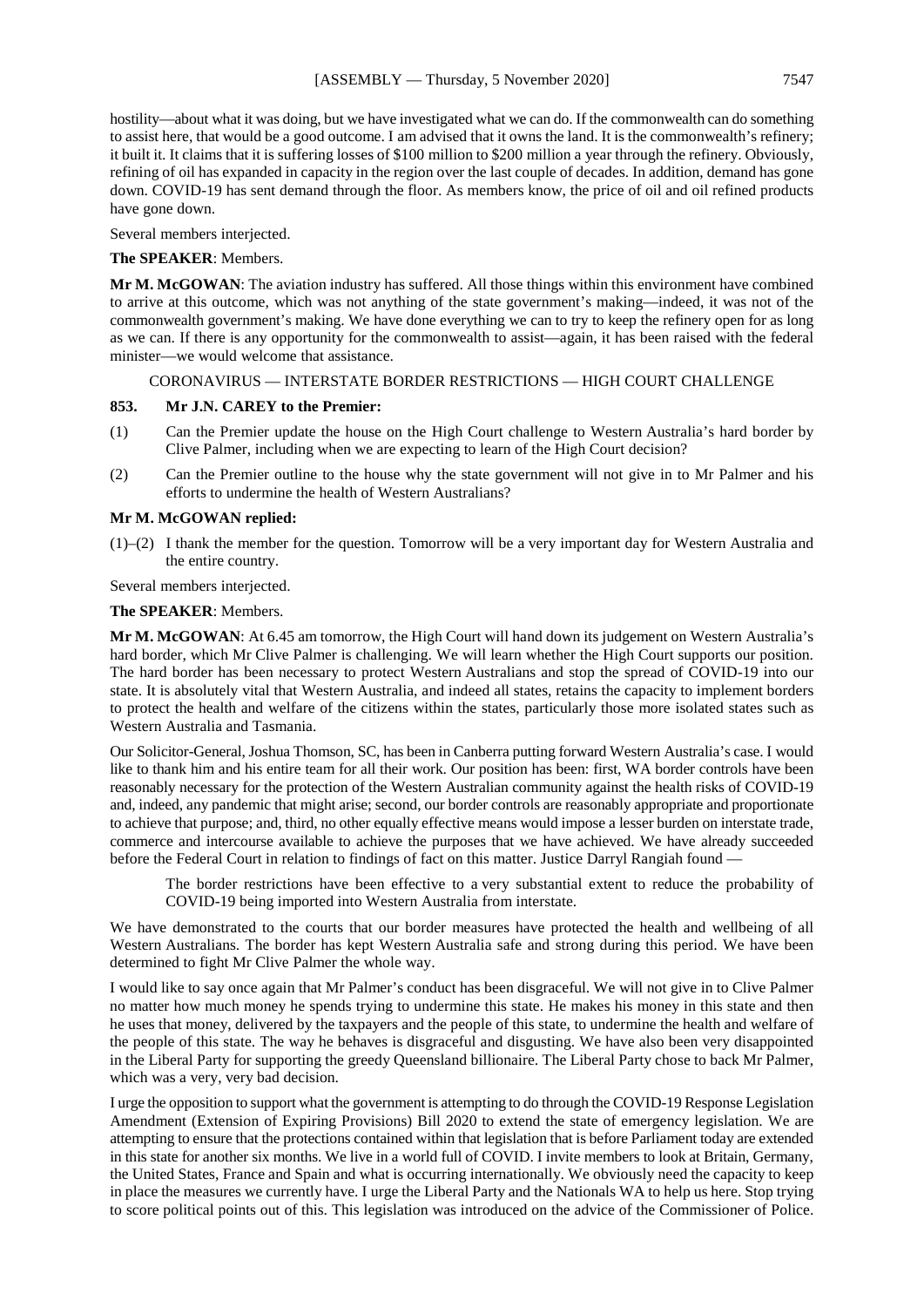hostility—about what it was doing, but we have investigated what we can do. If the commonwealth can do something to assist here, that would be a good outcome. I am advised that it owns the land. It is the commonwealth's refinery; it built it. It claims that it is suffering losses of \$100 million to \$200 million a year through the refinery. Obviously, refining of oil has expanded in capacity in the region over the last couple of decades. In addition, demand has gone down. COVID-19 has sent demand through the floor. As members know, the price of oil and oil refined products have gone down.

Several members interjected.

#### **The SPEAKER**: Members.

**Mr M. McGOWAN**: The aviation industry has suffered. All those things within this environment have combined to arrive at this outcome, which was not anything of the state government's making—indeed, it was not of the commonwealth government's making. We have done everything we can to try to keep the refinery open for as long as we can. If there is any opportunity for the commonwealth to assist—again, it has been raised with the federal minister—we would welcome that assistance.

#### CORONAVIRUS — INTERSTATE BORDER RESTRICTIONS — HIGH COURT CHALLENGE

#### **853. Mr J.N. CAREY to the Premier:**

- (1) Can the Premier update the house on the High Court challenge to Western Australia's hard border by Clive Palmer, including when we are expecting to learn of the High Court decision?
- (2) Can the Premier outline to the house why the state government will not give in to Mr Palmer and his efforts to undermine the health of Western Australians?

#### **Mr M. McGOWAN replied:**

(1)–(2) I thank the member for the question. Tomorrow will be a very important day for Western Australia and the entire country.

Several members interjected.

#### **The SPEAKER**: Members.

**Mr M. McGOWAN**: At 6.45 am tomorrow, the High Court will hand down its judgement on Western Australia's hard border, which Mr Clive Palmer is challenging. We will learn whether the High Court supports our position. The hard border has been necessary to protect Western Australians and stop the spread of COVID-19 into our state. It is absolutely vital that Western Australia, and indeed all states, retains the capacity to implement borders to protect the health and welfare of the citizens within the states, particularly those more isolated states such as Western Australia and Tasmania.

Our Solicitor-General, Joshua Thomson, SC, has been in Canberra putting forward Western Australia's case. I would like to thank him and his entire team for all their work. Our position has been: first, WA border controls have been reasonably necessary for the protection of the Western Australian community against the health risks of COVID-19 and, indeed, any pandemic that might arise; second, our border controls are reasonably appropriate and proportionate to achieve that purpose; and, third, no other equally effective means would impose a lesser burden on interstate trade, commerce and intercourse available to achieve the purposes that we have achieved. We have already succeeded before the Federal Court in relation to findings of fact on this matter. Justice Darryl Rangiah found —

The border restrictions have been effective to a very substantial extent to reduce the probability of COVID-19 being imported into Western Australia from interstate.

We have demonstrated to the courts that our border measures have protected the health and wellbeing of all Western Australians. The border has kept Western Australia safe and strong during this period. We have been determined to fight Mr Clive Palmer the whole way.

I would like to say once again that Mr Palmer's conduct has been disgraceful. We will not give in to Clive Palmer no matter how much money he spends trying to undermine this state. He makes his money in this state and then he uses that money, delivered by the taxpayers and the people of this state, to undermine the health and welfare of the people of this state. The way he behaves is disgraceful and disgusting. We have also been very disappointed in the Liberal Party for supporting the greedy Queensland billionaire. The Liberal Party chose to back Mr Palmer, which was a very, very bad decision.

I urge the opposition to support what the government is attempting to do through the COVID-19 Response Legislation Amendment (Extension of Expiring Provisions) Bill 2020 to extend the state of emergency legislation. We are attempting to ensure that the protections contained within that legislation that is before Parliament today are extended in this state for another six months. We live in a world full of COVID. I invite members to look at Britain, Germany, the United States, France and Spain and what is occurring internationally. We obviously need the capacity to keep in place the measures we currently have. I urge the Liberal Party and the Nationals WA to help us here. Stop trying to score political points out of this. This legislation was introduced on the advice of the Commissioner of Police.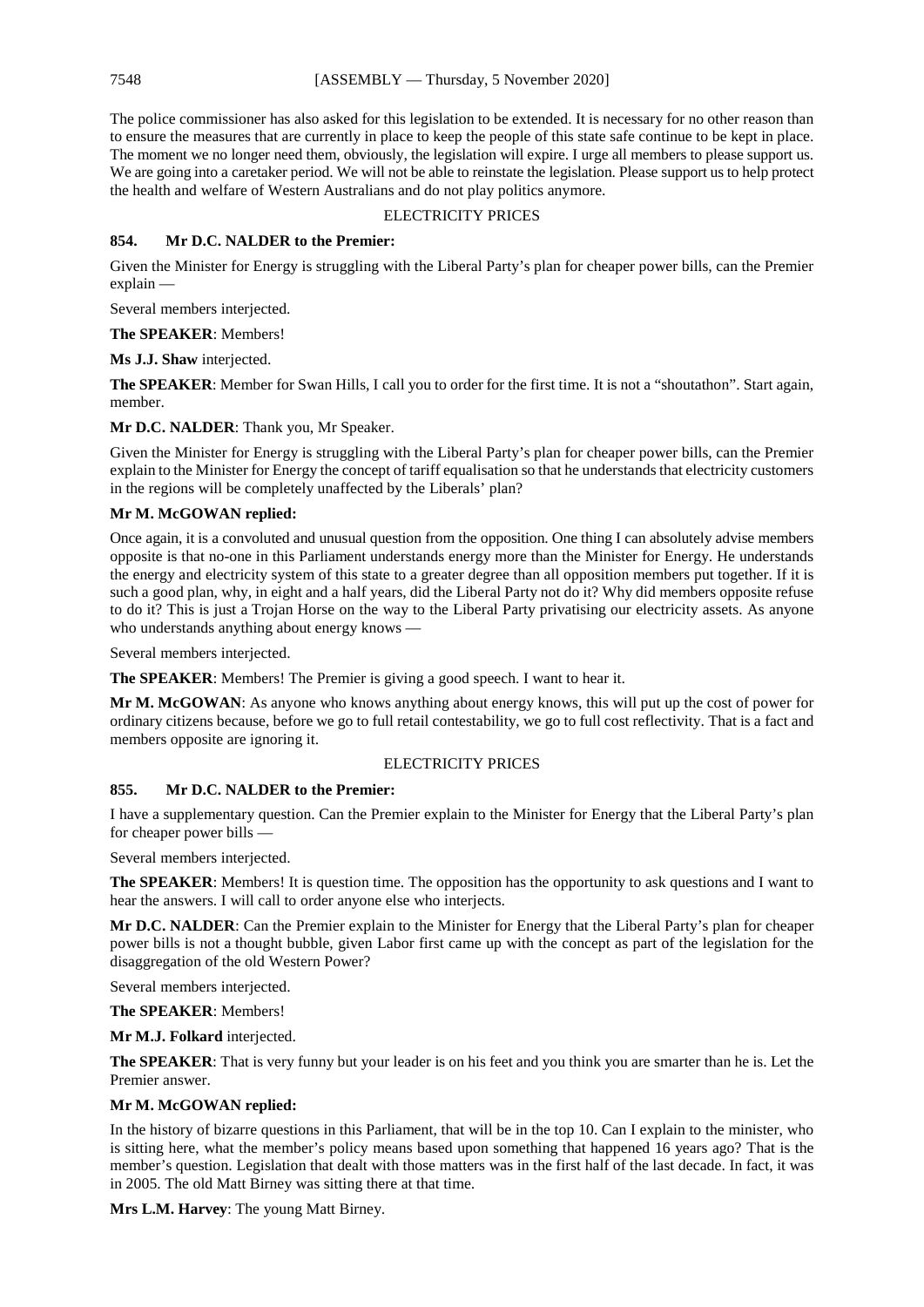The police commissioner has also asked for this legislation to be extended. It is necessary for no other reason than to ensure the measures that are currently in place to keep the people of this state safe continue to be kept in place. The moment we no longer need them, obviously, the legislation will expire. I urge all members to please support us. We are going into a caretaker period. We will not be able to reinstate the legislation. Please support us to help protect the health and welfare of Western Australians and do not play politics anymore.

#### ELECTRICITY PRICES

#### **854. Mr D.C. NALDER to the Premier:**

Given the Minister for Energy is struggling with the Liberal Party's plan for cheaper power bills, can the Premier explain —

Several members interjected.

**The SPEAKER**: Members!

**Ms J.J. Shaw** interjected.

**The SPEAKER**: Member for Swan Hills, I call you to order for the first time. It is not a "shoutathon". Start again, member.

**Mr D.C. NALDER**: Thank you, Mr Speaker.

Given the Minister for Energy is struggling with the Liberal Party's plan for cheaper power bills, can the Premier explain to the Minister for Energy the concept of tariff equalisation so that he understands that electricity customers in the regions will be completely unaffected by the Liberals' plan?

#### **Mr M. McGOWAN replied:**

Once again, it is a convoluted and unusual question from the opposition. One thing I can absolutely advise members opposite is that no-one in this Parliament understands energy more than the Minister for Energy. He understands the energy and electricity system of this state to a greater degree than all opposition members put together. If it is such a good plan, why, in eight and a half years, did the Liberal Party not do it? Why did members opposite refuse to do it? This is just a Trojan Horse on the way to the Liberal Party privatising our electricity assets. As anyone who understands anything about energy knows —

Several members interjected.

**The SPEAKER**: Members! The Premier is giving a good speech. I want to hear it.

**Mr M. McGOWAN**: As anyone who knows anything about energy knows, this will put up the cost of power for ordinary citizens because, before we go to full retail contestability, we go to full cost reflectivity. That is a fact and members opposite are ignoring it.

#### ELECTRICITY PRICES

#### **855. Mr D.C. NALDER to the Premier:**

I have a supplementary question. Can the Premier explain to the Minister for Energy that the Liberal Party's plan for cheaper power bills

Several members interjected.

**The SPEAKER**: Members! It is question time. The opposition has the opportunity to ask questions and I want to hear the answers. I will call to order anyone else who interjects.

**Mr D.C. NALDER**: Can the Premier explain to the Minister for Energy that the Liberal Party's plan for cheaper power bills is not a thought bubble, given Labor first came up with the concept as part of the legislation for the disaggregation of the old Western Power?

Several members interjected.

**The SPEAKER**: Members!

**Mr M.J. Folkard** interjected.

**The SPEAKER**: That is very funny but your leader is on his feet and you think you are smarter than he is. Let the Premier answer.

#### **Mr M. McGOWAN replied:**

In the history of bizarre questions in this Parliament, that will be in the top 10. Can I explain to the minister, who is sitting here, what the member's policy means based upon something that happened 16 years ago? That is the member's question. Legislation that dealt with those matters was in the first half of the last decade. In fact, it was in 2005. The old Matt Birney was sitting there at that time.

**Mrs L.M. Harvey**: The young Matt Birney.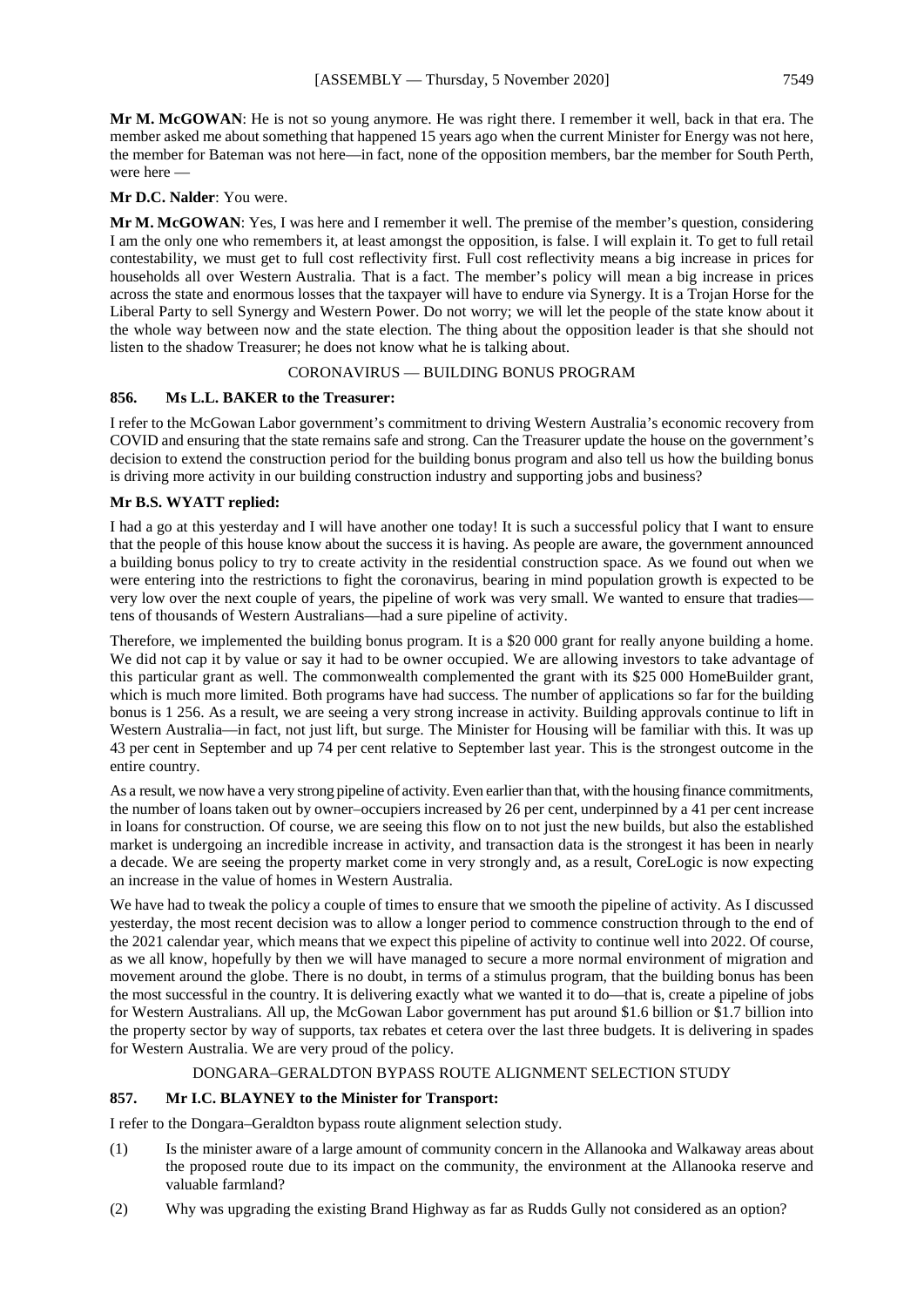**Mr M. McGOWAN**: He is not so young anymore. He was right there. I remember it well, back in that era. The member asked me about something that happened 15 years ago when the current Minister for Energy was not here, the member for Bateman was not here—in fact, none of the opposition members, bar the member for South Perth, were here —

#### **Mr D.C. Nalder**: You were.

**Mr M. McGOWAN**: Yes, I was here and I remember it well. The premise of the member's question, considering I am the only one who remembers it, at least amongst the opposition, is false. I will explain it. To get to full retail contestability, we must get to full cost reflectivity first. Full cost reflectivity means a big increase in prices for households all over Western Australia. That is a fact. The member's policy will mean a big increase in prices across the state and enormous losses that the taxpayer will have to endure via Synergy. It is a Trojan Horse for the Liberal Party to sell Synergy and Western Power. Do not worry; we will let the people of the state know about it the whole way between now and the state election. The thing about the opposition leader is that she should not listen to the shadow Treasurer; he does not know what he is talking about.

#### CORONAVIRUS — BUILDING BONUS PROGRAM

#### **856. Ms L.L. BAKER to the Treasurer:**

I refer to the McGowan Labor government's commitment to driving Western Australia's economic recovery from COVID and ensuring that the state remains safe and strong. Can the Treasurer update the house on the government's decision to extend the construction period for the building bonus program and also tell us how the building bonus is driving more activity in our building construction industry and supporting jobs and business?

#### **Mr B.S. WYATT replied:**

I had a go at this yesterday and I will have another one today! It is such a successful policy that I want to ensure that the people of this house know about the success it is having. As people are aware, the government announced a building bonus policy to try to create activity in the residential construction space. As we found out when we were entering into the restrictions to fight the coronavirus, bearing in mind population growth is expected to be very low over the next couple of years, the pipeline of work was very small. We wanted to ensure that tradies tens of thousands of Western Australians—had a sure pipeline of activity.

Therefore, we implemented the building bonus program. It is a \$20 000 grant for really anyone building a home. We did not cap it by value or say it had to be owner occupied. We are allowing investors to take advantage of this particular grant as well. The commonwealth complemented the grant with its \$25 000 HomeBuilder grant, which is much more limited. Both programs have had success. The number of applications so far for the building bonus is 1 256. As a result, we are seeing a very strong increase in activity. Building approvals continue to lift in Western Australia—in fact, not just lift, but surge. The Minister for Housing will be familiar with this. It was up 43 per cent in September and up 74 per cent relative to September last year. This is the strongest outcome in the entire country.

As a result, we now have a very strong pipeline of activity. Even earlier than that, with the housing finance commitments, the number of loans taken out by owner–occupiers increased by 26 per cent, underpinned by a 41 per cent increase in loans for construction. Of course, we are seeing this flow on to not just the new builds, but also the established market is undergoing an incredible increase in activity, and transaction data is the strongest it has been in nearly a decade. We are seeing the property market come in very strongly and, as a result, CoreLogic is now expecting an increase in the value of homes in Western Australia.

We have had to tweak the policy a couple of times to ensure that we smooth the pipeline of activity. As I discussed yesterday, the most recent decision was to allow a longer period to commence construction through to the end of the 2021 calendar year, which means that we expect this pipeline of activity to continue well into 2022. Of course, as we all know, hopefully by then we will have managed to secure a more normal environment of migration and movement around the globe. There is no doubt, in terms of a stimulus program, that the building bonus has been the most successful in the country. It is delivering exactly what we wanted it to do—that is, create a pipeline of jobs for Western Australians. All up, the McGowan Labor government has put around \$1.6 billion or \$1.7 billion into the property sector by way of supports, tax rebates et cetera over the last three budgets. It is delivering in spades for Western Australia. We are very proud of the policy.

#### DONGARA–GERALDTON BYPASS ROUTE ALIGNMENT SELECTION STUDY

#### **857. Mr I.C. BLAYNEY to the Minister for Transport:**

I refer to the Dongara–Geraldton bypass route alignment selection study.

- (1) Is the minister aware of a large amount of community concern in the Allanooka and Walkaway areas about the proposed route due to its impact on the community, the environment at the Allanooka reserve and valuable farmland?
- (2) Why was upgrading the existing Brand Highway as far as Rudds Gully not considered as an option?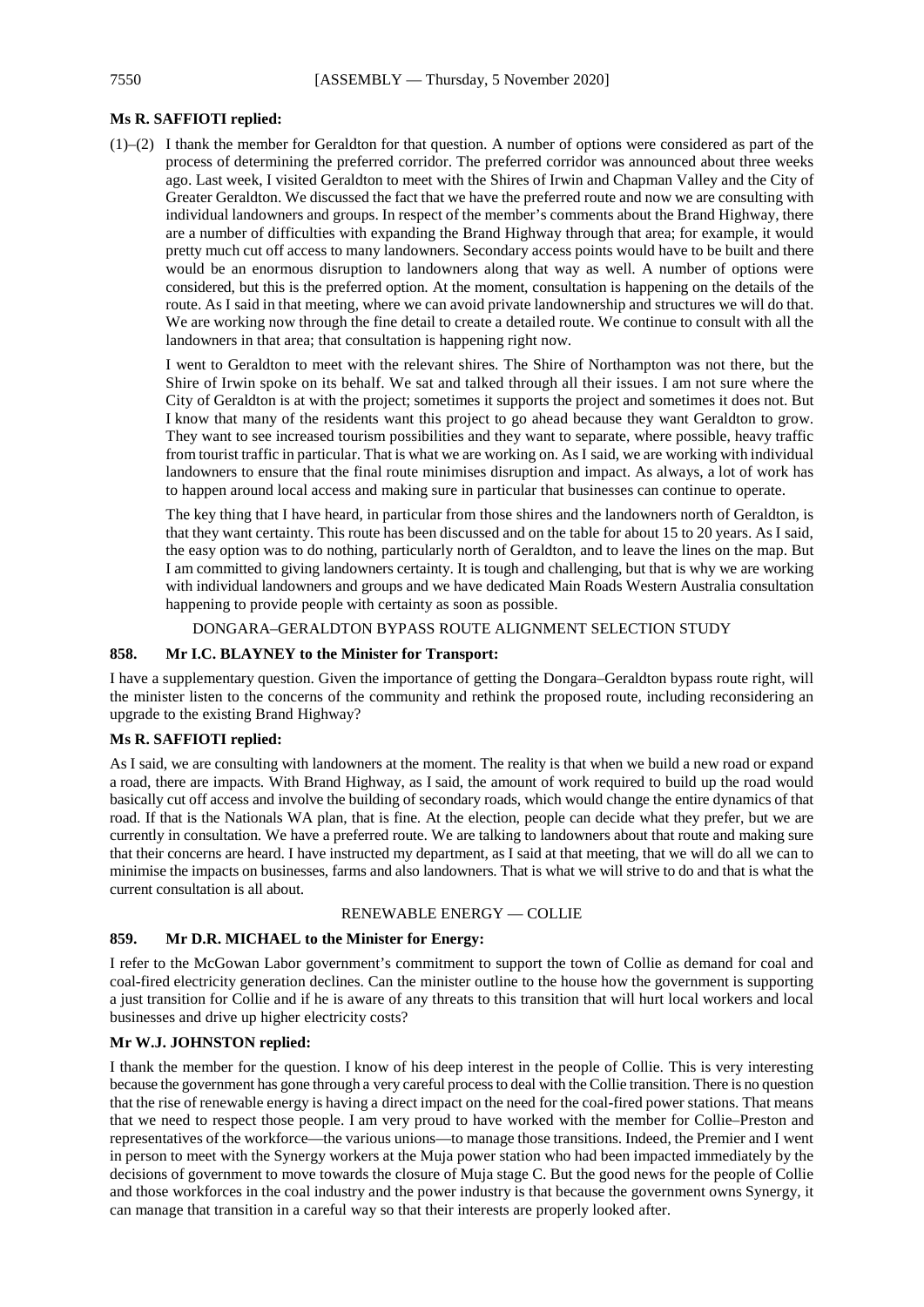#### **Ms R. SAFFIOTI replied:**

(1)–(2) I thank the member for Geraldton for that question. A number of options were considered as part of the process of determining the preferred corridor. The preferred corridor was announced about three weeks ago. Last week, I visited Geraldton to meet with the Shires of Irwin and Chapman Valley and the City of Greater Geraldton. We discussed the fact that we have the preferred route and now we are consulting with individual landowners and groups. In respect of the member's comments about the Brand Highway, there are a number of difficulties with expanding the Brand Highway through that area; for example, it would pretty much cut off access to many landowners. Secondary access points would have to be built and there would be an enormous disruption to landowners along that way as well. A number of options were considered, but this is the preferred option. At the moment, consultation is happening on the details of the route. As I said in that meeting, where we can avoid private landownership and structures we will do that. We are working now through the fine detail to create a detailed route. We continue to consult with all the landowners in that area; that consultation is happening right now.

I went to Geraldton to meet with the relevant shires. The Shire of Northampton was not there, but the Shire of Irwin spoke on its behalf. We sat and talked through all their issues. I am not sure where the City of Geraldton is at with the project; sometimes it supports the project and sometimes it does not. But I know that many of the residents want this project to go ahead because they want Geraldton to grow. They want to see increased tourism possibilities and they want to separate, where possible, heavy traffic from tourist traffic in particular. That is what we are working on. AsI said, we are working with individual landowners to ensure that the final route minimises disruption and impact. As always, a lot of work has to happen around local access and making sure in particular that businesses can continue to operate.

The key thing that I have heard, in particular from those shires and the landowners north of Geraldton, is that they want certainty. This route has been discussed and on the table for about 15 to 20 years. As I said, the easy option was to do nothing, particularly north of Geraldton, and to leave the lines on the map. But I am committed to giving landowners certainty. It is tough and challenging, but that is why we are working with individual landowners and groups and we have dedicated Main Roads Western Australia consultation happening to provide people with certainty as soon as possible.

DONGARA–GERALDTON BYPASS ROUTE ALIGNMENT SELECTION STUDY

#### **858. Mr I.C. BLAYNEY to the Minister for Transport:**

I have a supplementary question. Given the importance of getting the Dongara–Geraldton bypass route right, will the minister listen to the concerns of the community and rethink the proposed route, including reconsidering an upgrade to the existing Brand Highway?

#### **Ms R. SAFFIOTI replied:**

As I said, we are consulting with landowners at the moment. The reality is that when we build a new road or expand a road, there are impacts. With Brand Highway, as I said, the amount of work required to build up the road would basically cut off access and involve the building of secondary roads, which would change the entire dynamics of that road. If that is the Nationals WA plan, that is fine. At the election, people can decide what they prefer, but we are currently in consultation. We have a preferred route. We are talking to landowners about that route and making sure that their concerns are heard. I have instructed my department, as I said at that meeting, that we will do all we can to minimise the impacts on businesses, farms and also landowners. That is what we will strive to do and that is what the current consultation is all about.

#### RENEWABLE ENERGY — COLLIE

#### **859. Mr D.R. MICHAEL to the Minister for Energy:**

I refer to the McGowan Labor government's commitment to support the town of Collie as demand for coal and coal-fired electricity generation declines. Can the minister outline to the house how the government is supporting a just transition for Collie and if he is aware of any threats to this transition that will hurt local workers and local businesses and drive up higher electricity costs?

#### **Mr W.J. JOHNSTON replied:**

I thank the member for the question. I know of his deep interest in the people of Collie. This is very interesting because the government has gone through a very careful process to deal with the Collie transition. There is no question that the rise of renewable energy is having a direct impact on the need for the coal-fired power stations. That means that we need to respect those people. I am very proud to have worked with the member for Collie–Preston and representatives of the workforce—the various unions—to manage those transitions. Indeed, the Premier and I went in person to meet with the Synergy workers at the Muja power station who had been impacted immediately by the decisions of government to move towards the closure of Muja stage C. But the good news for the people of Collie and those workforces in the coal industry and the power industry is that because the government owns Synergy, it can manage that transition in a careful way so that their interests are properly looked after.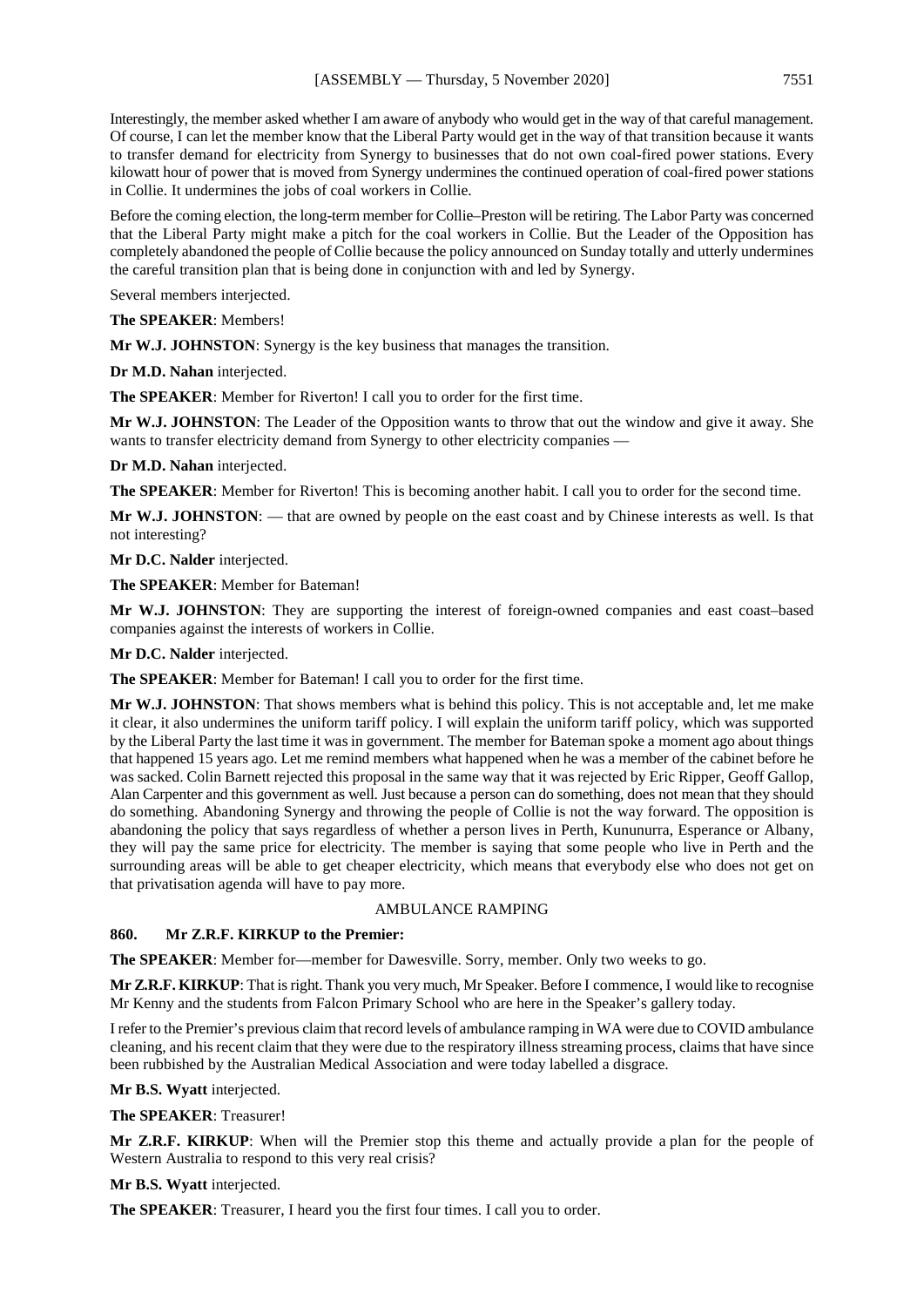Interestingly, the member asked whether I am aware of anybody who would get in the way of that careful management. Of course, I can let the member know that the Liberal Party would get in the way of that transition because it wants to transfer demand for electricity from Synergy to businesses that do not own coal-fired power stations. Every kilowatt hour of power that is moved from Synergy undermines the continued operation of coal-fired power stations in Collie. It undermines the jobs of coal workers in Collie.

Before the coming election, the long-term member for Collie–Preston will be retiring. The Labor Party was concerned that the Liberal Party might make a pitch for the coal workers in Collie. But the Leader of the Opposition has completely abandoned the people of Collie because the policy announced on Sunday totally and utterly undermines the careful transition plan that is being done in conjunction with and led by Synergy.

Several members interjected.

**The SPEAKER**: Members!

**Mr W.J. JOHNSTON**: Synergy is the key business that manages the transition.

**Dr M.D. Nahan** interjected.

**The SPEAKER**: Member for Riverton! I call you to order for the first time.

**Mr W.J. JOHNSTON**: The Leader of the Opposition wants to throw that out the window and give it away. She wants to transfer electricity demand from Synergy to other electricity companies —

**Dr M.D. Nahan** interjected.

**The SPEAKER:** Member for Riverton! This is becoming another habit. I call you to order for the second time.

**Mr W.J. JOHNSTON**: — that are owned by people on the east coast and by Chinese interests as well. Is that not interesting?

**Mr D.C. Nalder** interjected.

**The SPEAKER**: Member for Bateman!

**Mr W.J. JOHNSTON**: They are supporting the interest of foreign-owned companies and east coast–based companies against the interests of workers in Collie.

**Mr D.C. Nalder** interjected.

**The SPEAKER**: Member for Bateman! I call you to order for the first time.

**Mr W.J. JOHNSTON**: That shows members what is behind this policy. This is not acceptable and, let me make it clear, it also undermines the uniform tariff policy. I will explain the uniform tariff policy, which was supported by the Liberal Party the last time it was in government. The member for Bateman spoke a moment ago about things that happened 15 years ago. Let me remind members what happened when he was a member of the cabinet before he was sacked. Colin Barnett rejected this proposal in the same way that it was rejected by Eric Ripper, Geoff Gallop, Alan Carpenter and this government as well. Just because a person can do something, does not mean that they should do something. Abandoning Synergy and throwing the people of Collie is not the way forward. The opposition is abandoning the policy that says regardless of whether a person lives in Perth, Kununurra, Esperance or Albany, they will pay the same price for electricity. The member is saying that some people who live in Perth and the surrounding areas will be able to get cheaper electricity, which means that everybody else who does not get on that privatisation agenda will have to pay more.

#### AMBULANCE RAMPING

#### **860. Mr Z.R.F. KIRKUP to the Premier:**

**The SPEAKER**: Member for—member for Dawesville. Sorry, member. Only two weeks to go.

**Mr Z.R.F. KIRKUP**: That is right. Thank you very much, Mr Speaker. Before I commence, I would like to recognise Mr Kenny and the students from Falcon Primary School who are here in the Speaker's gallery today.

I refer to the Premier's previous claim that record levels of ambulance ramping in WA were due to COVID ambulance cleaning, and his recent claim that they were due to the respiratory illness streaming process, claims that have since been rubbished by the Australian Medical Association and were today labelled a disgrace.

**Mr B.S. Wyatt** interjected.

**The SPEAKER**: Treasurer!

**Mr Z.R.F. KIRKUP**: When will the Premier stop this theme and actually provide a plan for the people of Western Australia to respond to this very real crisis?

**Mr B.S. Wyatt** interjected.

**The SPEAKER**: Treasurer, I heard you the first four times. I call you to order.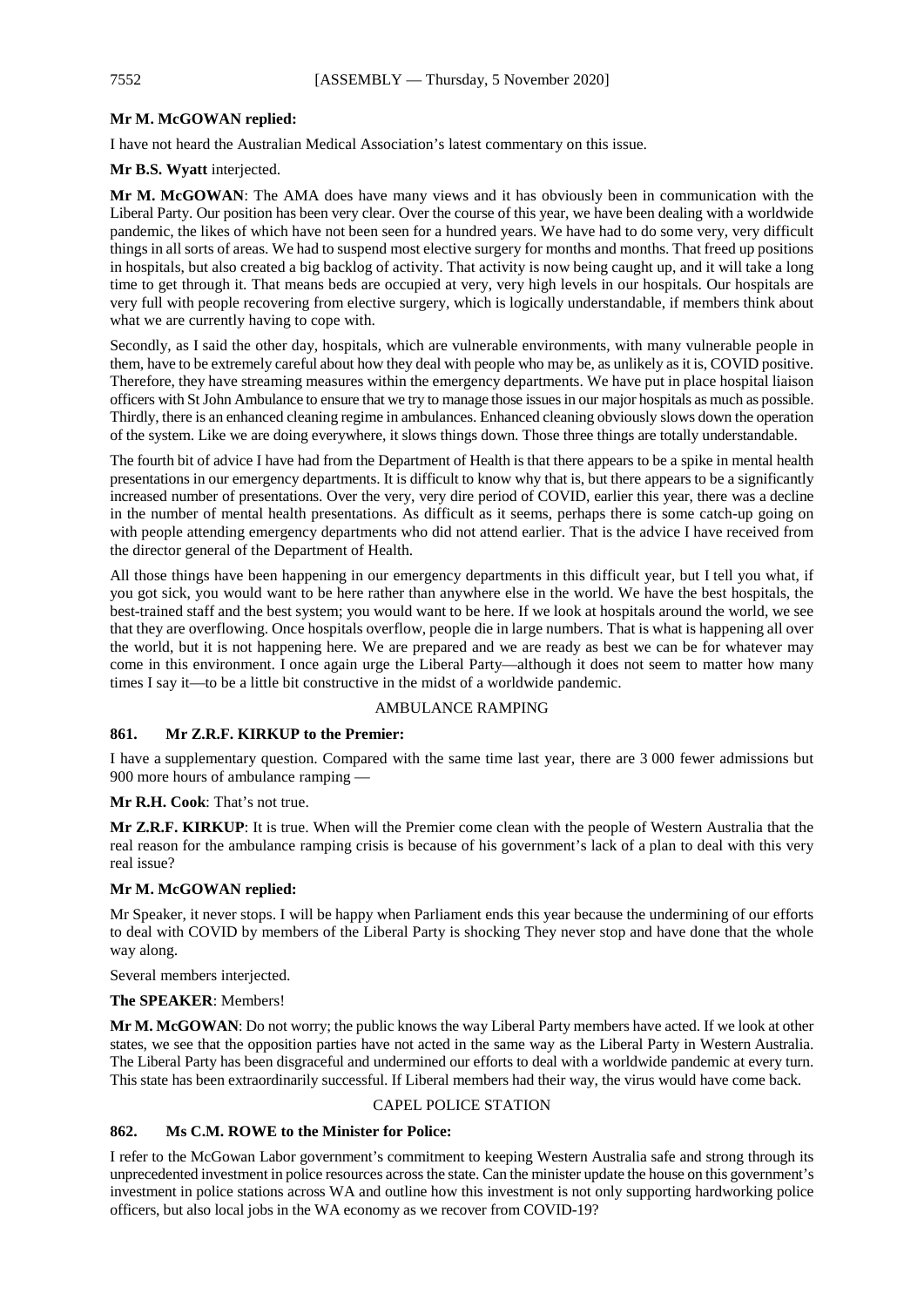#### **Mr M. McGOWAN replied:**

I have not heard the Australian Medical Association's latest commentary on this issue.

#### **Mr B.S. Wyatt** interjected.

**Mr M. McGOWAN**: The AMA does have many views and it has obviously been in communication with the Liberal Party. Our position has been very clear. Over the course of this year, we have been dealing with a worldwide pandemic, the likes of which have not been seen for a hundred years. We have had to do some very, very difficult things in all sorts of areas. We had to suspend most elective surgery for months and months. That freed up positions in hospitals, but also created a big backlog of activity. That activity is now being caught up, and it will take a long time to get through it. That means beds are occupied at very, very high levels in our hospitals. Our hospitals are very full with people recovering from elective surgery, which is logically understandable, if members think about what we are currently having to cope with.

Secondly, as I said the other day, hospitals, which are vulnerable environments, with many vulnerable people in them, have to be extremely careful about how they deal with people who may be, as unlikely as it is, COVID positive. Therefore, they have streaming measures within the emergency departments. We have put in place hospital liaison officers with St John Ambulance to ensure that we try to manage those issues in our major hospitals as much as possible. Thirdly, there is an enhanced cleaning regime in ambulances. Enhanced cleaning obviously slows down the operation of the system. Like we are doing everywhere, it slows things down. Those three things are totally understandable.

The fourth bit of advice I have had from the Department of Health is that there appears to be a spike in mental health presentations in our emergency departments. It is difficult to know why that is, but there appears to be a significantly increased number of presentations. Over the very, very dire period of COVID, earlier this year, there was a decline in the number of mental health presentations. As difficult as it seems, perhaps there is some catch-up going on with people attending emergency departments who did not attend earlier. That is the advice I have received from the director general of the Department of Health.

All those things have been happening in our emergency departments in this difficult year, but I tell you what, if you got sick, you would want to be here rather than anywhere else in the world. We have the best hospitals, the best-trained staff and the best system; you would want to be here. If we look at hospitals around the world, we see that they are overflowing. Once hospitals overflow, people die in large numbers. That is what is happening all over the world, but it is not happening here. We are prepared and we are ready as best we can be for whatever may come in this environment. I once again urge the Liberal Party—although it does not seem to matter how many times I say it—to be a little bit constructive in the midst of a worldwide pandemic.

#### AMBULANCE RAMPING

#### **861. Mr Z.R.F. KIRKUP to the Premier:**

I have a supplementary question. Compared with the same time last year, there are 3 000 fewer admissions but 900 more hours of ambulance ramping —

#### **Mr R.H. Cook**: That's not true.

**Mr Z.R.F. KIRKUP**: It is true. When will the Premier come clean with the people of Western Australia that the real reason for the ambulance ramping crisis is because of his government's lack of a plan to deal with this very real issue?

#### **Mr M. McGOWAN replied:**

Mr Speaker, it never stops. I will be happy when Parliament ends this year because the undermining of our efforts to deal with COVID by members of the Liberal Party is shocking They never stop and have done that the whole way along.

Several members interjected.

#### **The SPEAKER**: Members!

**Mr M. McGOWAN**: Do not worry; the public knows the way Liberal Party members have acted. If we look at other states, we see that the opposition parties have not acted in the same way as the Liberal Party in Western Australia. The Liberal Party has been disgraceful and undermined our efforts to deal with a worldwide pandemic at every turn. This state has been extraordinarily successful. If Liberal members had their way, the virus would have come back.

#### CAPEL POLICE STATION

#### **862. Ms C.M. ROWE to the Minister for Police:**

I refer to the McGowan Labor government's commitment to keeping Western Australia safe and strong through its unprecedented investment in police resources across the state. Can the minister update the house on this government's investment in police stations across WA and outline how this investment is not only supporting hardworking police officers, but also local jobs in the WA economy as we recover from COVID-19?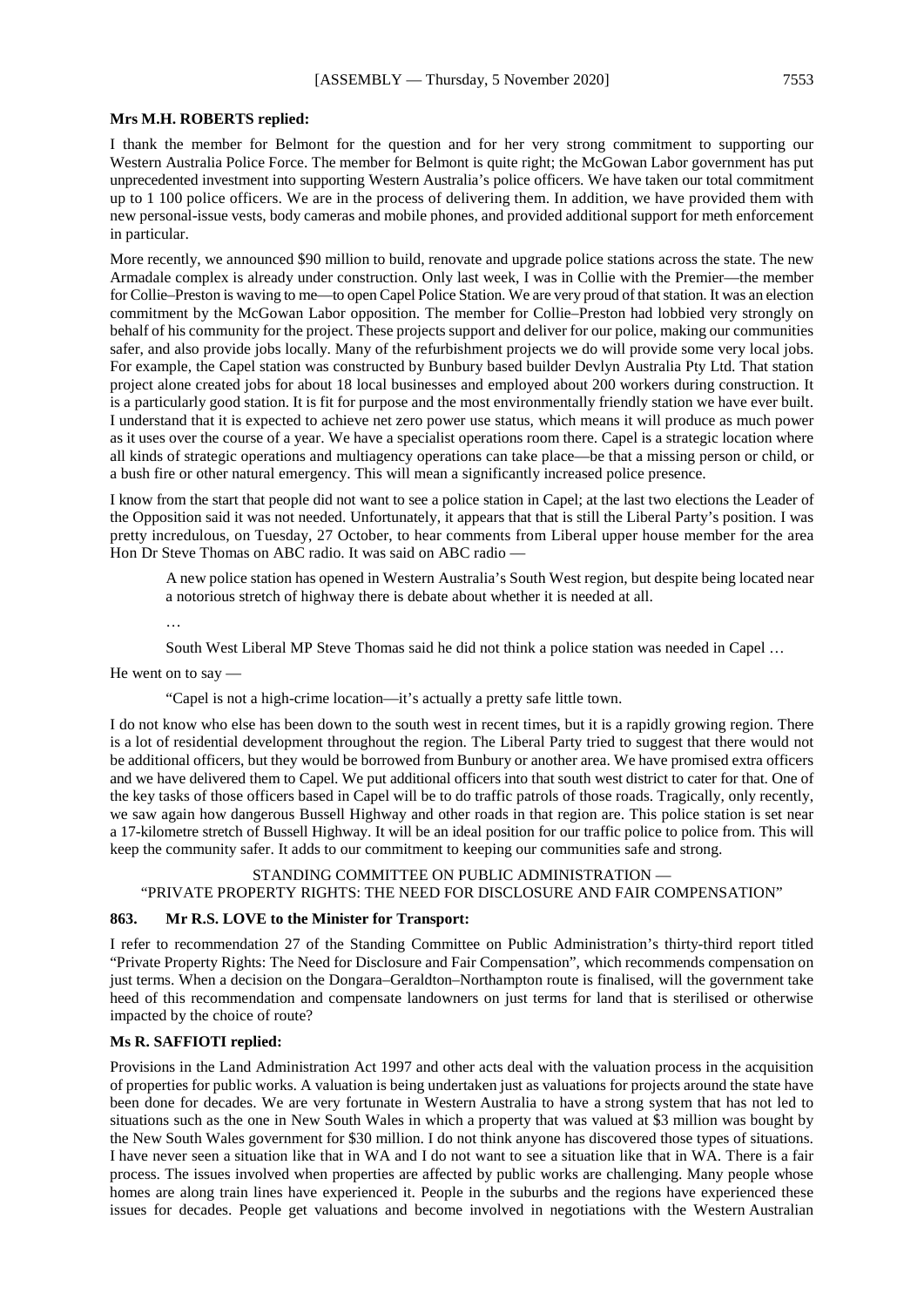#### **Mrs M.H. ROBERTS replied:**

I thank the member for Belmont for the question and for her very strong commitment to supporting our Western Australia Police Force. The member for Belmont is quite right; the McGowan Labor government has put unprecedented investment into supporting Western Australia's police officers. We have taken our total commitment up to 1 100 police officers. We are in the process of delivering them. In addition, we have provided them with new personal-issue vests, body cameras and mobile phones, and provided additional support for meth enforcement in particular.

More recently, we announced \$90 million to build, renovate and upgrade police stations across the state. The new Armadale complex is already under construction. Only last week, I was in Collie with the Premier—the member for Collie–Preston is waving to me—to open Capel Police Station. We are very proud of that station. It was an election commitment by the McGowan Labor opposition. The member for Collie–Preston had lobbied very strongly on behalf of his community for the project. These projects support and deliver for our police, making our communities safer, and also provide jobs locally. Many of the refurbishment projects we do will provide some very local jobs. For example, the Capel station was constructed by Bunbury based builder Devlyn Australia Pty Ltd. That station project alone created jobs for about 18 local businesses and employed about 200 workers during construction. It is a particularly good station. It is fit for purpose and the most environmentally friendly station we have ever built. I understand that it is expected to achieve net zero power use status, which means it will produce as much power as it uses over the course of a year. We have a specialist operations room there. Capel is a strategic location where all kinds of strategic operations and multiagency operations can take place—be that a missing person or child, or a bush fire or other natural emergency. This will mean a significantly increased police presence.

I know from the start that people did not want to see a police station in Capel; at the last two elections the Leader of the Opposition said it was not needed. Unfortunately, it appears that that is still the Liberal Party's position. I was pretty incredulous, on Tuesday, 27 October, to hear comments from Liberal upper house member for the area Hon Dr Steve Thomas on ABC radio. It was said on ABC radio —

A new police station has opened in Western Australia's South West region, but despite being located near a notorious stretch of highway there is debate about whether it is needed at all.

…

South West Liberal MP Steve Thomas said he did not think a police station was needed in Capel …

He went on to say —

"Capel is not a high-crime location—it's actually a pretty safe little town.

I do not know who else has been down to the south west in recent times, but it is a rapidly growing region. There is a lot of residential development throughout the region. The Liberal Party tried to suggest that there would not be additional officers, but they would be borrowed from Bunbury or another area. We have promised extra officers and we have delivered them to Capel. We put additional officers into that south west district to cater for that. One of the key tasks of those officers based in Capel will be to do traffic patrols of those roads. Tragically, only recently, we saw again how dangerous Bussell Highway and other roads in that region are. This police station is set near a 17-kilometre stretch of Bussell Highway. It will be an ideal position for our traffic police to police from. This will keep the community safer. It adds to our commitment to keeping our communities safe and strong.

#### STANDING COMMITTEE ON PUBLIC ADMINISTRATION —

#### "PRIVATE PROPERTY RIGHTS: THE NEED FOR DISCLOSURE AND FAIR COMPENSATION"

#### **863. Mr R.S. LOVE to the Minister for Transport:**

I refer to recommendation 27 of the Standing Committee on Public Administration's thirty-third report titled "Private Property Rights: The Need for Disclosure and Fair Compensation", which recommends compensation on just terms. When a decision on the Dongara–Geraldton–Northampton route is finalised, will the government take heed of this recommendation and compensate landowners on just terms for land that is sterilised or otherwise impacted by the choice of route?

#### **Ms R. SAFFIOTI replied:**

Provisions in the Land Administration Act 1997 and other acts deal with the valuation process in the acquisition of properties for public works. A valuation is being undertaken just as valuations for projects around the state have been done for decades. We are very fortunate in Western Australia to have a strong system that has not led to situations such as the one in New South Wales in which a property that was valued at \$3 million was bought by the New South Wales government for \$30 million. I do not think anyone has discovered those types of situations. I have never seen a situation like that in WA and I do not want to see a situation like that in WA. There is a fair process. The issues involved when properties are affected by public works are challenging. Many people whose homes are along train lines have experienced it. People in the suburbs and the regions have experienced these issues for decades. People get valuations and become involved in negotiations with the Western Australian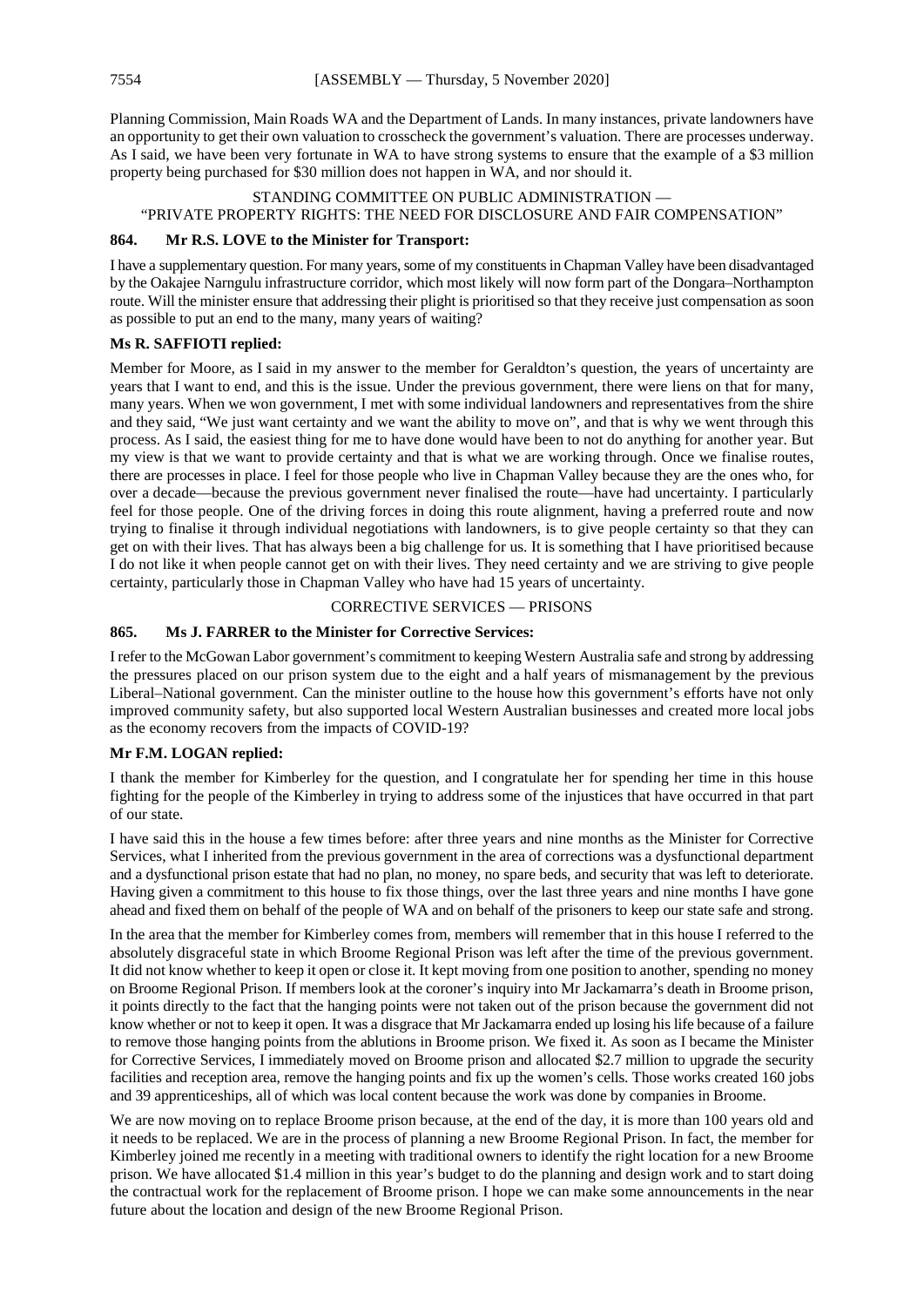Planning Commission, Main Roads WA and the Department of Lands. In many instances, private landowners have an opportunity to get their own valuation to crosscheck the government's valuation. There are processes underway. As I said, we have been very fortunate in WA to have strong systems to ensure that the example of a \$3 million property being purchased for \$30 million does not happen in WA, and nor should it.

STANDING COMMITTEE ON PUBLIC ADMINISTRATION — "PRIVATE PROPERTY RIGHTS: THE NEED FOR DISCLOSURE AND FAIR COMPENSATION"

#### **864. Mr R.S. LOVE to the Minister for Transport:**

I have a supplementary question. For many years, some of my constituents in Chapman Valley have been disadvantaged by the Oakajee Narngulu infrastructure corridor, which most likely will now form part of the Dongara–Northampton route. Will the minister ensure that addressing their plight is prioritised so that they receive just compensation as soon as possible to put an end to the many, many years of waiting?

#### **Ms R. SAFFIOTI replied:**

Member for Moore, as I said in my answer to the member for Geraldton's question, the years of uncertainty are years that I want to end, and this is the issue. Under the previous government, there were liens on that for many, many years. When we won government, I met with some individual landowners and representatives from the shire and they said, "We just want certainty and we want the ability to move on", and that is why we went through this process. As I said, the easiest thing for me to have done would have been to not do anything for another year. But my view is that we want to provide certainty and that is what we are working through. Once we finalise routes, there are processes in place. I feel for those people who live in Chapman Valley because they are the ones who, for over a decade—because the previous government never finalised the route—have had uncertainty. I particularly feel for those people. One of the driving forces in doing this route alignment, having a preferred route and now trying to finalise it through individual negotiations with landowners, is to give people certainty so that they can get on with their lives. That has always been a big challenge for us. It is something that I have prioritised because I do not like it when people cannot get on with their lives. They need certainty and we are striving to give people certainty, particularly those in Chapman Valley who have had 15 years of uncertainty.

#### CORRECTIVE SERVICES — PRISONS

#### **865. Ms J. FARRER to the Minister for Corrective Services:**

I refer to the McGowan Labor government's commitment to keeping Western Australia safe and strong by addressing the pressures placed on our prison system due to the eight and a half years of mismanagement by the previous Liberal–National government. Can the minister outline to the house how this government's efforts have not only improved community safety, but also supported local Western Australian businesses and created more local jobs as the economy recovers from the impacts of COVID-19?

#### **Mr F.M. LOGAN replied:**

I thank the member for Kimberley for the question, and I congratulate her for spending her time in this house fighting for the people of the Kimberley in trying to address some of the injustices that have occurred in that part of our state.

I have said this in the house a few times before: after three years and nine months as the Minister for Corrective Services, what I inherited from the previous government in the area of corrections was a dysfunctional department and a dysfunctional prison estate that had no plan, no money, no spare beds, and security that was left to deteriorate. Having given a commitment to this house to fix those things, over the last three years and nine months I have gone ahead and fixed them on behalf of the people of WA and on behalf of the prisoners to keep our state safe and strong.

In the area that the member for Kimberley comes from, members will remember that in this house I referred to the absolutely disgraceful state in which Broome Regional Prison was left after the time of the previous government. It did not know whether to keep it open or close it. It kept moving from one position to another, spending no money on Broome Regional Prison. If members look at the coroner's inquiry into Mr Jackamarra's death in Broome prison, it points directly to the fact that the hanging points were not taken out of the prison because the government did not know whether or not to keep it open. It was a disgrace that Mr Jackamarra ended up losing his life because of a failure to remove those hanging points from the ablutions in Broome prison. We fixed it. As soon as I became the Minister for Corrective Services, I immediately moved on Broome prison and allocated \$2.7 million to upgrade the security facilities and reception area, remove the hanging points and fix up the women's cells. Those works created 160 jobs and 39 apprenticeships, all of which was local content because the work was done by companies in Broome.

We are now moving on to replace Broome prison because, at the end of the day, it is more than 100 years old and it needs to be replaced. We are in the process of planning a new Broome Regional Prison. In fact, the member for Kimberley joined me recently in a meeting with traditional owners to identify the right location for a new Broome prison. We have allocated \$1.4 million in this year's budget to do the planning and design work and to start doing the contractual work for the replacement of Broome prison. I hope we can make some announcements in the near future about the location and design of the new Broome Regional Prison.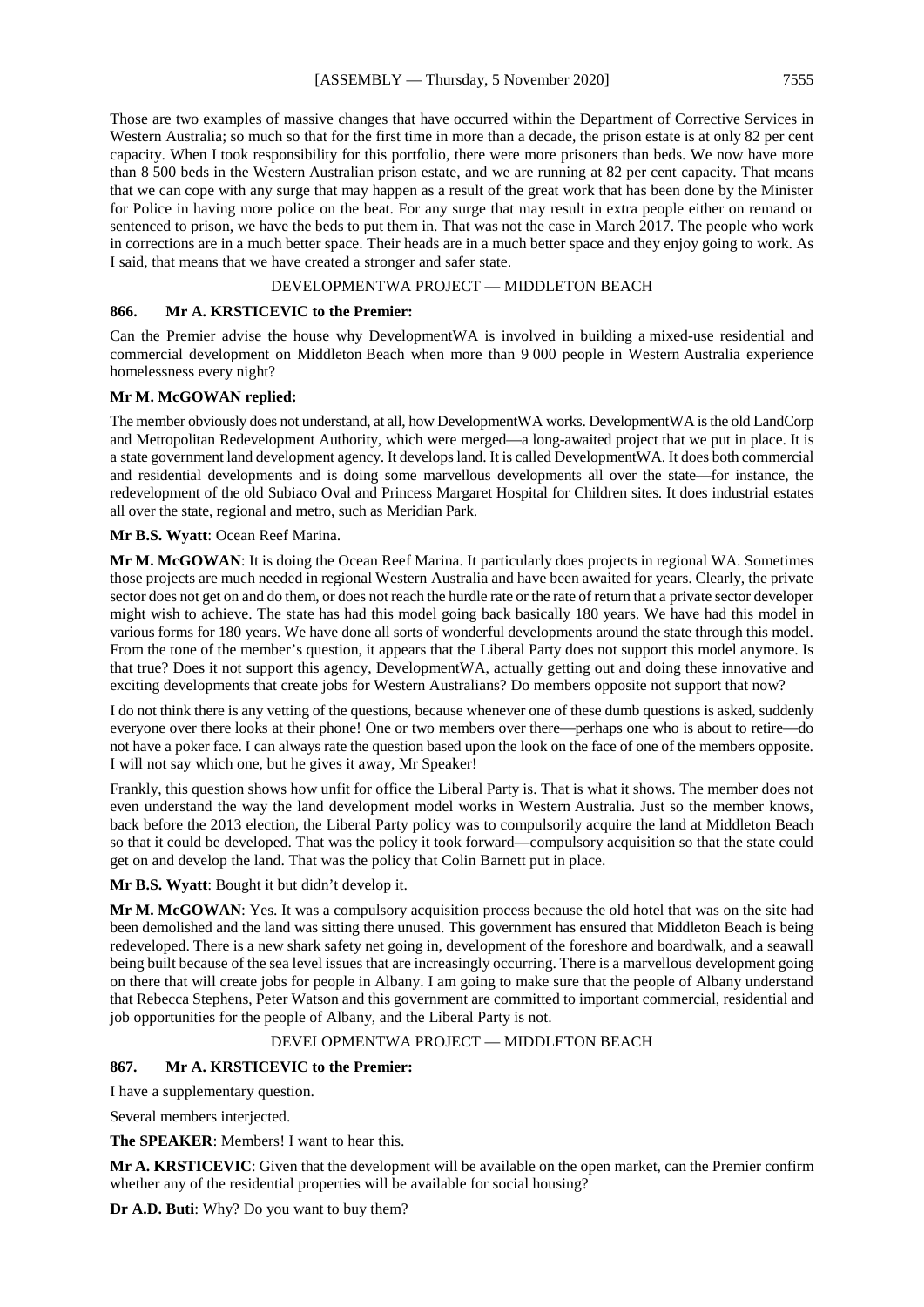Those are two examples of massive changes that have occurred within the Department of Corrective Services in Western Australia; so much so that for the first time in more than a decade, the prison estate is at only 82 per cent capacity. When I took responsibility for this portfolio, there were more prisoners than beds. We now have more than 8 500 beds in the Western Australian prison estate, and we are running at 82 per cent capacity. That means that we can cope with any surge that may happen as a result of the great work that has been done by the Minister for Police in having more police on the beat. For any surge that may result in extra people either on remand or sentenced to prison, we have the beds to put them in. That was not the case in March 2017. The people who work in corrections are in a much better space. Their heads are in a much better space and they enjoy going to work. As I said, that means that we have created a stronger and safer state.

#### DEVELOPMENTWA PROJECT — MIDDLETON BEACH

#### **866. Mr A. KRSTICEVIC to the Premier:**

Can the Premier advise the house why DevelopmentWA is involved in building a mixed-use residential and commercial development on Middleton Beach when more than 9 000 people in Western Australia experience homelessness every night?

#### **Mr M. McGOWAN replied:**

The member obviously does not understand, at all, how DevelopmentWA works. DevelopmentWA is the old LandCorp and Metropolitan Redevelopment Authority, which were merged—a long-awaited project that we put in place. It is a state government land development agency. It develops land. It is called DevelopmentWA. It does both commercial and residential developments and is doing some marvellous developments all over the state—for instance, the redevelopment of the old Subiaco Oval and Princess Margaret Hospital for Children sites. It does industrial estates all over the state, regional and metro, such as Meridian Park.

#### **Mr B.S. Wyatt**: Ocean Reef Marina.

**Mr M. McGOWAN**: It is doing the Ocean Reef Marina. It particularly does projects in regional WA. Sometimes those projects are much needed in regional Western Australia and have been awaited for years. Clearly, the private sector does not get on and do them, or does not reach the hurdle rate or the rate of return that a private sector developer might wish to achieve. The state has had this model going back basically 180 years. We have had this model in various forms for 180 years. We have done all sorts of wonderful developments around the state through this model. From the tone of the member's question, it appears that the Liberal Party does not support this model anymore. Is that true? Does it not support this agency, DevelopmentWA, actually getting out and doing these innovative and exciting developments that create jobs for Western Australians? Do members opposite not support that now?

I do not think there is any vetting of the questions, because whenever one of these dumb questions is asked, suddenly everyone over there looks at their phone! One or two members over there—perhaps one who is about to retire—do not have a poker face. I can always rate the question based upon the look on the face of one of the members opposite. I will not say which one, but he gives it away, Mr Speaker!

Frankly, this question shows how unfit for office the Liberal Party is. That is what it shows. The member does not even understand the way the land development model works in Western Australia. Just so the member knows, back before the 2013 election, the Liberal Party policy was to compulsorily acquire the land at Middleton Beach so that it could be developed. That was the policy it took forward—compulsory acquisition so that the state could get on and develop the land. That was the policy that Colin Barnett put in place.

#### **Mr B.S. Wyatt**: Bought it but didn't develop it.

**Mr M. McGOWAN**: Yes. It was a compulsory acquisition process because the old hotel that was on the site had been demolished and the land was sitting there unused. This government has ensured that Middleton Beach is being redeveloped. There is a new shark safety net going in, development of the foreshore and boardwalk, and a seawall being built because of the sea level issues that are increasingly occurring. There is a marvellous development going on there that will create jobs for people in Albany. I am going to make sure that the people of Albany understand that Rebecca Stephens, Peter Watson and this government are committed to important commercial, residential and job opportunities for the people of Albany, and the Liberal Party is not.

#### DEVELOPMENTWA PROJECT — MIDDLETON BEACH

#### **867. Mr A. KRSTICEVIC to the Premier:**

I have a supplementary question.

Several members interjected.

**The SPEAKER**: Members! I want to hear this.

**Mr A. KRSTICEVIC**: Given that the development will be available on the open market, can the Premier confirm whether any of the residential properties will be available for social housing?

**Dr A.D. Buti**: Why? Do you want to buy them?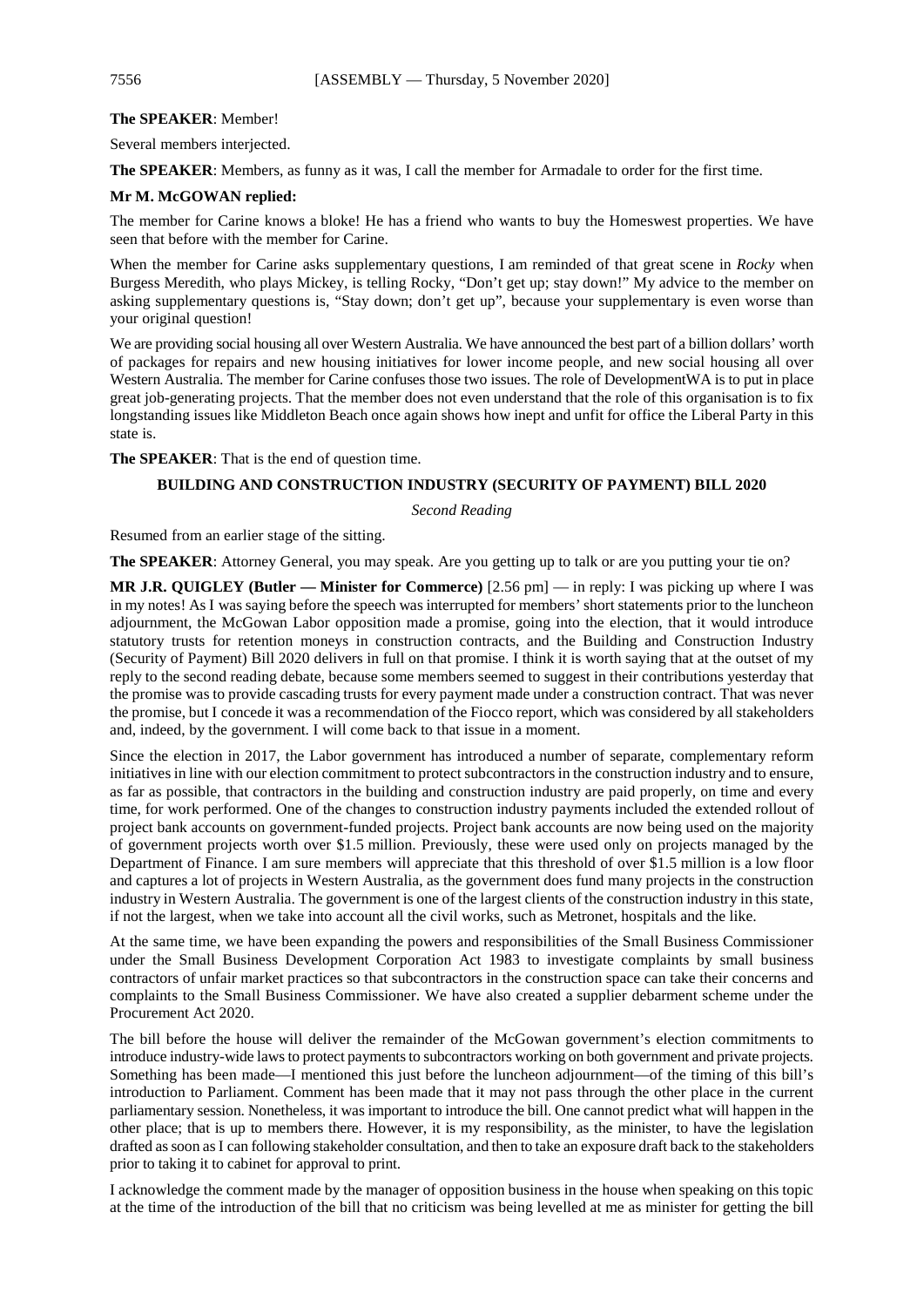#### **The SPEAKER**: Member!

Several members interjected.

**The SPEAKER**: Members, as funny as it was, I call the member for Armadale to order for the first time.

#### **Mr M. McGOWAN replied:**

The member for Carine knows a bloke! He has a friend who wants to buy the Homeswest properties. We have seen that before with the member for Carine.

When the member for Carine asks supplementary questions, I am reminded of that great scene in *Rocky* when Burgess Meredith, who plays Mickey, is telling Rocky, "Don't get up; stay down!" My advice to the member on asking supplementary questions is, "Stay down; don't get up", because your supplementary is even worse than your original question!

We are providing social housing all over Western Australia. We have announced the best part of a billion dollars' worth of packages for repairs and new housing initiatives for lower income people, and new social housing all over Western Australia. The member for Carine confuses those two issues. The role of DevelopmentWA is to put in place great job-generating projects. That the member does not even understand that the role of this organisation is to fix longstanding issues like Middleton Beach once again shows how inept and unfit for office the Liberal Party in this state is.

**The SPEAKER**: That is the end of question time.

#### **BUILDING AND CONSTRUCTION INDUSTRY (SECURITY OF PAYMENT) BILL 2020**

*Second Reading*

Resumed from an earlier stage of the sitting.

**The SPEAKER**: Attorney General, you may speak. Are you getting up to talk or are you putting your tie on?

**MR J.R. QUIGLEY (Butler — Minister for Commerce)** [2.56 pm] — in reply: I was picking up where I was in my notes! As I was saying before the speech was interrupted for members' short statements prior to the luncheon adjournment, the McGowan Labor opposition made a promise, going into the election, that it would introduce statutory trusts for retention moneys in construction contracts, and the Building and Construction Industry (Security of Payment) Bill 2020 delivers in full on that promise. I think it is worth saying that at the outset of my reply to the second reading debate, because some members seemed to suggest in their contributions yesterday that the promise was to provide cascading trusts for every payment made under a construction contract. That was never the promise, but I concede it was a recommendation of the Fiocco report, which was considered by all stakeholders and, indeed, by the government. I will come back to that issue in a moment.

Since the election in 2017, the Labor government has introduced a number of separate, complementary reform initiatives in line with our election commitment to protect subcontractors in the construction industry and to ensure, as far as possible, that contractors in the building and construction industry are paid properly, on time and every time, for work performed. One of the changes to construction industry payments included the extended rollout of project bank accounts on government-funded projects. Project bank accounts are now being used on the majority of government projects worth over \$1.5 million. Previously, these were used only on projects managed by the Department of Finance. I am sure members will appreciate that this threshold of over \$1.5 million is a low floor and captures a lot of projects in Western Australia, as the government does fund many projects in the construction industry in Western Australia. The government is one of the largest clients of the construction industry in this state, if not the largest, when we take into account all the civil works, such as Metronet, hospitals and the like.

At the same time, we have been expanding the powers and responsibilities of the Small Business Commissioner under the Small Business Development Corporation Act 1983 to investigate complaints by small business contractors of unfair market practices so that subcontractors in the construction space can take their concerns and complaints to the Small Business Commissioner. We have also created a supplier debarment scheme under the Procurement Act 2020.

The bill before the house will deliver the remainder of the McGowan government's election commitments to introduce industry-wide laws to protect payments to subcontractors working on both government and private projects. Something has been made—I mentioned this just before the luncheon adjournment—of the timing of this bill's introduction to Parliament. Comment has been made that it may not pass through the other place in the current parliamentary session. Nonetheless, it was important to introduce the bill. One cannot predict what will happen in the other place; that is up to members there. However, it is my responsibility, as the minister, to have the legislation drafted as soon asI can following stakeholder consultation, and then to take an exposure draft back to the stakeholders prior to taking it to cabinet for approval to print.

I acknowledge the comment made by the manager of opposition business in the house when speaking on this topic at the time of the introduction of the bill that no criticism was being levelled at me as minister for getting the bill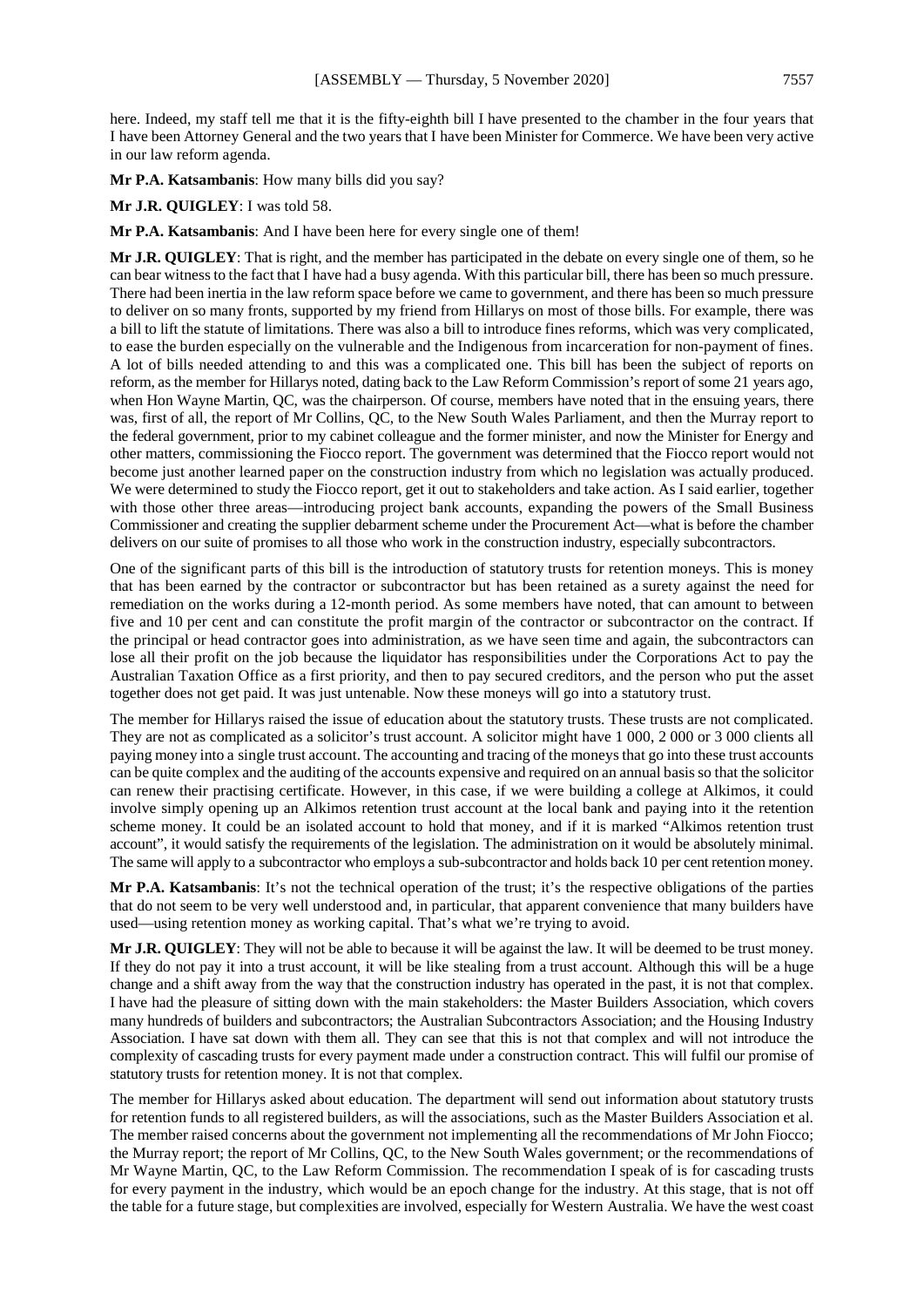here. Indeed, my staff tell me that it is the fifty-eighth bill I have presented to the chamber in the four years that I have been Attorney General and the two years that I have been Minister for Commerce. We have been very active in our law reform agenda.

**Mr P.A. Katsambanis**: How many bills did you say?

**Mr J.R. QUIGLEY**: I was told 58.

**Mr P.A. Katsambanis**: And I have been here for every single one of them!

**Mr J.R. QUIGLEY**: That is right, and the member has participated in the debate on every single one of them, so he can bear witness to the fact that I have had a busy agenda. With this particular bill, there has been so much pressure. There had been inertia in the law reform space before we came to government, and there has been so much pressure to deliver on so many fronts, supported by my friend from Hillarys on most of those bills. For example, there was a bill to lift the statute of limitations. There was also a bill to introduce fines reforms, which was very complicated, to ease the burden especially on the vulnerable and the Indigenous from incarceration for non-payment of fines. A lot of bills needed attending to and this was a complicated one. This bill has been the subject of reports on reform, as the member for Hillarys noted, dating back to the Law Reform Commission's report of some 21 years ago, when Hon Wayne Martin, QC, was the chairperson. Of course, members have noted that in the ensuing years, there was, first of all, the report of Mr Collins, QC, to the New South Wales Parliament, and then the Murray report to the federal government, prior to my cabinet colleague and the former minister, and now the Minister for Energy and other matters, commissioning the Fiocco report. The government was determined that the Fiocco report would not become just another learned paper on the construction industry from which no legislation was actually produced. We were determined to study the Fiocco report, get it out to stakeholders and take action. As I said earlier, together with those other three areas—introducing project bank accounts, expanding the powers of the Small Business Commissioner and creating the supplier debarment scheme under the Procurement Act—what is before the chamber delivers on our suite of promises to all those who work in the construction industry, especially subcontractors.

One of the significant parts of this bill is the introduction of statutory trusts for retention moneys. This is money that has been earned by the contractor or subcontractor but has been retained as a surety against the need for remediation on the works during a 12-month period. As some members have noted, that can amount to between five and 10 per cent and can constitute the profit margin of the contractor or subcontractor on the contract. If the principal or head contractor goes into administration, as we have seen time and again, the subcontractors can lose all their profit on the job because the liquidator has responsibilities under the Corporations Act to pay the Australian Taxation Office as a first priority, and then to pay secured creditors, and the person who put the asset together does not get paid. It was just untenable. Now these moneys will go into a statutory trust.

The member for Hillarys raised the issue of education about the statutory trusts. These trusts are not complicated. They are not as complicated as a solicitor's trust account. A solicitor might have 1 000, 2 000 or 3 000 clients all paying money into a single trust account. The accounting and tracing of the moneys that go into these trust accounts can be quite complex and the auditing of the accounts expensive and required on an annual basis so that the solicitor can renew their practising certificate. However, in this case, if we were building a college at Alkimos, it could involve simply opening up an Alkimos retention trust account at the local bank and paying into it the retention scheme money. It could be an isolated account to hold that money, and if it is marked "Alkimos retention trust account", it would satisfy the requirements of the legislation. The administration on it would be absolutely minimal. The same will apply to a subcontractor who employs a sub-subcontractor and holds back 10 per cent retention money.

**Mr P.A. Katsambanis**: It's not the technical operation of the trust; it's the respective obligations of the parties that do not seem to be very well understood and, in particular, that apparent convenience that many builders have used—using retention money as working capital. That's what we're trying to avoid.

**Mr J.R. QUIGLEY**: They will not be able to because it will be against the law. It will be deemed to be trust money. If they do not pay it into a trust account, it will be like stealing from a trust account. Although this will be a huge change and a shift away from the way that the construction industry has operated in the past, it is not that complex. I have had the pleasure of sitting down with the main stakeholders: the Master Builders Association, which covers many hundreds of builders and subcontractors; the Australian Subcontractors Association; and the Housing Industry Association. I have sat down with them all. They can see that this is not that complex and will not introduce the complexity of cascading trusts for every payment made under a construction contract. This will fulfil our promise of statutory trusts for retention money. It is not that complex.

The member for Hillarys asked about education. The department will send out information about statutory trusts for retention funds to all registered builders, as will the associations, such as the Master Builders Association et al. The member raised concerns about the government not implementing all the recommendations of Mr John Fiocco; the Murray report; the report of Mr Collins, QC, to the New South Wales government; or the recommendations of Mr Wayne Martin, QC, to the Law Reform Commission. The recommendation I speak of is for cascading trusts for every payment in the industry, which would be an epoch change for the industry. At this stage, that is not off the table for a future stage, but complexities are involved, especially for Western Australia. We have the west coast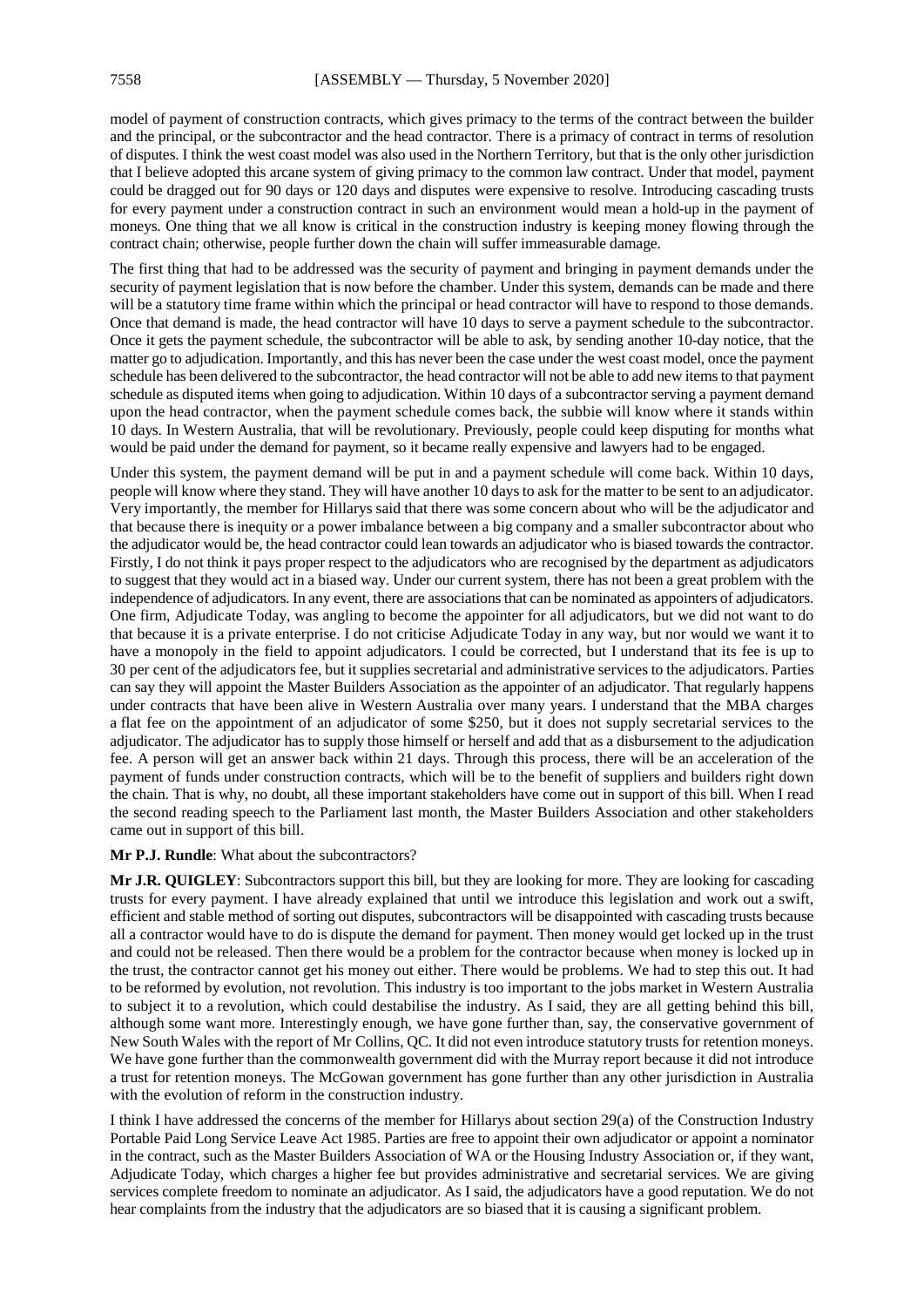model of payment of construction contracts, which gives primacy to the terms of the contract between the builder and the principal, or the subcontractor and the head contractor. There is a primacy of contract in terms of resolution of disputes. I think the west coast model was also used in the Northern Territory, but that is the only other jurisdiction that I believe adopted this arcane system of giving primacy to the common law contract. Under that model, payment could be dragged out for 90 days or 120 days and disputes were expensive to resolve. Introducing cascading trusts for every payment under a construction contract in such an environment would mean a hold-up in the payment of moneys. One thing that we all know is critical in the construction industry is keeping money flowing through the contract chain; otherwise, people further down the chain will suffer immeasurable damage.

The first thing that had to be addressed was the security of payment and bringing in payment demands under the security of payment legislation that is now before the chamber. Under this system, demands can be made and there will be a statutory time frame within which the principal or head contractor will have to respond to those demands. Once that demand is made, the head contractor will have 10 days to serve a payment schedule to the subcontractor. Once it gets the payment schedule, the subcontractor will be able to ask, by sending another 10-day notice, that the matter go to adjudication. Importantly, and this has never been the case under the west coast model, once the payment schedule has been delivered to the subcontractor, the head contractor will not be able to add new items to that payment schedule as disputed items when going to adjudication. Within 10 days of a subcontractor serving a payment demand upon the head contractor, when the payment schedule comes back, the subbie will know where it stands within 10 days. In Western Australia, that will be revolutionary. Previously, people could keep disputing for months what would be paid under the demand for payment, so it became really expensive and lawyers had to be engaged.

Under this system, the payment demand will be put in and a payment schedule will come back. Within 10 days, people will know where they stand. They will have another 10 days to ask for the matter to be sent to an adjudicator. Very importantly, the member for Hillarys said that there was some concern about who will be the adjudicator and that because there is inequity or a power imbalance between a big company and a smaller subcontractor about who the adjudicator would be, the head contractor could lean towards an adjudicator who is biased towards the contractor. Firstly, I do not think it pays proper respect to the adjudicators who are recognised by the department as adjudicators to suggest that they would act in a biased way. Under our current system, there has not been a great problem with the independence of adjudicators. In any event, there are associations that can be nominated as appointers of adjudicators. One firm, Adjudicate Today, was angling to become the appointer for all adjudicators, but we did not want to do that because it is a private enterprise. I do not criticise Adjudicate Today in any way, but nor would we want it to have a monopoly in the field to appoint adjudicators. I could be corrected, but I understand that its fee is up to 30 per cent of the adjudicators fee, but it supplies secretarial and administrative services to the adjudicators. Parties can say they will appoint the Master Builders Association as the appointer of an adjudicator. That regularly happens under contracts that have been alive in Western Australia over many years. I understand that the MBA charges a flat fee on the appointment of an adjudicator of some \$250, but it does not supply secretarial services to the adjudicator. The adjudicator has to supply those himself or herself and add that as a disbursement to the adjudication fee. A person will get an answer back within 21 days. Through this process, there will be an acceleration of the payment of funds under construction contracts, which will be to the benefit of suppliers and builders right down the chain. That is why, no doubt, all these important stakeholders have come out in support of this bill. When I read the second reading speech to the Parliament last month, the Master Builders Association and other stakeholders came out in support of this bill.

**Mr P.J. Rundle**: What about the subcontractors?

**Mr J.R. QUIGLEY**: Subcontractors support this bill, but they are looking for more. They are looking for cascading trusts for every payment. I have already explained that until we introduce this legislation and work out a swift, efficient and stable method of sorting out disputes, subcontractors will be disappointed with cascading trusts because all a contractor would have to do is dispute the demand for payment. Then money would get locked up in the trust and could not be released. Then there would be a problem for the contractor because when money is locked up in the trust, the contractor cannot get his money out either. There would be problems. We had to step this out. It had to be reformed by evolution, not revolution. This industry is too important to the jobs market in Western Australia to subject it to a revolution, which could destabilise the industry. As I said, they are all getting behind this bill, although some want more. Interestingly enough, we have gone further than, say, the conservative government of New South Wales with the report of Mr Collins, QC. It did not even introduce statutory trusts for retention moneys. We have gone further than the commonwealth government did with the Murray report because it did not introduce a trust for retention moneys. The McGowan government has gone further than any other jurisdiction in Australia with the evolution of reform in the construction industry.

I think I have addressed the concerns of the member for Hillarys about section 29(a) of the Construction Industry Portable Paid Long Service Leave Act 1985. Parties are free to appoint their own adjudicator or appoint a nominator in the contract, such as the Master Builders Association of WA or the Housing Industry Association or, if they want, Adjudicate Today, which charges a higher fee but provides administrative and secretarial services. We are giving services complete freedom to nominate an adjudicator. As I said, the adjudicators have a good reputation. We do not hear complaints from the industry that the adjudicators are so biased that it is causing a significant problem.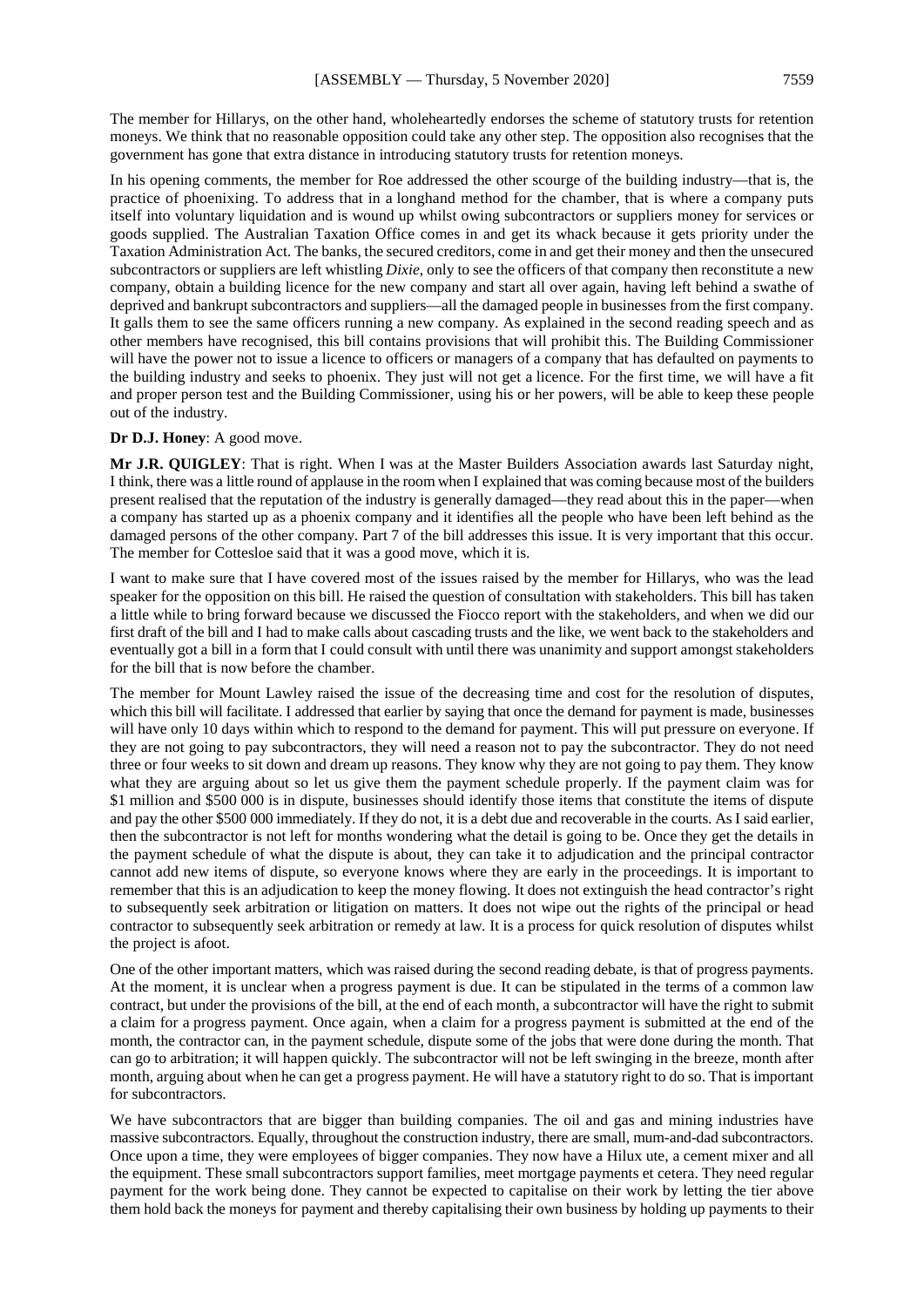The member for Hillarys, on the other hand, wholeheartedly endorses the scheme of statutory trusts for retention moneys. We think that no reasonable opposition could take any other step. The opposition also recognises that the government has gone that extra distance in introducing statutory trusts for retention moneys.

In his opening comments, the member for Roe addressed the other scourge of the building industry—that is, the practice of phoenixing. To address that in a longhand method for the chamber, that is where a company puts itself into voluntary liquidation and is wound up whilst owing subcontractors or suppliers money for services or goods supplied. The Australian Taxation Office comes in and get its whack because it gets priority under the Taxation Administration Act. The banks, the secured creditors, come in and get their money and then the unsecured subcontractors or suppliers are left whistling *Dixie*, only to see the officers of that company then reconstitute a new company, obtain a building licence for the new company and start all over again, having left behind a swathe of deprived and bankrupt subcontractors and suppliers—all the damaged people in businesses from the first company. It galls them to see the same officers running a new company. As explained in the second reading speech and as other members have recognised, this bill contains provisions that will prohibit this. The Building Commissioner will have the power not to issue a licence to officers or managers of a company that has defaulted on payments to the building industry and seeks to phoenix. They just will not get a licence. For the first time, we will have a fit and proper person test and the Building Commissioner, using his or her powers, will be able to keep these people out of the industry.

#### **Dr D.J. Honey**: A good move.

**Mr J.R. QUIGLEY**: That is right. When I was at the Master Builders Association awards last Saturday night, I think, there was a little round of applause in the room when I explained that was coming because most of the builders present realised that the reputation of the industry is generally damaged—they read about this in the paper—when a company has started up as a phoenix company and it identifies all the people who have been left behind as the damaged persons of the other company. Part 7 of the bill addresses this issue. It is very important that this occur. The member for Cottesloe said that it was a good move, which it is.

I want to make sure that I have covered most of the issues raised by the member for Hillarys, who was the lead speaker for the opposition on this bill. He raised the question of consultation with stakeholders. This bill has taken a little while to bring forward because we discussed the Fiocco report with the stakeholders, and when we did our first draft of the bill and I had to make calls about cascading trusts and the like, we went back to the stakeholders and eventually got a bill in a form that I could consult with until there was unanimity and support amongst stakeholders for the bill that is now before the chamber.

The member for Mount Lawley raised the issue of the decreasing time and cost for the resolution of disputes, which this bill will facilitate. I addressed that earlier by saying that once the demand for payment is made, businesses will have only 10 days within which to respond to the demand for payment. This will put pressure on everyone. If they are not going to pay subcontractors, they will need a reason not to pay the subcontractor. They do not need three or four weeks to sit down and dream up reasons. They know why they are not going to pay them. They know what they are arguing about so let us give them the payment schedule properly. If the payment claim was for \$1 million and \$500 000 is in dispute, businesses should identify those items that constitute the items of dispute and pay the other \$500 000 immediately. If they do not, it is a debt due and recoverable in the courts. AsI said earlier, then the subcontractor is not left for months wondering what the detail is going to be. Once they get the details in the payment schedule of what the dispute is about, they can take it to adjudication and the principal contractor cannot add new items of dispute, so everyone knows where they are early in the proceedings. It is important to remember that this is an adjudication to keep the money flowing. It does not extinguish the head contractor's right to subsequently seek arbitration or litigation on matters. It does not wipe out the rights of the principal or head contractor to subsequently seek arbitration or remedy at law. It is a process for quick resolution of disputes whilst the project is afoot.

One of the other important matters, which was raised during the second reading debate, is that of progress payments. At the moment, it is unclear when a progress payment is due. It can be stipulated in the terms of a common law contract, but under the provisions of the bill, at the end of each month, a subcontractor will have the right to submit a claim for a progress payment. Once again, when a claim for a progress payment is submitted at the end of the month, the contractor can, in the payment schedule, dispute some of the jobs that were done during the month. That can go to arbitration; it will happen quickly. The subcontractor will not be left swinging in the breeze, month after month, arguing about when he can get a progress payment. He will have a statutory right to do so. That is important for subcontractors.

We have subcontractors that are bigger than building companies. The oil and gas and mining industries have massive subcontractors. Equally, throughout the construction industry, there are small, mum-and-dad subcontractors. Once upon a time, they were employees of bigger companies. They now have a Hilux ute, a cement mixer and all the equipment. These small subcontractors support families, meet mortgage payments et cetera. They need regular payment for the work being done. They cannot be expected to capitalise on their work by letting the tier above them hold back the moneys for payment and thereby capitalising their own business by holding up payments to their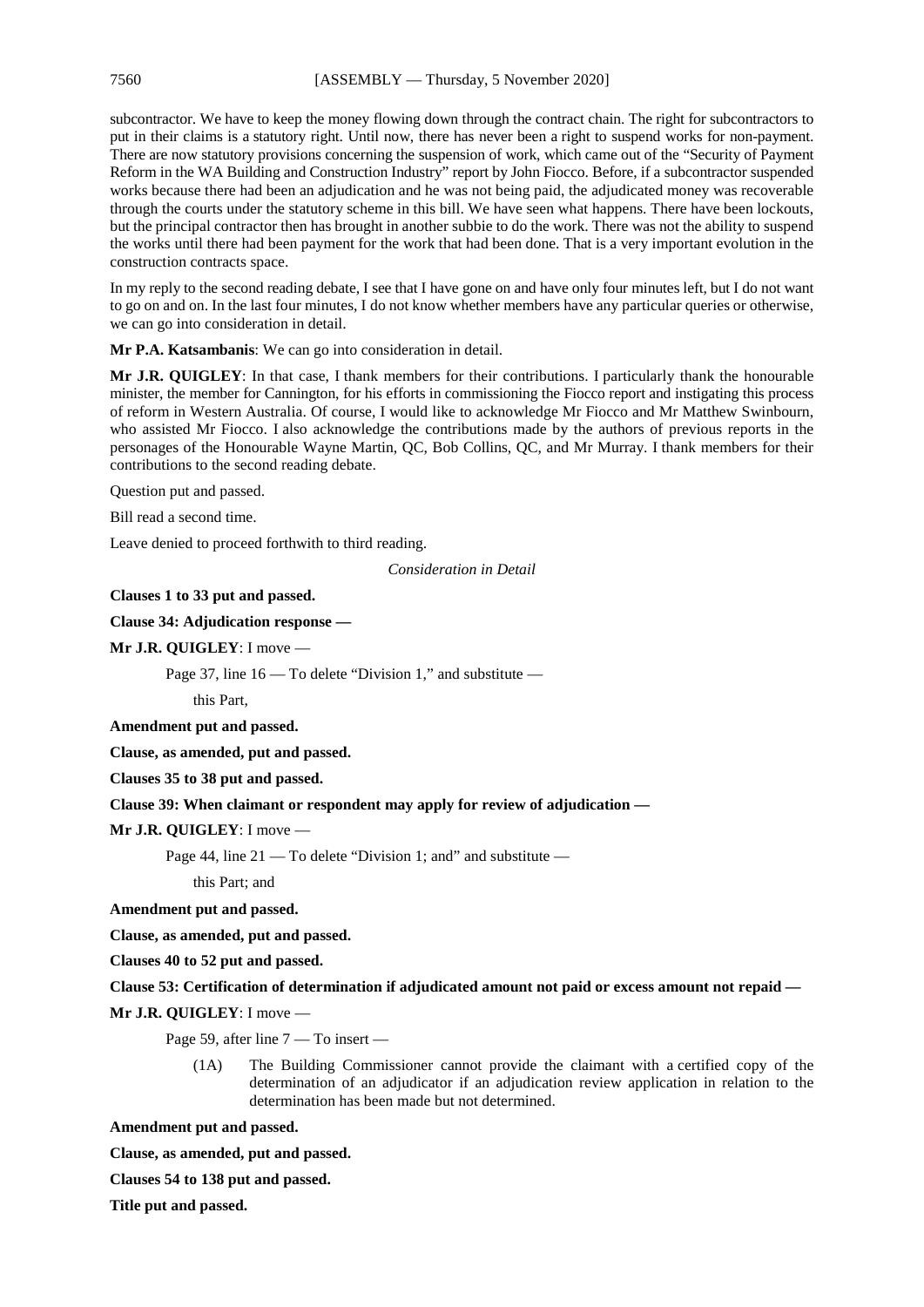#### 7560 [ASSEMBLY — Thursday, 5 November 2020]

subcontractor. We have to keep the money flowing down through the contract chain. The right for subcontractors to put in their claims is a statutory right. Until now, there has never been a right to suspend works for non-payment. There are now statutory provisions concerning the suspension of work, which came out of the "Security of Payment Reform in the WA Building and Construction Industry" report by John Fiocco. Before, if a subcontractor suspended works because there had been an adjudication and he was not being paid, the adjudicated money was recoverable through the courts under the statutory scheme in this bill. We have seen what happens. There have been lockouts, but the principal contractor then has brought in another subbie to do the work. There was not the ability to suspend the works until there had been payment for the work that had been done. That is a very important evolution in the construction contracts space.

In my reply to the second reading debate, I see that I have gone on and have only four minutes left, but I do not want to go on and on. In the last four minutes, I do not know whether members have any particular queries or otherwise, we can go into consideration in detail.

**Mr P.A. Katsambanis**: We can go into consideration in detail.

**Mr J.R. QUIGLEY**: In that case, I thank members for their contributions. I particularly thank the honourable minister, the member for Cannington, for his efforts in commissioning the Fiocco report and instigating this process of reform in Western Australia. Of course, I would like to acknowledge Mr Fiocco and Mr Matthew Swinbourn, who assisted Mr Fiocco. I also acknowledge the contributions made by the authors of previous reports in the personages of the Honourable Wayne Martin, QC, Bob Collins, QC, and Mr Murray. I thank members for their contributions to the second reading debate.

Question put and passed.

Bill read a second time.

Leave denied to proceed forthwith to third reading.

*Consideration in Detail*

**Clauses 1 to 33 put and passed.** 

**Clause 34: Adjudication response —**

**Mr J.R. QUIGLEY**: I move —

Page 37, line  $16 - To$  delete "Division 1," and substitute —

this Part,

**Amendment put and passed.**

**Clause, as amended, put and passed.**

**Clauses 35 to 38 put and passed.**

#### **Clause 39: When claimant or respondent may apply for review of adjudication —**

**Mr J.R. QUIGLEY**: I move —

Page 44, line 21 — To delete "Division 1; and" and substitute —

this Part; and

**Amendment put and passed.**

**Clause, as amended, put and passed.**

**Clauses 40 to 52 put and passed.**

#### **Clause 53: Certification of determination if adjudicated amount not paid or excess amount not repaid —**

**Mr J.R. QUIGLEY**: I move —

Page 59, after line 7 — To insert —

(1A) The Building Commissioner cannot provide the claimant with a certified copy of the determination of an adjudicator if an adjudication review application in relation to the determination has been made but not determined.

**Amendment put and passed.**

**Clause, as amended, put and passed.**

**Clauses 54 to 138 put and passed.**

**Title put and passed.**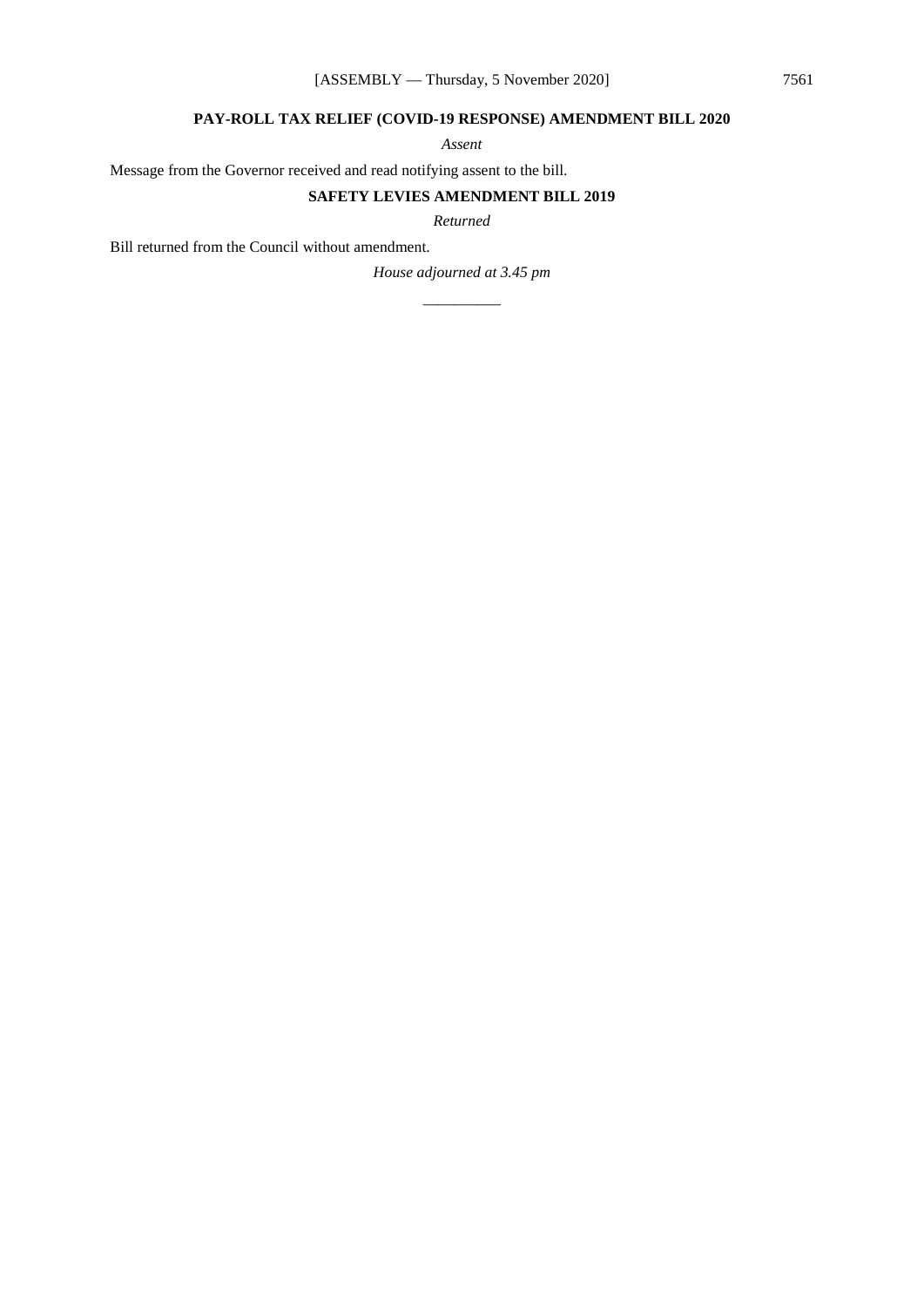#### **PAY-ROLL TAX RELIEF (COVID-19 RESPONSE) AMENDMENT BILL 2020**

*Assent*

Message from the Governor received and read notifying assent to the bill.

#### **SAFETY LEVIES AMENDMENT BILL 2019**

*Returned*

Bill returned from the Council without amendment.

*House adjourned at 3.45 pm \_\_\_\_\_\_\_\_\_\_*